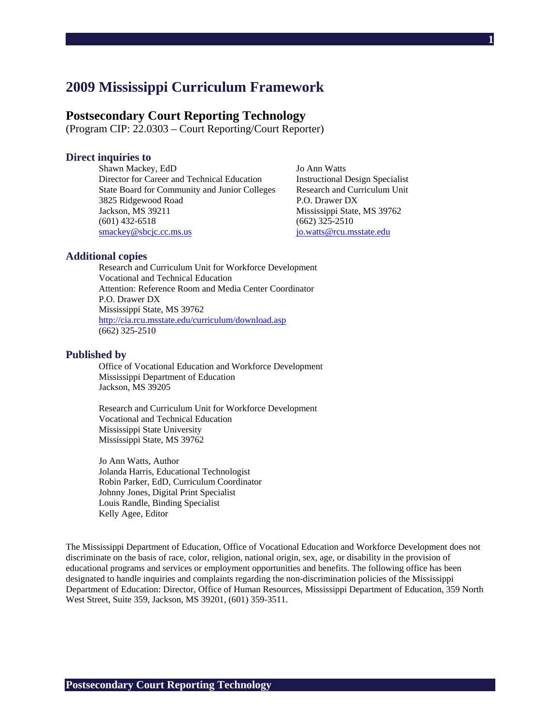# **2009 Mississippi Curriculum Framework**

# **Postsecondary Court Reporting Technology**

(Program CIP: 22.0303 – Court Reporting/Court Reporter)

### **Direct inquiries to**

Shawn Mackey, EdD Jo Ann Watts Director for Career and Technical Education Instructional Design Specialist State Board for Community and Junior Colleges Research and Curriculum Unit 3825 Ridgewood Road P.O. Drawer DX Jackson, MS 39211 Mississippi State, MS 39762 (601) 432-6518 (662) 325-2510 smackey@sbcjc.cc.ms.us jo.watts@rcu.msstate.edu

**1**

#### **Additional copies**

Research and Curriculum Unit for Workforce Development Vocational and Technical Education Attention: Reference Room and Media Center Coordinator P.O. Drawer DX Mississippi State, MS 39762 http://cia.rcu.msstate.edu/curriculum/download.asp (662) 325-2510

#### **Published by**

Office of Vocational Education and Workforce Development Mississippi Department of Education Jackson, MS 39205

Research and Curriculum Unit for Workforce Development Vocational and Technical Education Mississippi State University Mississippi State, MS 39762

Jo Ann Watts, Author Jolanda Harris, Educational Technologist Robin Parker, EdD, Curriculum Coordinator Johnny Jones, Digital Print Specialist Louis Randle, Binding Specialist Kelly Agee, Editor

The Mississippi Department of Education, Office of Vocational Education and Workforce Development does not discriminate on the basis of race, color, religion, national origin, sex, age, or disability in the provision of educational programs and services or employment opportunities and benefits. The following office has been designated to handle inquiries and complaints regarding the non-discrimination policies of the Mississippi Department of Education: Director, Office of Human Resources, Mississippi Department of Education, 359 North West Street, Suite 359, Jackson, MS 39201, (601) 359-3511.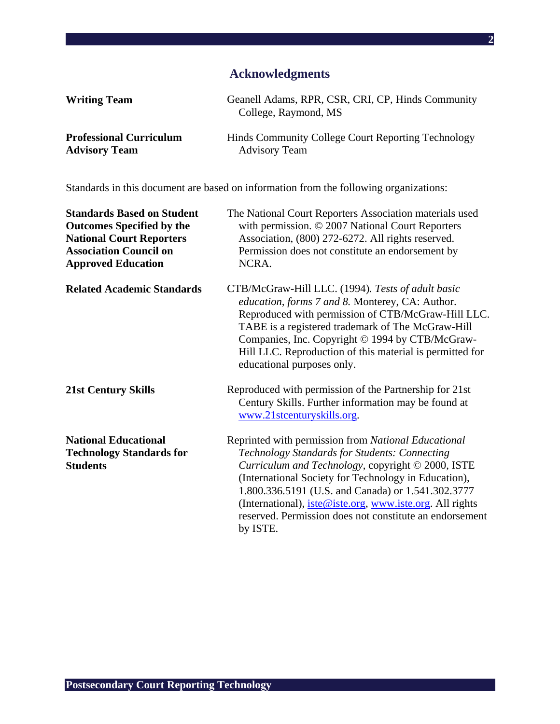# **Acknowledgments**

**2**

| <b>Writing Team</b>            | Geanell Adams, RPR, CSR, CRI, CP, Hinds Community<br>College, Raymond, MS |
|--------------------------------|---------------------------------------------------------------------------|
| <b>Professional Curriculum</b> | Hinds Community College Court Reporting Technology                        |
| <b>Advisory Team</b>           | <b>Advisory Team</b>                                                      |

Standards in this document are based on information from the following organizations:

| <b>Standards Based on Student</b><br><b>Outcomes Specified by the</b><br><b>National Court Reporters</b><br><b>Association Council on</b><br><b>Approved Education</b> | The National Court Reporters Association materials used<br>with permission. © 2007 National Court Reporters<br>Association, (800) 272-6272. All rights reserved.<br>Permission does not constitute an endorsement by<br>NCRA.                                                                                                                                                                                      |
|------------------------------------------------------------------------------------------------------------------------------------------------------------------------|--------------------------------------------------------------------------------------------------------------------------------------------------------------------------------------------------------------------------------------------------------------------------------------------------------------------------------------------------------------------------------------------------------------------|
| <b>Related Academic Standards</b>                                                                                                                                      | CTB/McGraw-Hill LLC. (1994). Tests of adult basic<br>education, forms 7 and 8. Monterey, CA: Author.<br>Reproduced with permission of CTB/McGraw-Hill LLC.<br>TABE is a registered trademark of The McGraw-Hill<br>Companies, Inc. Copyright © 1994 by CTB/McGraw-<br>Hill LLC. Reproduction of this material is permitted for<br>educational purposes only.                                                       |
| <b>21st Century Skills</b>                                                                                                                                             | Reproduced with permission of the Partnership for 21st<br>Century Skills. Further information may be found at<br>www.21stcenturyskills.org.                                                                                                                                                                                                                                                                        |
| <b>National Educational</b><br><b>Technology Standards for</b><br><b>Students</b>                                                                                      | Reprinted with permission from National Educational<br>Technology Standards for Students: Connecting<br>Curriculum and Technology, copyright © 2000, ISTE<br>(International Society for Technology in Education),<br>1.800.336.5191 (U.S. and Canada) or 1.541.302.3777<br>(International), <i>iste@iste.org</i> , www.iste.org. All rights<br>reserved. Permission does not constitute an endorsement<br>by ISTE. |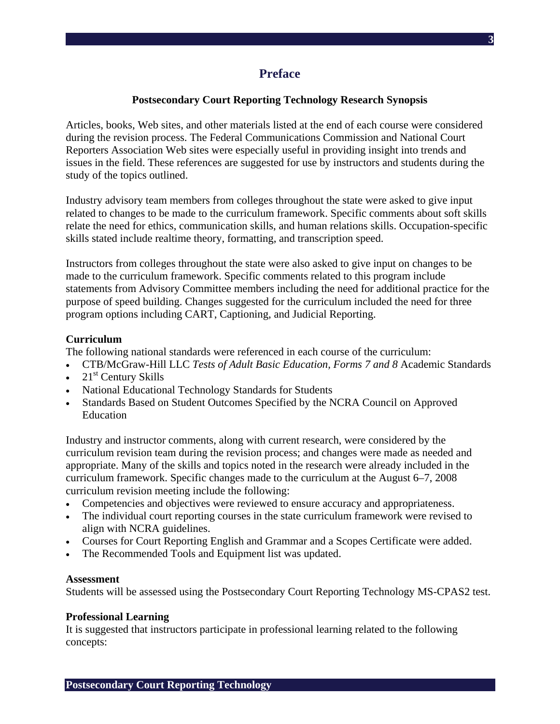**3**

# **Postsecondary Court Reporting Technology Research Synopsis**

**Preface** 

Articles, books, Web sites, and other materials listed at the end of each course were considered during the revision process. The Federal Communications Commission and National Court Reporters Association Web sites were especially useful in providing insight into trends and issues in the field. These references are suggested for use by instructors and students during the study of the topics outlined.

Industry advisory team members from colleges throughout the state were asked to give input related to changes to be made to the curriculum framework. Specific comments about soft skills relate the need for ethics, communication skills, and human relations skills. Occupation-specific skills stated include realtime theory, formatting, and transcription speed.

Instructors from colleges throughout the state were also asked to give input on changes to be made to the curriculum framework. Specific comments related to this program include statements from Advisory Committee members including the need for additional practice for the purpose of speed building. Changes suggested for the curriculum included the need for three program options including CART, Captioning, and Judicial Reporting.

#### **Curriculum**

The following national standards were referenced in each course of the curriculum:

- CTB/McGraw-Hill LLC *Tests of Adult Basic Education, Forms 7 and 8* Academic Standards
- $21<sup>st</sup>$  Century Skills
- National Educational Technology Standards for Students
- Standards Based on Student Outcomes Specified by the NCRA Council on Approved Education

Industry and instructor comments, along with current research, were considered by the curriculum revision team during the revision process; and changes were made as needed and appropriate. Many of the skills and topics noted in the research were already included in the curriculum framework. Specific changes made to the curriculum at the August 6–7, 2008 curriculum revision meeting include the following:

- Competencies and objectives were reviewed to ensure accuracy and appropriateness.
- The individual court reporting courses in the state curriculum framework were revised to align with NCRA guidelines.
- Courses for Court Reporting English and Grammar and a Scopes Certificate were added.
- The Recommended Tools and Equipment list was updated.

#### **Assessment**

Students will be assessed using the Postsecondary Court Reporting Technology MS-CPAS2 test.

#### **Professional Learning**

It is suggested that instructors participate in professional learning related to the following concepts: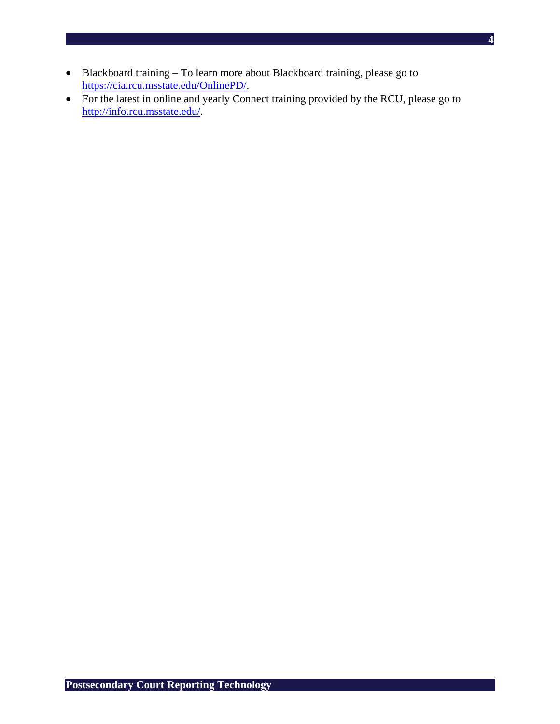- Blackboard training To learn more about Blackboard training, please go to https://cia.rcu.msstate.edu/OnlinePD/.
- For the latest in online and yearly Connect training provided by the RCU, please go to http://info.rcu.msstate.edu/.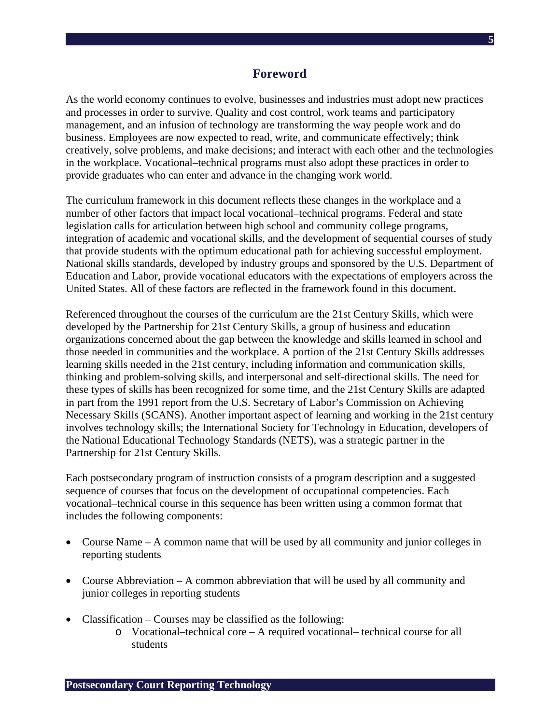# **Foreword**

As the world economy continues to evolve, businesses and industries must adopt new practices and processes in order to survive. Quality and cost control, work teams and participatory management, and an infusion of technology are transforming the way people work and do business. Employees are now expected to read, write, and communicate effectively; think creatively, solve problems, and make decisions; and interact with each other and the technologies in the workplace. Vocational–technical programs must also adopt these practices in order to provide graduates who can enter and advance in the changing work world.

The curriculum framework in this document reflects these changes in the workplace and a number of other factors that impact local vocational–technical programs. Federal and state legislation calls for articulation between high school and community college programs, integration of academic and vocational skills, and the development of sequential courses of study that provide students with the optimum educational path for achieving successful employment. National skills standards, developed by industry groups and sponsored by the U.S. Department of Education and Labor, provide vocational educators with the expectations of employers across the United States. All of these factors are reflected in the framework found in this document.

Referenced throughout the courses of the curriculum are the 21st Century Skills, which were developed by the Partnership for 21st Century Skills, a group of business and education organizations concerned about the gap between the knowledge and skills learned in school and those needed in communities and the workplace. A portion of the 21st Century Skills addresses learning skills needed in the 21st century, including information and communication skills, thinking and problem-solving skills, and interpersonal and self-directional skills. The need for these types of skills has been recognized for some time, and the 21st Century Skills are adapted in part from the 1991 report from the U.S. Secretary of Labor's Commission on Achieving Necessary Skills (SCANS). Another important aspect of learning and working in the 21st century involves technology skills; the International Society for Technology in Education, developers of the National Educational Technology Standards (NETS), was a strategic partner in the Partnership for 21st Century Skills.

Each postsecondary program of instruction consists of a program description and a suggested sequence of courses that focus on the development of occupational competencies. Each vocational–technical course in this sequence has been written using a common format that includes the following components:

- Course Name A common name that will be used by all community and junior colleges in reporting students
- Course Abbreviation A common abbreviation that will be used by all community and junior colleges in reporting students
- Classification Courses may be classified as the following:
	- o Vocational–technical core A required vocational– technical course for all students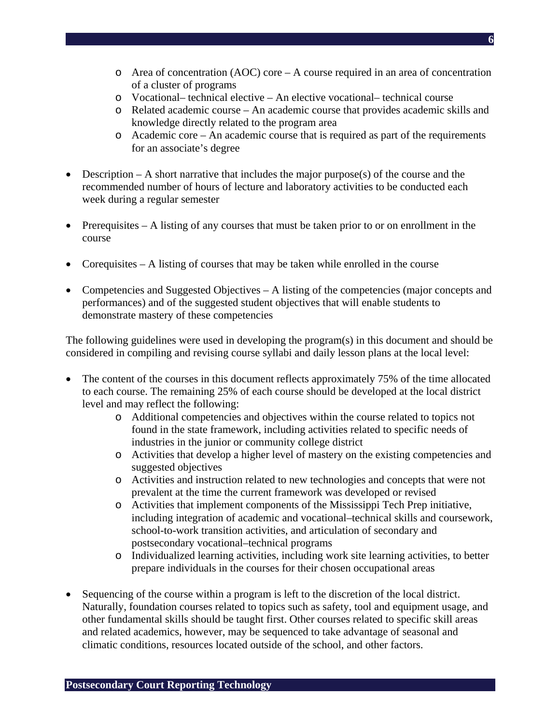- $\circ$  Area of concentration (AOC) core A course required in an area of concentration of a cluster of programs
- o Vocational– technical elective An elective vocational– technical course
- o Related academic course An academic course that provides academic skills and knowledge directly related to the program area
- o Academic core An academic course that is required as part of the requirements for an associate's degree
- Description A short narrative that includes the major purpose(s) of the course and the recommended number of hours of lecture and laboratory activities to be conducted each week during a regular semester
- Prerequisites A listing of any courses that must be taken prior to or on enrollment in the course
- Corequisites A listing of courses that may be taken while enrolled in the course
- Competencies and Suggested Objectives A listing of the competencies (major concepts and performances) and of the suggested student objectives that will enable students to demonstrate mastery of these competencies

The following guidelines were used in developing the program(s) in this document and should be considered in compiling and revising course syllabi and daily lesson plans at the local level:

- The content of the courses in this document reflects approximately 75% of the time allocated to each course. The remaining 25% of each course should be developed at the local district level and may reflect the following:
	- o Additional competencies and objectives within the course related to topics not found in the state framework, including activities related to specific needs of industries in the junior or community college district
	- o Activities that develop a higher level of mastery on the existing competencies and suggested objectives
	- o Activities and instruction related to new technologies and concepts that were not prevalent at the time the current framework was developed or revised
	- o Activities that implement components of the Mississippi Tech Prep initiative, including integration of academic and vocational–technical skills and coursework, school-to-work transition activities, and articulation of secondary and postsecondary vocational–technical programs
	- o Individualized learning activities, including work site learning activities, to better prepare individuals in the courses for their chosen occupational areas
- Sequencing of the course within a program is left to the discretion of the local district. Naturally, foundation courses related to topics such as safety, tool and equipment usage, and other fundamental skills should be taught first. Other courses related to specific skill areas and related academics, however, may be sequenced to take advantage of seasonal and climatic conditions, resources located outside of the school, and other factors.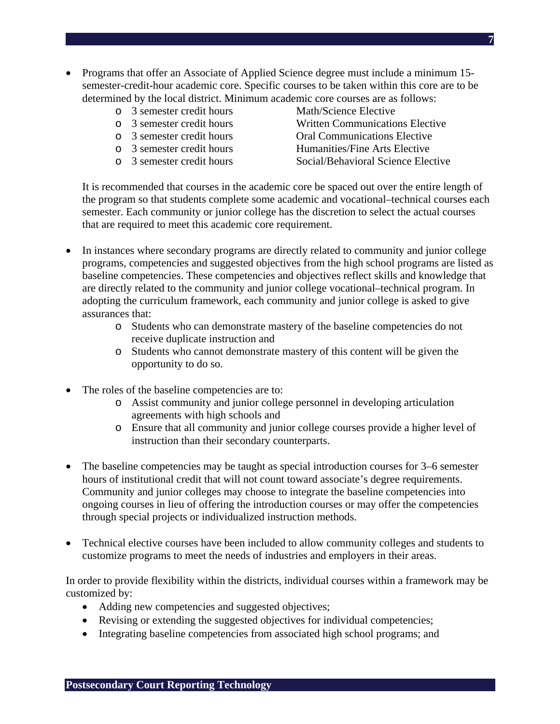- Programs that offer an Associate of Applied Science degree must include a minimum 15semester-credit-hour academic core. Specific courses to be taken within this core are to be determined by the local district. Minimum academic core courses are as follows:
	- o 3 semester credit hours Math/Science Elective
	-
	-
	-
	-
- 
- o 3 semester credit hours Written Communications Elective
- o 3 semester credit hours Oral Communications Elective
- o 3 semester credit hours Humanities/Fine Arts Elective
- o 3 semester credit hours Social/Behavioral Science Elective

It is recommended that courses in the academic core be spaced out over the entire length of the program so that students complete some academic and vocational–technical courses each semester. Each community or junior college has the discretion to select the actual courses that are required to meet this academic core requirement.

- In instances where secondary programs are directly related to community and junior college programs, competencies and suggested objectives from the high school programs are listed as baseline competencies. These competencies and objectives reflect skills and knowledge that are directly related to the community and junior college vocational–technical program. In adopting the curriculum framework, each community and junior college is asked to give assurances that:
	- o Students who can demonstrate mastery of the baseline competencies do not receive duplicate instruction and
	- o Students who cannot demonstrate mastery of this content will be given the opportunity to do so.
- The roles of the baseline competencies are to:
	- o Assist community and junior college personnel in developing articulation agreements with high schools and
	- o Ensure that all community and junior college courses provide a higher level of instruction than their secondary counterparts.
- The baseline competencies may be taught as special introduction courses for 3–6 semester hours of institutional credit that will not count toward associate's degree requirements. Community and junior colleges may choose to integrate the baseline competencies into ongoing courses in lieu of offering the introduction courses or may offer the competencies through special projects or individualized instruction methods.
- Technical elective courses have been included to allow community colleges and students to customize programs to meet the needs of industries and employers in their areas.

In order to provide flexibility within the districts, individual courses within a framework may be customized by:

- Adding new competencies and suggested objectives;
- Revising or extending the suggested objectives for individual competencies;
- Integrating baseline competencies from associated high school programs; and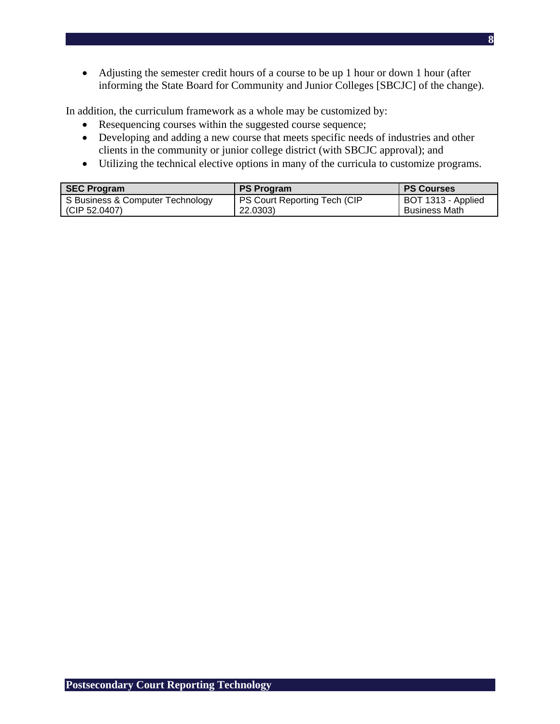• Adjusting the semester credit hours of a course to be up 1 hour or down 1 hour (after informing the State Board for Community and Junior Colleges [SBCJC] of the change).

In addition, the curriculum framework as a whole may be customized by:

- Resequencing courses within the suggested course sequence;
- Developing and adding a new course that meets specific needs of industries and other clients in the community or junior college district (with SBCJC approval); and
- Utilizing the technical elective options in many of the curricula to customize programs.

| <b>SEC Program</b>               | <b>PS Program</b>            | <b>PS Courses</b>  |
|----------------------------------|------------------------------|--------------------|
| S Business & Computer Technology | PS Court Reporting Tech (CIP | BOT 1313 - Applied |
| (CIP 52.0407)                    | 22.0303)                     | Business Math      |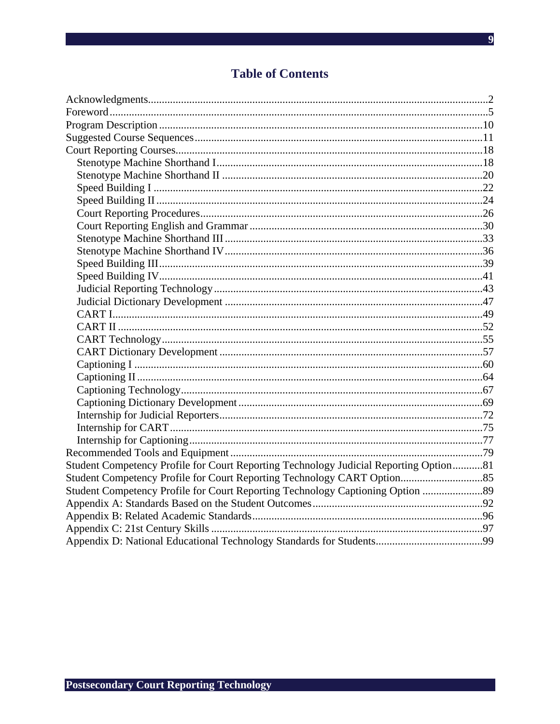# **Table of Contents**

| Student Competency Profile for Court Reporting Technology Judicial Reporting Option81 |  |
|---------------------------------------------------------------------------------------|--|
|                                                                                       |  |
| Student Competency Profile for Court Reporting Technology Captioning Option  89       |  |
|                                                                                       |  |
|                                                                                       |  |
|                                                                                       |  |
|                                                                                       |  |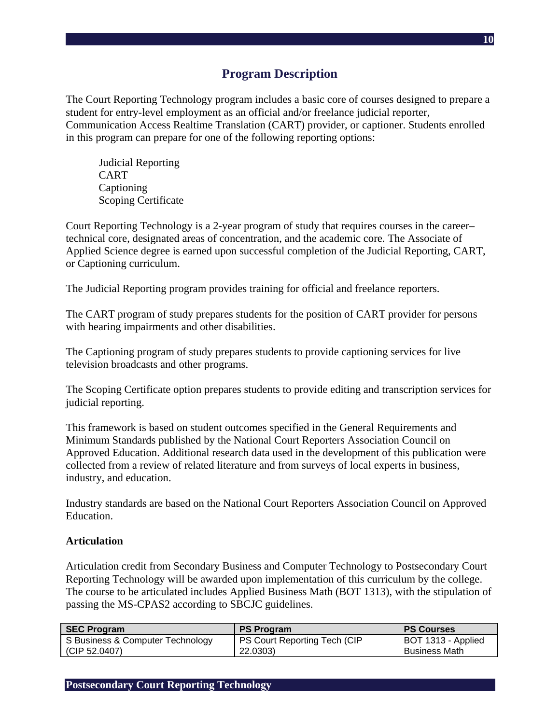# **Program Description**

The Court Reporting Technology program includes a basic core of courses designed to prepare a student for entry-level employment as an official and/or freelance judicial reporter, Communication Access Realtime Translation (CART) provider, or captioner. Students enrolled in this program can prepare for one of the following reporting options:

Judicial Reporting CART Captioning Scoping Certificate

Court Reporting Technology is a 2-year program of study that requires courses in the career– technical core, designated areas of concentration, and the academic core. The Associate of Applied Science degree is earned upon successful completion of the Judicial Reporting, CART, or Captioning curriculum.

The Judicial Reporting program provides training for official and freelance reporters.

The CART program of study prepares students for the position of CART provider for persons with hearing impairments and other disabilities.

The Captioning program of study prepares students to provide captioning services for live television broadcasts and other programs.

The Scoping Certificate option prepares students to provide editing and transcription services for judicial reporting.

This framework is based on student outcomes specified in the General Requirements and Minimum Standards published by the National Court Reporters Association Council on Approved Education. Additional research data used in the development of this publication were collected from a review of related literature and from surveys of local experts in business, industry, and education.

Industry standards are based on the National Court Reporters Association Council on Approved Education.

#### **Articulation**

Articulation credit from Secondary Business and Computer Technology to Postsecondary Court Reporting Technology will be awarded upon implementation of this curriculum by the college. The course to be articulated includes Applied Business Math (BOT 1313), with the stipulation of passing the MS-CPAS2 according to SBCJC guidelines.

| <b>SEC Program</b>               | <b>PS Program</b>                   | <b>PS Courses</b>    |
|----------------------------------|-------------------------------------|----------------------|
| S Business & Computer Technology | <b>PS Court Reporting Tech (CIP</b> | BOT 1313 - Applied   |
| (CIP 52.0407)                    | 22.0303)                            | <b>Business Math</b> |

**Postsecondary Court Reporting Technology**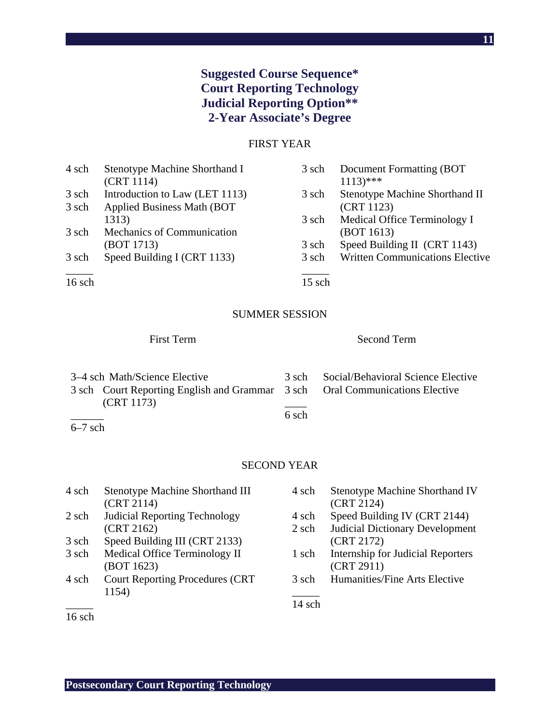# **Suggested Course Sequence\* Court Reporting Technology Judicial Reporting Option\*\* 2-Year Associate's Degree**

## FIRST YEAR

| 4 sch  | Stenotype Machine Shorthand I       | 3 sch  | Document Formatting (BOT               |
|--------|-------------------------------------|--------|----------------------------------------|
|        | (CRT 1114)                          |        | $1113$ <sup>***</sup>                  |
| 3 sch  | Introduction to Law (LET 1113)      | 3 sch  | Stenotype Machine Shorthand II         |
| 3 sch  | <b>Applied Business Math (BOT</b> ) |        | (CRT 1123)                             |
|        | 1313)                               | 3 sch  | Medical Office Terminology I           |
| 3 sch  | Mechanics of Communication          |        | (BOT 1613)                             |
|        | (BOT 1713)                          | 3 sch  | Speed Building II (CRT 1143)           |
| 3 sch  | Speed Building I (CRT 1133)         | 3 sch  | <b>Written Communications Elective</b> |
| 16 sch |                                     | 15 sch |                                        |

# SUMMER SESSION

# First Term Second Term

| 3–4 sch Math/Science Elective                                                |       | 3 sch Social/Behavioral Science Elective |
|------------------------------------------------------------------------------|-------|------------------------------------------|
| 3 sch Court Reporting English and Grammar 3 sch Oral Communications Elective |       |                                          |
| (CRT 1173)                                                                   |       |                                          |
|                                                                              | 6 sch |                                          |

SECOND YEAR

| 4 sch | Stenotype Machine Shorthand III        | 4 sch  | Stenotype M   |
|-------|----------------------------------------|--------|---------------|
|       | (CRT 2114)                             |        | (CRT 2124)    |
| 2 sch | <b>Judicial Reporting Technology</b>   | 4 sch  | Speed Buildi  |
|       | (CRT 2162)                             | 2 sch  | Judicial Dict |
| 3 sch | Speed Building III (CRT 2133)          |        | (CRT 2172)    |
| 3 sch | Medical Office Terminology II          | 1 sch  | Internship fo |
|       | (BOT 1623)                             |        | (CRT 2911)    |
| 4 sch | <b>Court Reporting Procedures (CRT</b> | 3 sch  | Humanities/I  |
|       | 1154)                                  |        |               |
|       |                                        | 14 sch |               |

| 4 sch | <b>Stenotype Machine Shorthand IV</b>    |
|-------|------------------------------------------|
|       | (CRT 2124)                               |
| 4 sch | Speed Building IV (CRT 2144)             |
| 2 sch | <b>Judicial Dictionary Development</b>   |
|       | (CRT 2172)                               |
| 1 sch | <b>Internship for Judicial Reporters</b> |
|       | (CRT 2911)                               |

Fine Arts Elective

16 sch

6–7 sch

**11**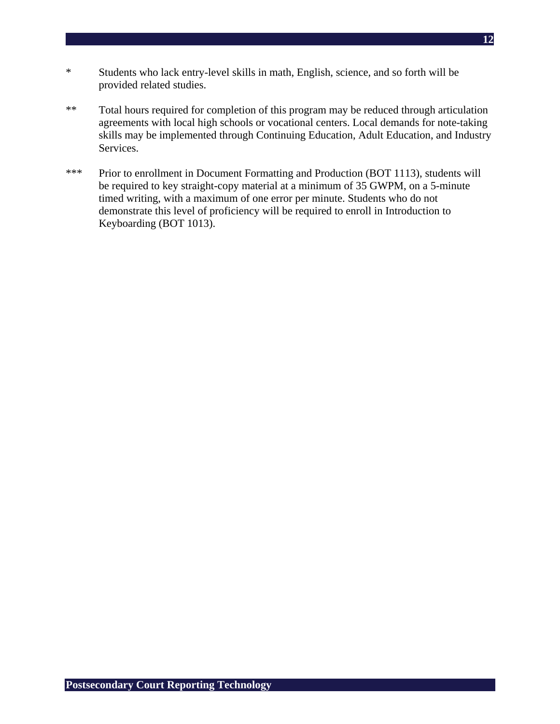- \* Students who lack entry-level skills in math, English, science, and so forth will be provided related studies.
- \*\* Total hours required for completion of this program may be reduced through articulation agreements with local high schools or vocational centers. Local demands for note-taking skills may be implemented through Continuing Education, Adult Education, and Industry Services.
- \*\*\* Prior to enrollment in Document Formatting and Production (BOT 1113), students will be required to key straight-copy material at a minimum of 35 GWPM, on a 5-minute timed writing, with a maximum of one error per minute. Students who do not demonstrate this level of proficiency will be required to enroll in Introduction to Keyboarding (BOT 1013).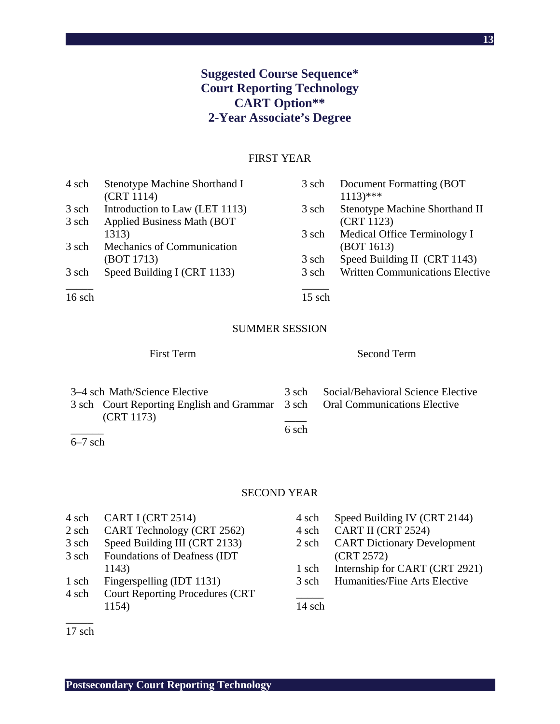# **Suggested Course Sequence\* Court Reporting Technology CART Option\*\* 2-Year Associate's Degree**

# FIRST YEAR

| 4 sch  | Stenotype Machine Shorthand I       | 3 sch    | Document Formatting (BOT               |
|--------|-------------------------------------|----------|----------------------------------------|
|        | (CRT 1114)                          |          | $1113$ <sup>***</sup>                  |
| 3 sch  | Introduction to Law (LET 1113)      | 3 sch    | Stenotype Machine Shorthand II         |
| 3 sch  | <b>Applied Business Math (BOT</b> ) |          | (CRT 1123)                             |
|        | 1313)                               | 3 sch    | Medical Office Terminology I           |
| 3 sch  | Mechanics of Communication          |          | (BOT 1613)                             |
|        | (BOT 1713)                          | 3 sch    | Speed Building II (CRT 1143)           |
| 3 sch  | Speed Building I (CRT 1133)         | 3 sch    | <b>Written Communications Elective</b> |
| 16 sch |                                     | $15$ sch |                                        |

#### SUMMER SESSION

# First Term Second Term

|           | 3–4 sch Math/Science Elective                                                |       | 3 sch Social/Behavioral Science Elective |
|-----------|------------------------------------------------------------------------------|-------|------------------------------------------|
|           | 3 sch Court Reporting English and Grammar 3 sch Oral Communications Elective |       |                                          |
|           | (CRT 1173)                                                                   |       |                                          |
|           |                                                                              | 6 sch |                                          |
| $6-7$ sch |                                                                              |       |                                          |

### SECOND YEAR

- 4 sch CART I (CRT 2514)
- 2 sch CART Technology (CRT 2562)
- 3 sch Speed Building III (CRT 2133)
- 3 sch Foundations of Deafness (IDT 1143)
- 1 sch Fingerspelling (IDT 1131)
- 4 sch Court Reporting Procedures (CRT 1154)
- 4 sch Speed Building IV (CRT 2144)
- 4 sch CART II (CRT 2524)
- 2 sch CART Dictionary Development (CRT 2572)
- 1 sch Internship for CART (CRT 2921)
- 3 sch Humanities/Fine Arts Elective

 $\overline{\phantom{a}}$ 14 sch

 $\overline{\phantom{a}}$ 17 sch

**Postsecondary Court Reporting Technology**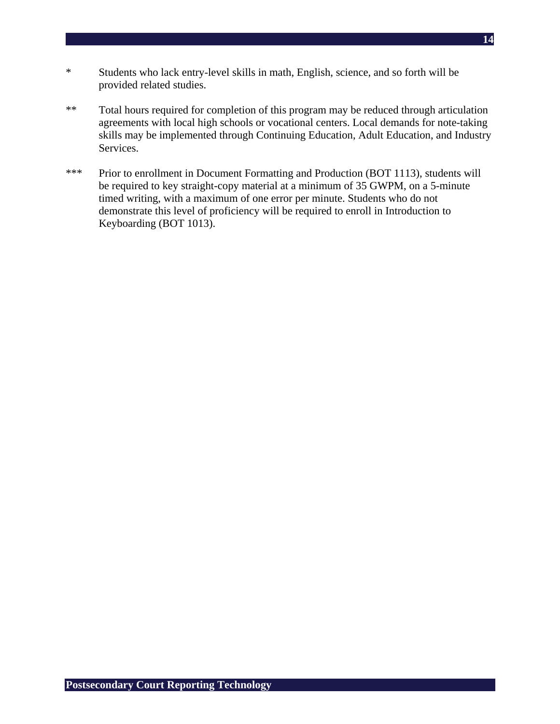- \* Students who lack entry-level skills in math, English, science, and so forth will be provided related studies.
- \*\* Total hours required for completion of this program may be reduced through articulation agreements with local high schools or vocational centers. Local demands for note-taking skills may be implemented through Continuing Education, Adult Education, and Industry Services.
- \*\*\* Prior to enrollment in Document Formatting and Production (BOT 1113), students will be required to key straight-copy material at a minimum of 35 GWPM, on a 5-minute timed writing, with a maximum of one error per minute. Students who do not demonstrate this level of proficiency will be required to enroll in Introduction to Keyboarding (BOT 1013).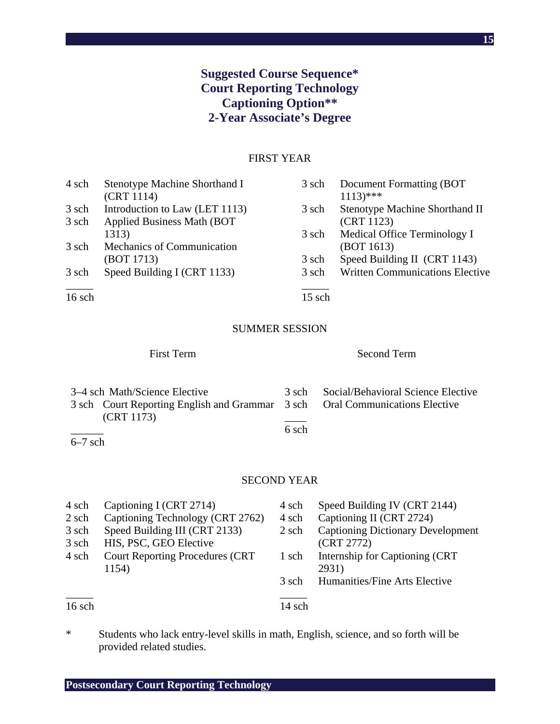# **Suggested Course Sequence\* Court Reporting Technology Captioning Option\*\* 2-Year Associate's Degree**

# FIRST YEAR

| Stenotype Machine Shorthand I       | 3 sch | Document Formatting (BOT)              |
|-------------------------------------|-------|----------------------------------------|
| (CRT 1114)                          |       | $1113$ <sup>***</sup>                  |
| Introduction to Law (LET 1113)      | 3 sch | Stenotype Machine Shorthand II         |
| <b>Applied Business Math (BOT</b> ) |       | (CRT 1123)                             |
| 1313)                               | 3 sch | Medical Office Terminology I           |
| Mechanics of Communication          |       | (BOT 1613)                             |
| (BOT 1713)                          | 3 sch | Speed Building II (CRT 1143)           |
| Speed Building I (CRT 1133)         | 3 sch | <b>Written Communications Elective</b> |
|                                     |       |                                        |
|                                     |       | 15 sch                                 |

#### SUMMER SESSION

First Term Second Term

| 3–4 sch Math/Science Elective |                                                                              |       | 3 sch Social/Behavioral Science Elective |
|-------------------------------|------------------------------------------------------------------------------|-------|------------------------------------------|
|                               | 3 sch Court Reporting English and Grammar 3 sch Oral Communications Elective |       |                                          |
|                               | (CRT 1173)                                                                   |       |                                          |
|                               |                                                                              | 6 sch |                                          |
| $6-7$ sch                     |                                                                              |       |                                          |

#### SECOND YEAR

| 4 sch  | Captioning I (CRT 2714)                | 4 sch  | Speed Building IV (CRT 2144)             |
|--------|----------------------------------------|--------|------------------------------------------|
| 2 sch  | Captioning Technology (CRT 2762)       | 4 sch  | Captioning II (CRT 2724)                 |
| 3 sch  | Speed Building III (CRT 2133)          | 2 sch  | <b>Captioning Dictionary Development</b> |
| 3 sch  | HIS, PSC, GEO Elective                 |        | (CRT 2772)                               |
| 4 sch  | <b>Court Reporting Procedures (CRT</b> | 1 sch  | Internship for Captioning (CRT)          |
|        | 1154)                                  |        | 2931)                                    |
|        |                                        | 3 sch  | Humanities/Fine Arts Elective            |
|        |                                        |        |                                          |
| 16 sch |                                        | 14 sch |                                          |

\* Students who lack entry-level skills in math, English, science, and so forth will be provided related studies.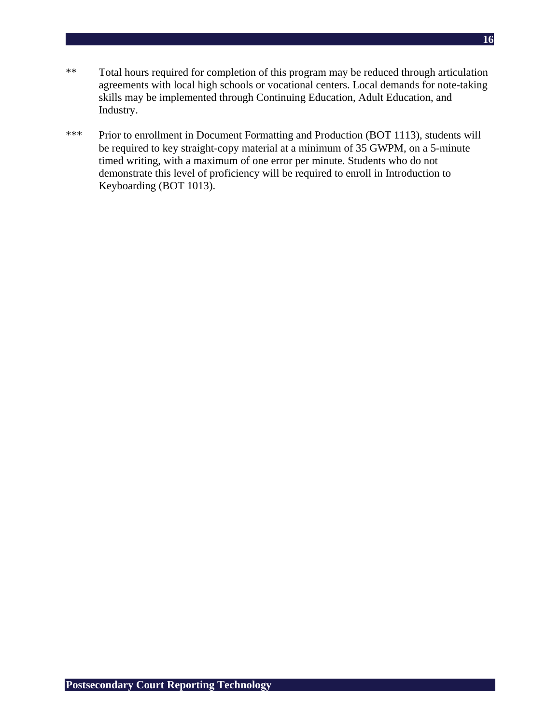- \*\* Total hours required for completion of this program may be reduced through articulation agreements with local high schools or vocational centers. Local demands for note-taking skills may be implemented through Continuing Education, Adult Education, and Industry.
- \*\*\* Prior to enrollment in Document Formatting and Production (BOT 1113), students will be required to key straight-copy material at a minimum of 35 GWPM, on a 5-minute timed writing, with a maximum of one error per minute. Students who do not demonstrate this level of proficiency will be required to enroll in Introduction to Keyboarding (BOT 1013).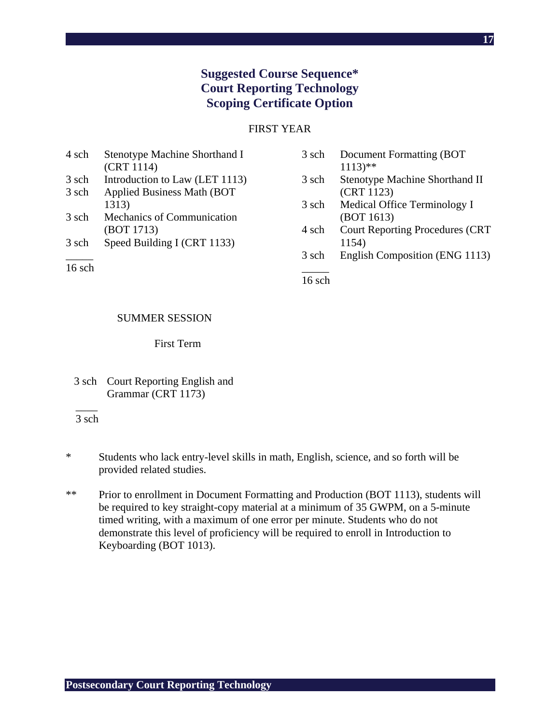# **Suggested Course Sequence\* Court Reporting Technology Scoping Certificate Option**

### FIRST YEAR

| 4 sch  | Stenotype Machine Shorthand I     | 3 sch | Document Formatting (BOT               |
|--------|-----------------------------------|-------|----------------------------------------|
|        | (CRT 1114)                        |       | $1113$ <sup>**</sup>                   |
| 3 sch  | Introduction to Law (LET 1113)    | 3 sch | Stenotype Machine Shorthand II         |
| 3 sch  | <b>Applied Business Math (BOT</b> |       | (CRT 1123)                             |
|        | 1313)                             | 3 sch | Medical Office Terminology I           |
| 3 sch  | Mechanics of Communication        |       | (BOT 1613)                             |
|        | (BOT 1713)                        | 4 sch | <b>Court Reporting Procedures (CRT</b> |
| 3 sch  | Speed Building I (CRT 1133)       |       | 1154)                                  |
|        |                                   | 3 sch | English Composition (ENG 1113)         |
| 16 sch |                                   |       |                                        |

16 sch

#### SUMMER SESSION

## First Term

 $\overline{\phantom{a}}$ 3 sch

- \* Students who lack entry-level skills in math, English, science, and so forth will be provided related studies.
- \*\* Prior to enrollment in Document Formatting and Production (BOT 1113), students will be required to key straight-copy material at a minimum of 35 GWPM, on a 5-minute timed writing, with a maximum of one error per minute. Students who do not demonstrate this level of proficiency will be required to enroll in Introduction to Keyboarding (BOT 1013).

<sup>3</sup> sch Court Reporting English and Grammar (CRT 1173)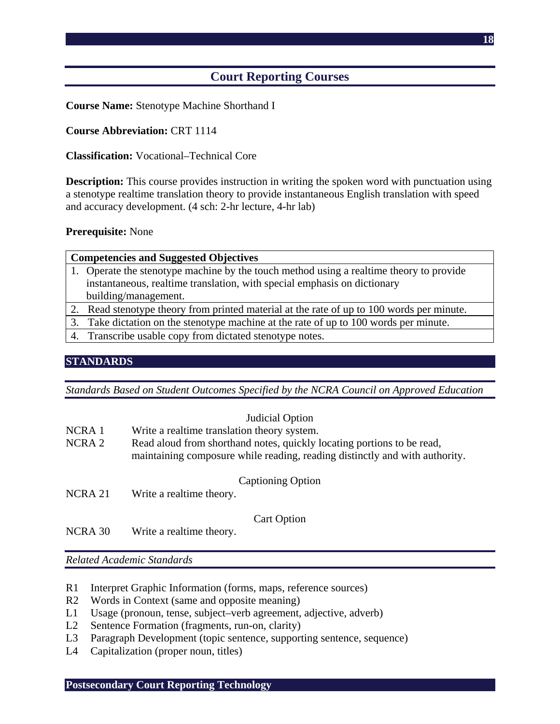# **Court Reporting Courses**

**Course Name:** Stenotype Machine Shorthand I

# **Course Abbreviation:** CRT 1114

### **Classification:** Vocational–Technical Core

**Description:** This course provides instruction in writing the spoken word with punctuation using a stenotype realtime translation theory to provide instantaneous English translation with speed and accuracy development. (4 sch: 2-hr lecture, 4-hr lab)

#### **Prerequisite:** None

| <b>Competencies and Suggested Objectives</b>                                            |  |
|-----------------------------------------------------------------------------------------|--|
| 1. Operate the stenotype machine by the touch method using a realtime theory to provide |  |
| instantaneous, realtime translation, with special emphasis on dictionary                |  |
| building/management.                                                                    |  |
| Read stenotype theory from printed material at the rate of up to 100 words per minute.  |  |

- 3. Take dictation on the stenotype machine at the rate of up to 100 words per minute.
- 4. Transcribe usable copy from dictated stenotype notes.

# **STANDARDS**

*Standards Based on Student Outcomes Specified by the NCRA Council on Approved Education* 

|         | Judicial Option                                                                                                                                       |
|---------|-------------------------------------------------------------------------------------------------------------------------------------------------------|
| NCRA 1  | Write a realtime translation theory system.                                                                                                           |
| NCRA 2  | Read aloud from shorthand notes, quickly locating portions to be read,<br>maintaining composure while reading, reading distinctly and with authority. |
| NCRA 21 | <b>Captioning Option</b><br>Write a realtime theory.                                                                                                  |
|         | <b>Cart Option</b>                                                                                                                                    |

NCRA 30 Write a realtime theory.

*Related Academic Standards* 

- R1 Interpret Graphic Information (forms, maps, reference sources)
- R2 Words in Context (same and opposite meaning)
- L1 Usage (pronoun, tense, subject–verb agreement, adjective, adverb)
- L2 Sentence Formation (fragments, run-on, clarity)
- L3 Paragraph Development (topic sentence, supporting sentence, sequence)
- L4 Capitalization (proper noun, titles)

### **Postsecondary Court Reporting Technology**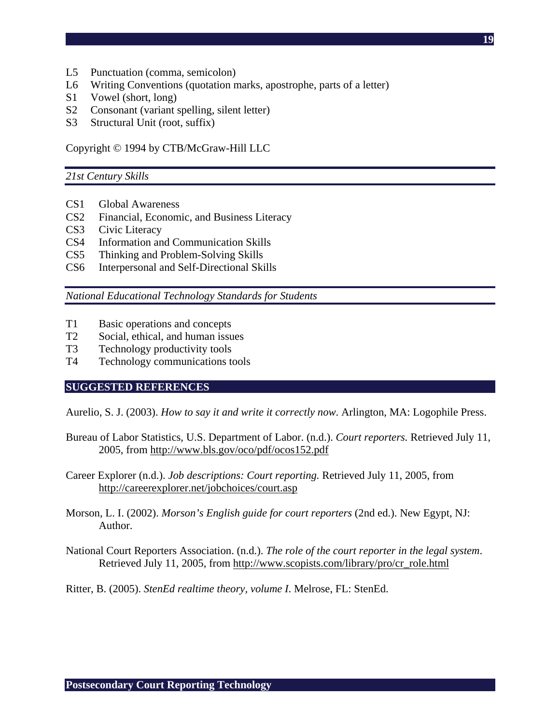- L5 Punctuation (comma, semicolon)
- L6 Writing Conventions (quotation marks, apostrophe, parts of a letter)
- S1 Vowel (short, long)
- S2 Consonant (variant spelling, silent letter)
- S3 Structural Unit (root, suffix)

Copyright © 1994 by CTB/McGraw-Hill LLC

#### *21st Century Skills*

- CS1 Global Awareness
- CS2 Financial, Economic, and Business Literacy
- CS3 Civic Literacy
- CS4 Information and Communication Skills
- CS5 Thinking and Problem-Solving Skills
- CS6 Interpersonal and Self-Directional Skills

*National Educational Technology Standards for Students* 

- T1 Basic operations and concepts
- T2 Social, ethical, and human issues
- T3 Technology productivity tools
- T4 Technology communications tools

### **SUGGESTED REFERENCES**

Aurelio, S. J. (2003). *How to say it and write it correctly now*. Arlington, MA: Logophile Press.

- Bureau of Labor Statistics, U.S. Department of Labor. (n.d.). *Court reporters.* Retrieved July 11, 2005, from http://www.bls.gov/oco/pdf/ocos152.pdf
- Career Explorer (n.d.). *Job descriptions: Court reporting.* Retrieved July 11, 2005, from http://careerexplorer.net/jobchoices/court.asp
- Morson, L. I. (2002). *Morson's English guide for court reporters* (2nd ed.). New Egypt, NJ: Author.
- National Court Reporters Association. (n.d.). *The role of the court reporter in the legal system*. Retrieved July 11, 2005, from http://www.scopists.com/library/pro/cr\_role.html

Ritter, B. (2005). *StenEd realtime theory, volume I*. Melrose, FL: StenEd.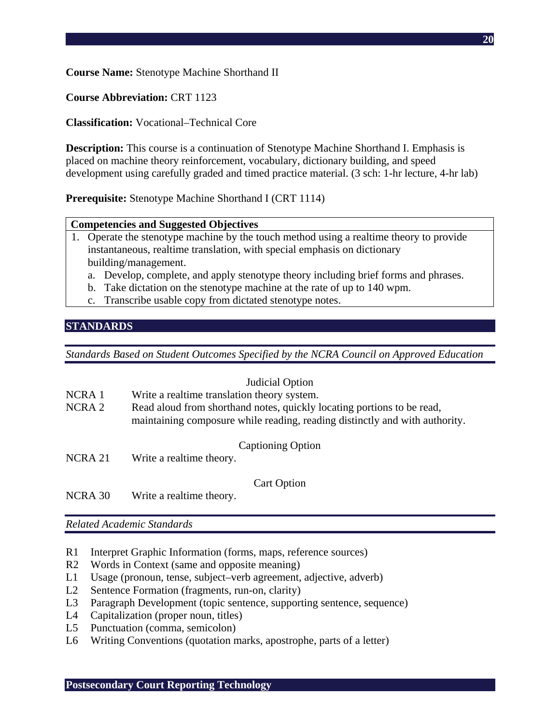**Course Name:** Stenotype Machine Shorthand II

**Course Abbreviation:** CRT 1123

**Classification:** Vocational–Technical Core

**Description:** This course is a continuation of Stenotype Machine Shorthand I. Emphasis is placed on machine theory reinforcement, vocabulary, dictionary building, and speed development using carefully graded and timed practice material. (3 sch: 1-hr lecture, 4-hr lab)

**Prerequisite:** Stenotype Machine Shorthand I (CRT 1114)

# **Competencies and Suggested Objectives**

- 1. Operate the stenotype machine by the touch method using a realtime theory to provide instantaneous, realtime translation, with special emphasis on dictionary building/management.
	- a. Develop, complete, and apply stenotype theory including brief forms and phrases.
	- b. Take dictation on the stenotype machine at the rate of up to 140 wpm.
	- c. Transcribe usable copy from dictated stenotype notes.

# **STANDARDS**

*Standards Based on Student Outcomes Specified by the NCRA Council on Approved Education* 

|                   | Judicial Option                                                                                                                                       |
|-------------------|-------------------------------------------------------------------------------------------------------------------------------------------------------|
| NCRA 1            | Write a realtime translation theory system.                                                                                                           |
| NCRA <sub>2</sub> | Read aloud from shorthand notes, quickly locating portions to be read,<br>maintaining composure while reading, reading distinctly and with authority. |
| NCRA 21           | <b>Captioning Option</b><br>Write a realtime theory.                                                                                                  |
| NCRA 30           | <b>Cart Option</b><br>Write a realtime theory.                                                                                                        |

*Related Academic Standards* 

- R1 Interpret Graphic Information (forms, maps, reference sources)
- R2 Words in Context (same and opposite meaning)
- L1 Usage (pronoun, tense, subject–verb agreement, adjective, adverb)
- L2 Sentence Formation (fragments, run-on, clarity)
- L3 Paragraph Development (topic sentence, supporting sentence, sequence)
- L4 Capitalization (proper noun, titles)
- L5 Punctuation (comma, semicolon)
- L6 Writing Conventions (quotation marks, apostrophe, parts of a letter)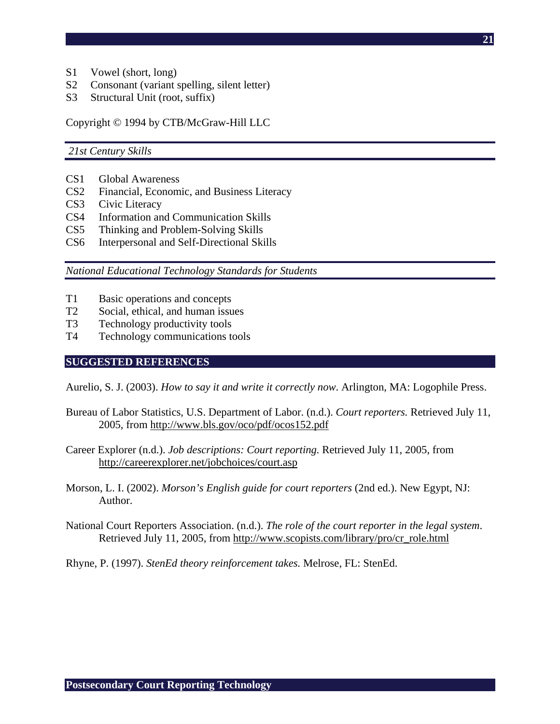- S1 Vowel (short, long)
- S2 Consonant (variant spelling, silent letter)
- S3 Structural Unit (root, suffix)

Copyright © 1994 by CTB/McGraw-Hill LLC

 *21st Century Skills* 

- CS1 Global Awareness
- CS2 Financial, Economic, and Business Literacy
- CS3 Civic Literacy
- CS4 Information and Communication Skills
- CS5 Thinking and Problem-Solving Skills
- CS6 Interpersonal and Self-Directional Skills

*National Educational Technology Standards for Students* 

- T1 Basic operations and concepts
- T2 Social, ethical, and human issues
- T3 Technology productivity tools
- T4 Technology communications tools

#### **SUGGESTED REFERENCES**

Aurelio, S. J. (2003). *How to say it and write it correctly now*. Arlington, MA: Logophile Press.

- Bureau of Labor Statistics, U.S. Department of Labor. (n.d.). *Court reporters.* Retrieved July 11, 2005, from http://www.bls.gov/oco/pdf/ocos152.pdf
- Career Explorer (n.d.). *Job descriptions: Court reporting.* Retrieved July 11, 2005, from http://careerexplorer.net/jobchoices/court.asp
- Morson, L. I. (2002). *Morson's English guide for court reporters* (2nd ed.). New Egypt, NJ: Author.

National Court Reporters Association. (n.d.). *The role of the court reporter in the legal system*. Retrieved July 11, 2005, from http://www.scopists.com/library/pro/cr\_role.html

Rhyne, P. (1997). *StenEd theory reinforcement takes.* Melrose, FL: StenEd.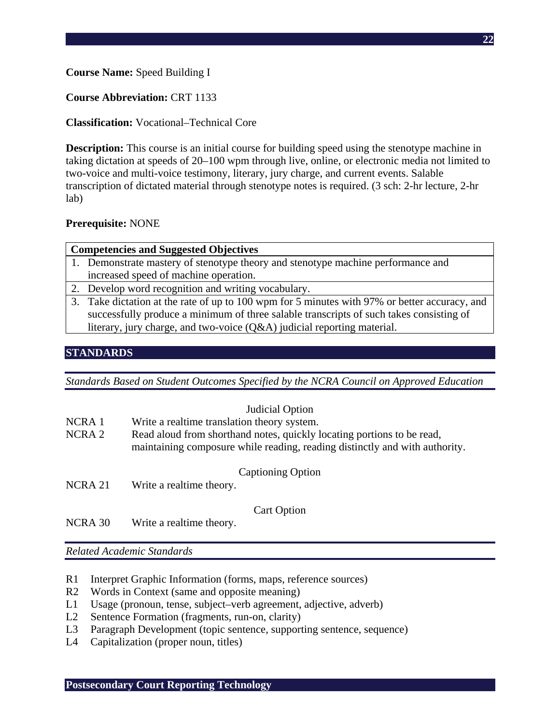# **Course Name:** Speed Building I

# **Course Abbreviation:** CRT 1133

# **Classification:** Vocational–Technical Core

**Description:** This course is an initial course for building speed using the stenotype machine in taking dictation at speeds of 20–100 wpm through live, online, or electronic media not limited to two-voice and multi-voice testimony, literary, jury charge, and current events. Salable transcription of dictated material through stenotype notes is required. (3 sch: 2-hr lecture, 2-hr lab)

# **Prerequisite:** NONE

### **Competencies and Suggested Objectives**

- 1. Demonstrate mastery of stenotype theory and stenotype machine performance and increased speed of machine operation.
- 2. Develop word recognition and writing vocabulary.
- 3. Take dictation at the rate of up to 100 wpm for 5 minutes with 97% or better accuracy, and successfully produce a minimum of three salable transcripts of such takes consisting of literary, jury charge, and two-voice (Q&A) judicial reporting material.

# **STANDARDS**

*Standards Based on Student Outcomes Specified by the NCRA Council on Approved Education* 

### Judicial Option

- NCRA 1 Write a realtime translation theory system.
- NCRA 2 Read aloud from shorthand notes, quickly locating portions to be read, maintaining composure while reading, reading distinctly and with authority.
	- Captioning Option
- NCRA 21 Write a realtime theory.

Cart Option

NCRA 30 Write a realtime theory.

*Related Academic Standards* 

- R1 Interpret Graphic Information (forms, maps, reference sources)
- R2 Words in Context (same and opposite meaning)
- L1 Usage (pronoun, tense, subject–verb agreement, adjective, adverb)
- L2 Sentence Formation (fragments, run-on, clarity)
- L3 Paragraph Development (topic sentence, supporting sentence, sequence)
- L4 Capitalization (proper noun, titles)

**Postsecondary Court Reporting Technology**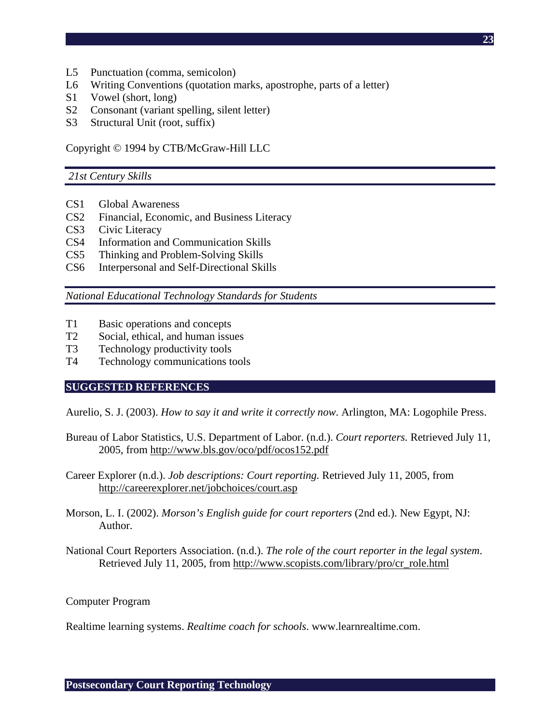- L5 Punctuation (comma, semicolon)
- L6 Writing Conventions (quotation marks, apostrophe, parts of a letter)
- S1 Vowel (short, long)
- S2 Consonant (variant spelling, silent letter)
- S3 Structural Unit (root, suffix)

Copyright © 1994 by CTB/McGraw-Hill LLC

#### *21st Century Skills*

- CS1 Global Awareness
- CS2 Financial, Economic, and Business Literacy
- CS3 Civic Literacy
- CS4 Information and Communication Skills
- CS5 Thinking and Problem-Solving Skills
- CS6 Interpersonal and Self-Directional Skills

*National Educational Technology Standards for Students* 

- T1 Basic operations and concepts
- T2 Social, ethical, and human issues
- T3 Technology productivity tools
- T4 Technology communications tools

### **SUGGESTED REFERENCES**

Aurelio, S. J. (2003). *How to say it and write it correctly now*. Arlington, MA: Logophile Press.

- Bureau of Labor Statistics, U.S. Department of Labor. (n.d.). *Court reporters.* Retrieved July 11, 2005, from http://www.bls.gov/oco/pdf/ocos152.pdf
- Career Explorer (n.d.). *Job descriptions: Court reporting.* Retrieved July 11, 2005, from http://careerexplorer.net/jobchoices/court.asp
- Morson, L. I. (2002). *Morson's English guide for court reporters* (2nd ed.). New Egypt, NJ: Author.
- National Court Reporters Association. (n.d.). *The role of the court reporter in the legal system*. Retrieved July 11, 2005, from http://www.scopists.com/library/pro/cr\_role.html

Computer Program

Realtime learning systems. *Realtime coach for schools*. www.learnrealtime.com.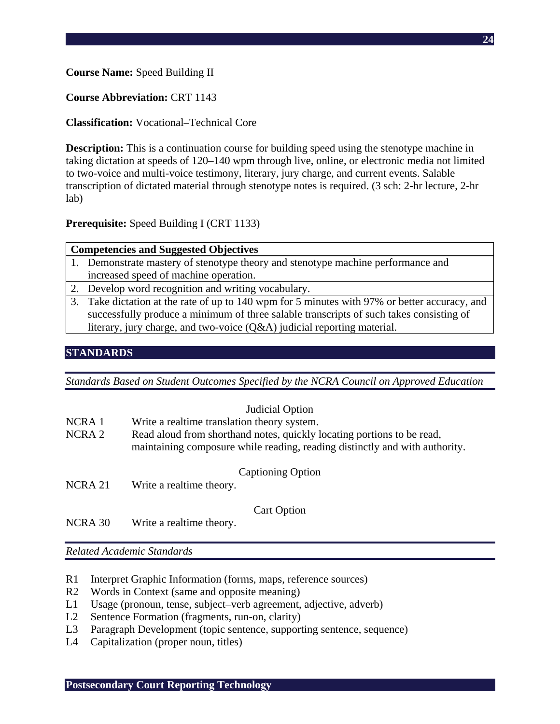# **Course Name:** Speed Building II

# **Course Abbreviation:** CRT 1143

# **Classification:** Vocational–Technical Core

**Description:** This is a continuation course for building speed using the stenotype machine in taking dictation at speeds of 120–140 wpm through live, online, or electronic media not limited to two-voice and multi-voice testimony, literary, jury charge, and current events. Salable transcription of dictated material through stenotype notes is required. (3 sch: 2-hr lecture, 2-hr lab)

# **Prerequisite:** Speed Building I (CRT 1133)

#### **Competencies and Suggested Objectives**

- 1. Demonstrate mastery of stenotype theory and stenotype machine performance and increased speed of machine operation.
- 2. Develop word recognition and writing vocabulary.
- 3. Take dictation at the rate of up to 140 wpm for 5 minutes with 97% or better accuracy, and successfully produce a minimum of three salable transcripts of such takes consisting of literary, jury charge, and two-voice (Q&A) judicial reporting material.

# **STANDARDS**

*Standards Based on Student Outcomes Specified by the NCRA Council on Approved Education* 

### Judicial Option

- NCRA 1 Write a realtime translation theory system.
- NCRA 2 Read aloud from shorthand notes, quickly locating portions to be read, maintaining composure while reading, reading distinctly and with authority.
	- Captioning Option
- NCRA 21 Write a realtime theory.

Cart Option

NCRA 30 Write a realtime theory.

*Related Academic Standards* 

- R1 Interpret Graphic Information (forms, maps, reference sources)
- R2 Words in Context (same and opposite meaning)
- L1 Usage (pronoun, tense, subject–verb agreement, adjective, adverb)
- L2 Sentence Formation (fragments, run-on, clarity)
- L3 Paragraph Development (topic sentence, supporting sentence, sequence)
- L4 Capitalization (proper noun, titles)

**Postsecondary Court Reporting Technology**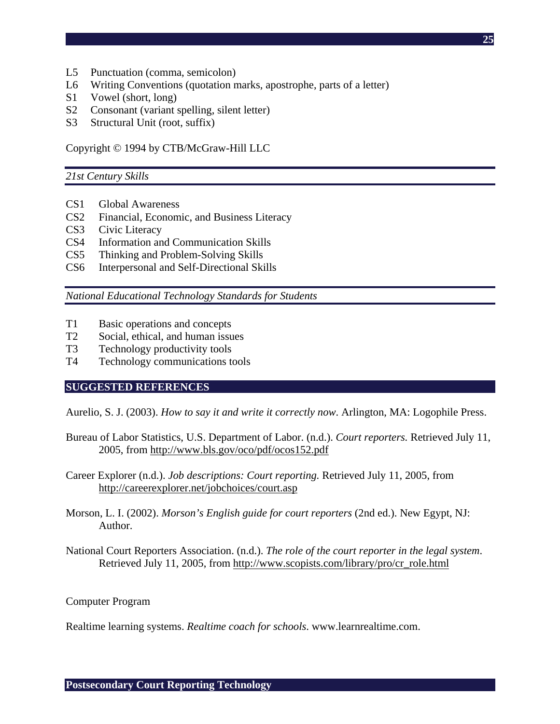- L5 Punctuation (comma, semicolon)
- L6 Writing Conventions (quotation marks, apostrophe, parts of a letter)
- S1 Vowel (short, long)
- S2 Consonant (variant spelling, silent letter)
- S3 Structural Unit (root, suffix)

Copyright © 1994 by CTB/McGraw-Hill LLC

#### *21st Century Skills*

- CS1 Global Awareness
- CS2 Financial, Economic, and Business Literacy
- CS3 Civic Literacy
- CS4 Information and Communication Skills
- CS5 Thinking and Problem-Solving Skills
- CS6 Interpersonal and Self-Directional Skills

*National Educational Technology Standards for Students* 

- T1 Basic operations and concepts
- T2 Social, ethical, and human issues
- T3 Technology productivity tools
- T4 Technology communications tools

### **SUGGESTED REFERENCES**

Aurelio, S. J. (2003). *How to say it and write it correctly now*. Arlington, MA: Logophile Press.

- Bureau of Labor Statistics, U.S. Department of Labor. (n.d.). *Court reporters.* Retrieved July 11, 2005, from http://www.bls.gov/oco/pdf/ocos152.pdf
- Career Explorer (n.d.). *Job descriptions: Court reporting.* Retrieved July 11, 2005, from http://careerexplorer.net/jobchoices/court.asp
- Morson, L. I. (2002). *Morson's English guide for court reporters* (2nd ed.). New Egypt, NJ: Author.
- National Court Reporters Association. (n.d.). *The role of the court reporter in the legal system*. Retrieved July 11, 2005, from http://www.scopists.com/library/pro/cr\_role.html

Computer Program

Realtime learning systems. *Realtime coach for schools*. www.learnrealtime.com.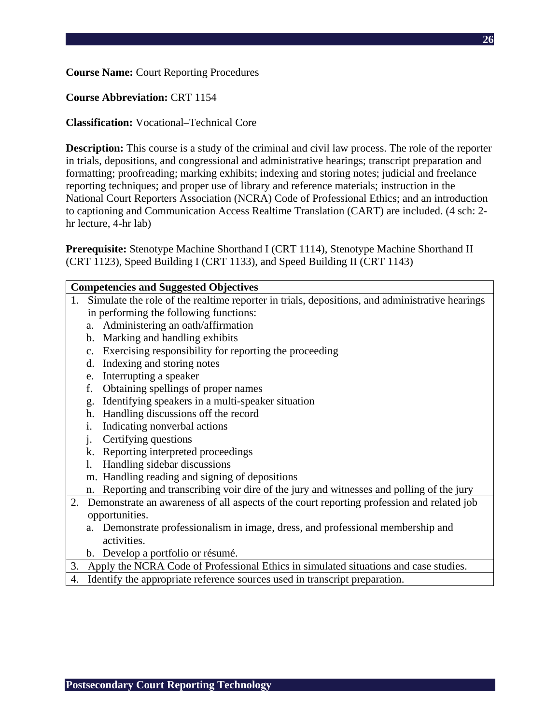# **Course Name:** Court Reporting Procedures

# **Course Abbreviation:** CRT 1154

# **Classification:** Vocational–Technical Core

**Description:** This course is a study of the criminal and civil law process. The role of the reporter in trials, depositions, and congressional and administrative hearings; transcript preparation and formatting; proofreading; marking exhibits; indexing and storing notes; judicial and freelance reporting techniques; and proper use of library and reference materials; instruction in the National Court Reporters Association (NCRA) Code of Professional Ethics; and an introduction to captioning and Communication Access Realtime Translation (CART) are included. (4 sch: 2 hr lecture, 4-hr lab)

**Prerequisite:** Stenotype Machine Shorthand I (CRT 1114), Stenotype Machine Shorthand II (CRT 1123), Speed Building I (CRT 1133), and Speed Building II (CRT 1143)

### **Competencies and Suggested Objectives**

- 1. Simulate the role of the realtime reporter in trials, depositions, and administrative hearings in performing the following functions:
	- a. Administering an oath/affirmation
	- b. Marking and handling exhibits
	- c. Exercising responsibility for reporting the proceeding
	- d. Indexing and storing notes
	- e. Interrupting a speaker
	- f. Obtaining spellings of proper names
	- g. Identifying speakers in a multi-speaker situation
	- h. Handling discussions off the record
	- i. Indicating nonverbal actions
	- j. Certifying questions
	- k. Reporting interpreted proceedings
	- l. Handling sidebar discussions
	- m. Handling reading and signing of depositions
	- n. Reporting and transcribing voir dire of the jury and witnesses and polling of the jury
- 2. Demonstrate an awareness of all aspects of the court reporting profession and related job opportunities.
	- a. Demonstrate professionalism in image, dress, and professional membership and activities.
	- b. Develop a portfolio or résumé.
- 3. Apply the NCRA Code of Professional Ethics in simulated situations and case studies.
- 4. Identify the appropriate reference sources used in transcript preparation.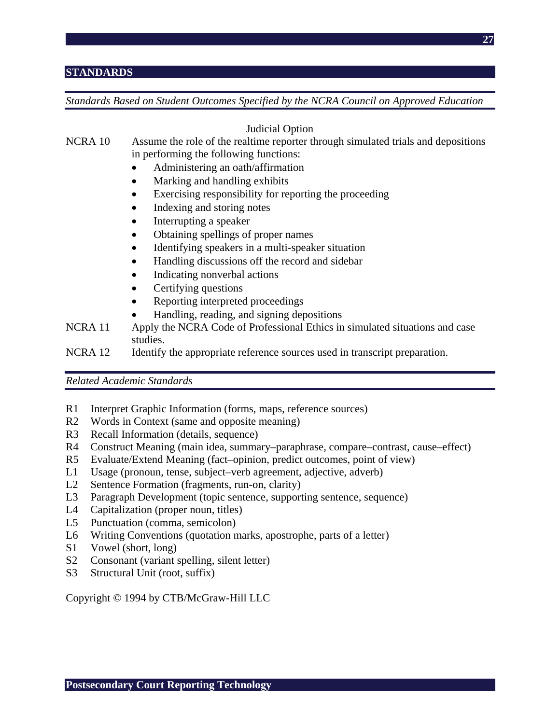# **STANDARDS**

*Standards Based on Student Outcomes Specified by the NCRA Council on Approved Education* 

Judicial Option

# NCRA 10 Assume the role of the realtime reporter through simulated trials and depositions in performing the following functions:

- Administering an oath/affirmation
- Marking and handling exhibits
- Exercising responsibility for reporting the proceeding
- Indexing and storing notes
- Interrupting a speaker
- Obtaining spellings of proper names
- Identifying speakers in a multi-speaker situation
- Handling discussions off the record and sidebar
- Indicating nonverbal actions
- Certifying questions
- Reporting interpreted proceedings
- Handling, reading, and signing depositions
- NCRA 11 Apply the NCRA Code of Professional Ethics in simulated situations and case studies.
- NCRA 12 Identify the appropriate reference sources used in transcript preparation.

*Related Academic Standards* 

- R1 Interpret Graphic Information (forms, maps, reference sources)
- R2 Words in Context (same and opposite meaning)
- R3 Recall Information (details, sequence)
- R4 Construct Meaning (main idea, summary–paraphrase, compare–contrast, cause–effect)
- R5 Evaluate/Extend Meaning (fact–opinion, predict outcomes, point of view)
- L1 Usage (pronoun, tense, subject–verb agreement, adjective, adverb)
- L2 Sentence Formation (fragments, run-on, clarity)
- L3 Paragraph Development (topic sentence, supporting sentence, sequence)
- L4 Capitalization (proper noun, titles)
- L5 Punctuation (comma, semicolon)
- L6 Writing Conventions (quotation marks, apostrophe, parts of a letter)
- S1 Vowel (short, long)
- S2 Consonant (variant spelling, silent letter)
- S3 Structural Unit (root, suffix)

Copyright © 1994 by CTB/McGraw-Hill LLC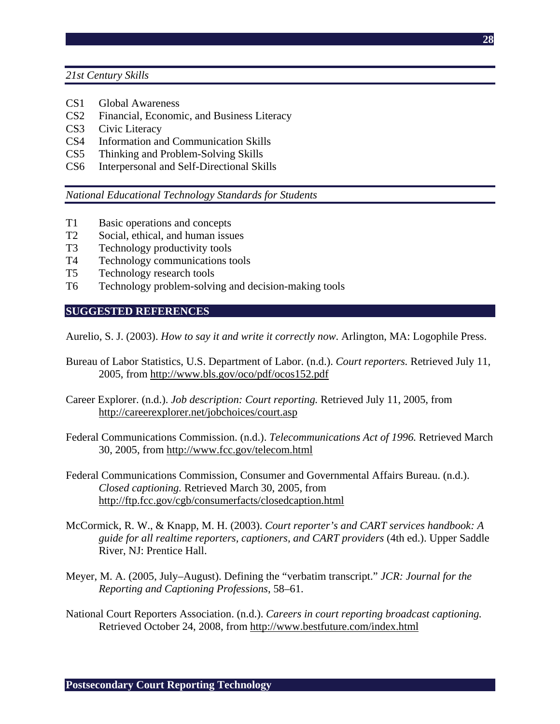*21st Century Skills* 

- CS1 Global Awareness
- CS2 Financial, Economic, and Business Literacy
- CS3 Civic Literacy
- CS4 Information and Communication Skills
- CS5 Thinking and Problem-Solving Skills
- CS6 Interpersonal and Self-Directional Skills

*National Educational Technology Standards for Students* 

- T1 Basic operations and concepts
- T2 Social, ethical, and human issues
- T3 Technology productivity tools
- T4 Technology communications tools
- T5 Technology research tools
- T6 Technology problem-solving and decision-making tools

## **SUGGESTED REFERENCES**

Aurelio, S. J. (2003). *How to say it and write it correctly now*. Arlington, MA: Logophile Press.

- Bureau of Labor Statistics, U.S. Department of Labor. (n.d.). *Court reporters.* Retrieved July 11, 2005, from http://www.bls.gov/oco/pdf/ocos152.pdf
- Career Explorer. (n.d.). *Job description: Court reporting.* Retrieved July 11, 2005, from http://careerexplorer.net/jobchoices/court.asp
- Federal Communications Commission. (n.d.). *Telecommunications Act of 1996.* Retrieved March 30, 2005, from http://www.fcc.gov/telecom.html
- Federal Communications Commission, Consumer and Governmental Affairs Bureau. (n.d.). *Closed captioning.* Retrieved March 30, 2005, from http://ftp.fcc.gov/cgb/consumerfacts/closedcaption.html
- McCormick, R. W., & Knapp, M. H. (2003). *Court reporter's and CART services handbook: A guide for all realtime reporters, captioners, and CART providers* (4th ed.). Upper Saddle River, NJ: Prentice Hall.
- Meyer, M. A. (2005, July–August). Defining the "verbatim transcript." *JCR: Journal for the Reporting and Captioning Professions*, 58–61.
- National Court Reporters Association. (n.d.). *Careers in court reporting broadcast captioning.* Retrieved October 24, 2008, from http://www.bestfuture.com/index.html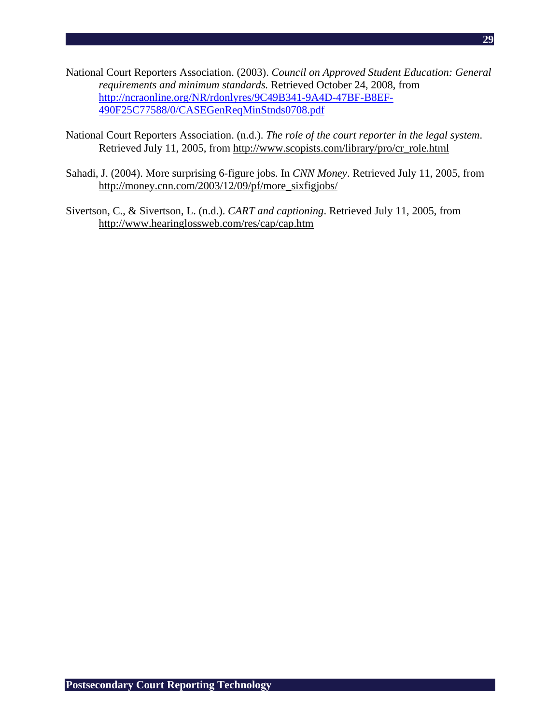- National Court Reporters Association. (2003). *Council on Approved Student Education: General requirements and minimum standards.* Retrieved October 24, 2008, from http://ncraonline.org/NR/rdonlyres/9C49B341-9A4D-47BF-B8EF-490F25C77588/0/CASEGenReqMinStnds0708.pdf
- National Court Reporters Association. (n.d.). *The role of the court reporter in the legal system*. Retrieved July 11, 2005, from http://www.scopists.com/library/pro/cr\_role.html
- Sahadi, J. (2004). More surprising 6-figure jobs. In *CNN Money*. Retrieved July 11, 2005, from http://money.cnn.com/2003/12/09/pf/more\_sixfigjobs/
- Sivertson, C., & Sivertson, L. (n.d.). *CART and captioning*. Retrieved July 11, 2005, from http://www.hearinglossweb.com/res/cap/cap.htm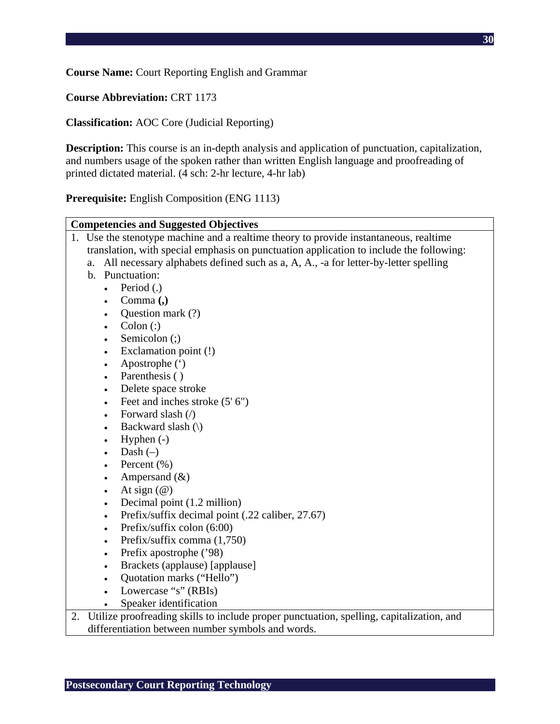**Course Name:** Court Reporting English and Grammar

**Course Abbreviation:** CRT 1173

**Classification:** AOC Core (Judicial Reporting)

**Description:** This course is an in-depth analysis and application of punctuation, capitalization, and numbers usage of the spoken rather than written English language and proofreading of printed dictated material. (4 sch: 2-hr lecture, 4-hr lab)

**Prerequisite:** English Composition (ENG 1113)

| <b>Competencies and Suggested Objectives</b>                                                   |
|------------------------------------------------------------------------------------------------|
| 1. Use the stenotype machine and a realtime theory to provide instantaneous, realtime          |
| translation, with special emphasis on punctuation application to include the following:        |
| All necessary alphabets defined such as a, A, A., -a for letter-by-letter spelling<br>a.       |
| $\mathbf{b}$ .<br>Punctuation:                                                                 |
| Period (.)                                                                                     |
| Comma (,)                                                                                      |
| Question mark (?)<br>$\bullet$                                                                 |
| $\text{Colon}$ $\left($ :)<br>$\bullet$                                                        |
| Semicolon (;)<br>$\bullet$                                                                     |
| Exclamation point (!)<br>$\bullet$                                                             |
| Apostrophe (')<br>$\bullet$                                                                    |
| Parenthesis ()<br>$\bullet$                                                                    |
| Delete space stroke<br>$\bullet$                                                               |
| Feet and inches stroke (5' 6")<br>$\bullet$                                                    |
| Forward slash (/)<br>$\bullet$                                                                 |
| Backward slash (\)<br>$\bullet$                                                                |
| Hyphen $(-)$<br>$\bullet$                                                                      |
| Dash $(-)$<br>$\bullet$                                                                        |
| Percent $(\% )$<br>$\bullet$                                                                   |
| Ampersand $(\&)$<br>$\bullet$                                                                  |
| At sign $(\mathcal{Q})$<br>$\bullet$                                                           |
| Decimal point (1.2 million)<br>$\bullet$                                                       |
| Prefix/suffix decimal point (.22 caliber, 27.67)<br>$\bullet$                                  |
| Prefix/suffix colon (6:00)<br>$\bullet$                                                        |
| Prefix/suffix comma (1,750)<br>$\bullet$                                                       |
| Prefix apostrophe ('98)<br>$\bullet$                                                           |
| Brackets (applause) [applause]<br>$\bullet$                                                    |
| Quotation marks ("Hello")<br>$\bullet$                                                         |
| Lowercase "s" (RBIs)<br>$\bullet$                                                              |
| Speaker identification                                                                         |
| Utilize proofreading skills to include proper punctuation, spelling, capitalization, and<br>2. |
| differentiation between number symbols and words.                                              |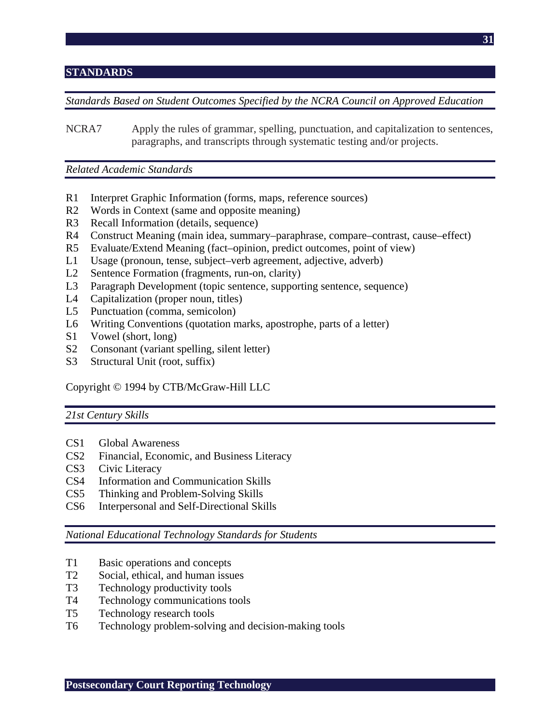# **STANDARDS**

*Standards Based on Student Outcomes Specified by the NCRA Council on Approved Education* 

NCRA7 Apply the rules of grammar, spelling, punctuation, and capitalization to sentences, paragraphs, and transcripts through systematic testing and/or projects.

*Related Academic Standards* 

- R1 Interpret Graphic Information (forms, maps, reference sources)
- R2 Words in Context (same and opposite meaning)
- R3 Recall Information (details, sequence)
- R4 Construct Meaning (main idea, summary–paraphrase, compare–contrast, cause–effect)
- R5 Evaluate/Extend Meaning (fact–opinion, predict outcomes, point of view)
- L1 Usage (pronoun, tense, subject–verb agreement, adjective, adverb)
- L2 Sentence Formation (fragments, run-on, clarity)
- L3 Paragraph Development (topic sentence, supporting sentence, sequence)
- L4 Capitalization (proper noun, titles)
- L5 Punctuation (comma, semicolon)
- L6 Writing Conventions (quotation marks, apostrophe, parts of a letter)
- S1 Vowel (short, long)
- S2 Consonant (variant spelling, silent letter)
- S3 Structural Unit (root, suffix)

Copyright © 1994 by CTB/McGraw-Hill LLC

#### *21st Century Skills*

- CS1 Global Awareness
- CS2 Financial, Economic, and Business Literacy
- CS3 Civic Literacy
- CS4 Information and Communication Skills
- CS5 Thinking and Problem-Solving Skills
- CS6 Interpersonal and Self-Directional Skills

#### *National Educational Technology Standards for Students*

- T1 Basic operations and concepts
- T2 Social, ethical, and human issues
- T3 Technology productivity tools
- T4 Technology communications tools
- T5 Technology research tools
- T6 Technology problem-solving and decision-making tools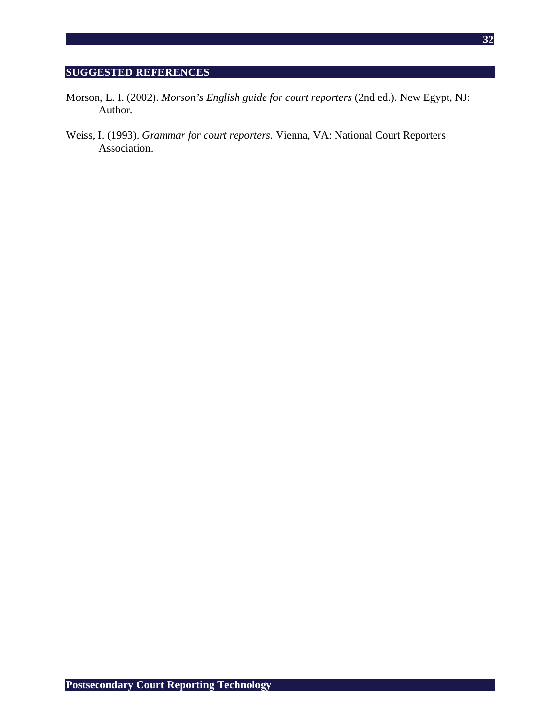# **SUGGESTED REFERENCES**

- Morson, L. I. (2002). *Morson's English guide for court reporters* (2nd ed.). New Egypt, NJ: Author.
- Weiss, I. (1993). *Grammar for court reporters.* Vienna, VA: National Court Reporters Association.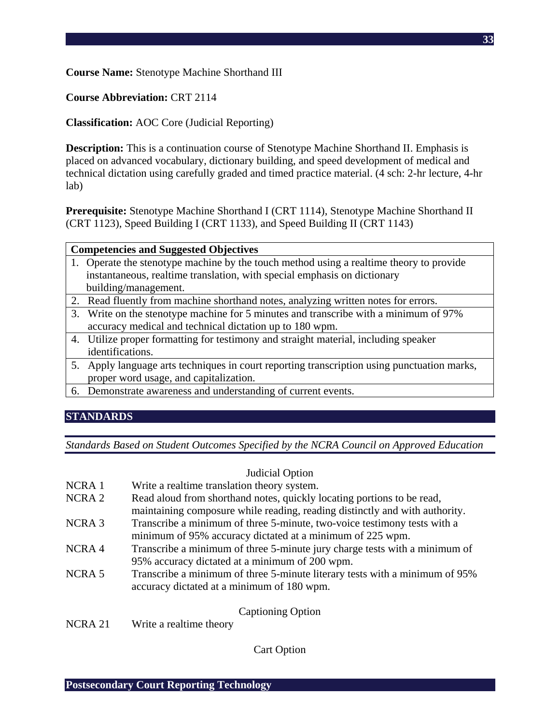**Course Name:** Stenotype Machine Shorthand III

**Course Abbreviation:** CRT 2114

**Classification:** AOC Core (Judicial Reporting)

**Description:** This is a continuation course of Stenotype Machine Shorthand II. Emphasis is placed on advanced vocabulary, dictionary building, and speed development of medical and technical dictation using carefully graded and timed practice material. (4 sch: 2-hr lecture, 4-hr lab)

**Prerequisite:** Stenotype Machine Shorthand I (CRT 1114), Stenotype Machine Shorthand II (CRT 1123), Speed Building I (CRT 1133), and Speed Building II (CRT 1143)

- 1. Operate the stenotype machine by the touch method using a realtime theory to provide instantaneous, realtime translation, with special emphasis on dictionary building/management.
- 2. Read fluently from machine shorthand notes, analyzing written notes for errors.
- 3. Write on the stenotype machine for 5 minutes and transcribe with a minimum of 97% accuracy medical and technical dictation up to 180 wpm.
- 4. Utilize proper formatting for testimony and straight material, including speaker identifications.
- 5. Apply language arts techniques in court reporting transcription using punctuation marks, proper word usage, and capitalization.
- 6. Demonstrate awareness and understanding of current events.

# **STANDARDS**

*Standards Based on Student Outcomes Specified by the NCRA Council on Approved Education* 

|                    | Judicial Option                                                                                                                                       |
|--------------------|-------------------------------------------------------------------------------------------------------------------------------------------------------|
| NCRA <sub>1</sub>  | Write a realtime translation theory system.                                                                                                           |
| NCRA <sub>2</sub>  | Read aloud from shorthand notes, quickly locating portions to be read,<br>maintaining composure while reading, reading distinctly and with authority. |
| NCRA <sub>3</sub>  | Transcribe a minimum of three 5-minute, two-voice testimony tests with a<br>minimum of 95% accuracy dictated at a minimum of 225 wpm.                 |
| NCRA4              | Transcribe a minimum of three 5-minute jury charge tests with a minimum of<br>95% accuracy dictated at a minimum of 200 wpm.                          |
| NCRA <sub>5</sub>  | Transcribe a minimum of three 5-minute literary tests with a minimum of 95%<br>accuracy dictated at a minimum of 180 wpm.                             |
|                    | <b>Captioning Option</b>                                                                                                                              |
| NCRA <sub>21</sub> | Write a realtime theory                                                                                                                               |

Cart Option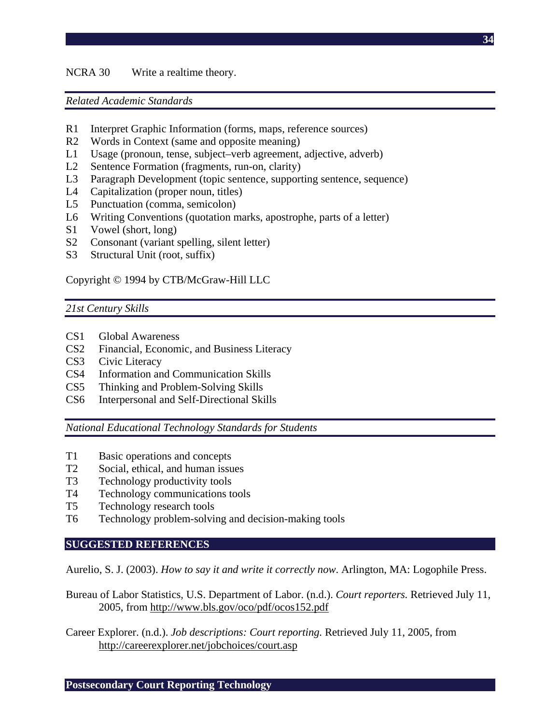## NCRA 30 Write a realtime theory.

### *Related Academic Standards*

- R1 Interpret Graphic Information (forms, maps, reference sources)
- R2 Words in Context (same and opposite meaning)
- L1 Usage (pronoun, tense, subject–verb agreement, adjective, adverb)
- L2 Sentence Formation (fragments, run-on, clarity)
- L3 Paragraph Development (topic sentence, supporting sentence, sequence)
- L4 Capitalization (proper noun, titles)
- L5 Punctuation (comma, semicolon)
- L6 Writing Conventions (quotation marks, apostrophe, parts of a letter)
- S1 Vowel (short, long)
- S2 Consonant (variant spelling, silent letter)
- S3 Structural Unit (root, suffix)

### Copyright © 1994 by CTB/McGraw-Hill LLC

## *21st Century Skills*

- CS1 Global Awareness
- CS2 Financial, Economic, and Business Literacy
- CS3 Civic Literacy
- CS4 Information and Communication Skills
- CS5 Thinking and Problem-Solving Skills
- CS6 Interpersonal and Self-Directional Skills

*National Educational Technology Standards for Students* 

- T1 Basic operations and concepts
- T2 Social, ethical, and human issues
- T3 Technology productivity tools
- T4 Technology communications tools
- T5 Technology research tools
- T6 Technology problem-solving and decision-making tools

#### **SUGGESTED REFERENCES**

Aurelio, S. J. (2003). *How to say it and write it correctly now*. Arlington, MA: Logophile Press.

- Bureau of Labor Statistics, U.S. Department of Labor. (n.d.). *Court reporters.* Retrieved July 11, 2005, from http://www.bls.gov/oco/pdf/ocos152.pdf
- Career Explorer. (n.d.). *Job descriptions: Court reporting.* Retrieved July 11, 2005, from http://careerexplorer.net/jobchoices/court.asp

**34**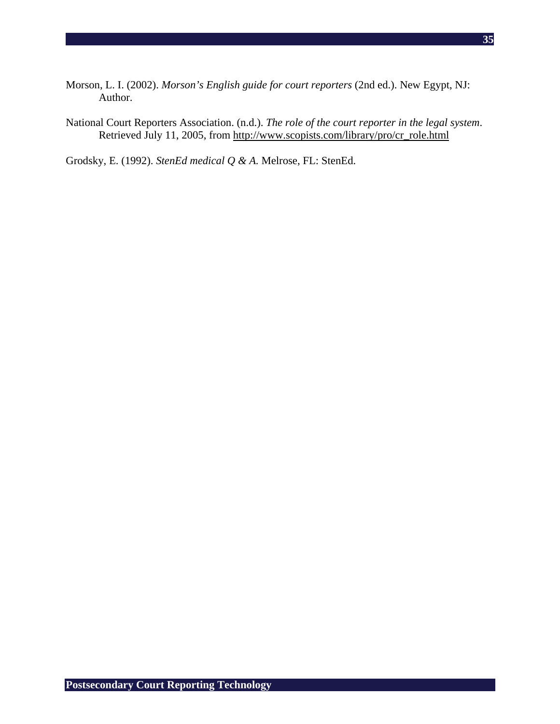- Morson, L. I. (2002). *Morson's English guide for court reporters* (2nd ed.). New Egypt, NJ: Author.
- National Court Reporters Association. (n.d.). *The role of the court reporter in the legal system*. Retrieved July 11, 2005, from http://www.scopists.com/library/pro/cr\_role.html

Grodsky, E. (1992). *StenEd medical Q & A.* Melrose, FL: StenEd.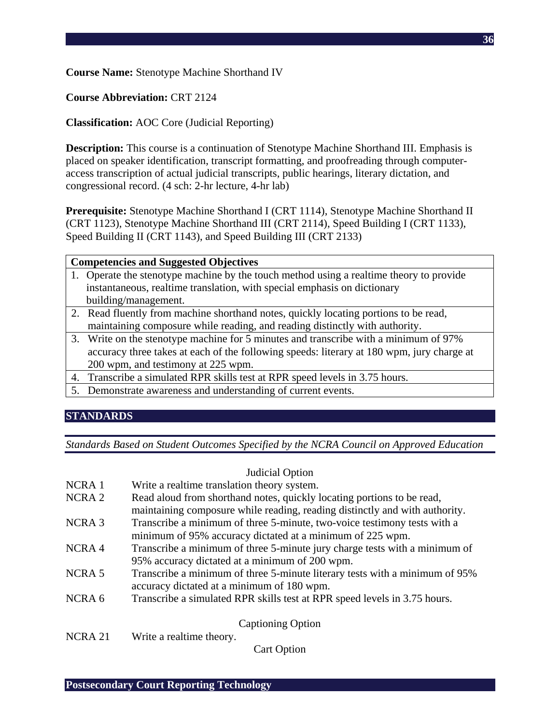**Course Name:** Stenotype Machine Shorthand IV

# **Course Abbreviation:** CRT 2124

**Classification:** AOC Core (Judicial Reporting)

**Description:** This course is a continuation of Stenotype Machine Shorthand III. Emphasis is placed on speaker identification, transcript formatting, and proofreading through computeraccess transcription of actual judicial transcripts, public hearings, literary dictation, and congressional record. (4 sch: 2-hr lecture, 4-hr lab)

**Prerequisite:** Stenotype Machine Shorthand I (CRT 1114), Stenotype Machine Shorthand II (CRT 1123), Stenotype Machine Shorthand III (CRT 2114), Speed Building I (CRT 1133), Speed Building II (CRT 1143), and Speed Building III (CRT 2133)

| <b>Competencies and Suggested Objectives</b> |  |
|----------------------------------------------|--|
|----------------------------------------------|--|

- 1. Operate the stenotype machine by the touch method using a realtime theory to provide instantaneous, realtime translation, with special emphasis on dictionary building/management.
- 2. Read fluently from machine shorthand notes, quickly locating portions to be read, maintaining composure while reading, and reading distinctly with authority.
- 3. Write on the stenotype machine for 5 minutes and transcribe with a minimum of 97% accuracy three takes at each of the following speeds: literary at 180 wpm, jury charge at 200 wpm, and testimony at 225 wpm.
- 4. Transcribe a simulated RPR skills test at RPR speed levels in 3.75 hours.
- 5. Demonstrate awareness and understanding of current events.

# **STANDARDS**

*Standards Based on Student Outcomes Specified by the NCRA Council on Approved Education* 

|                    | Judicial Option                                                             |
|--------------------|-----------------------------------------------------------------------------|
| NCRA <sub>1</sub>  | Write a realtime translation theory system.                                 |
| NCRA <sub>2</sub>  | Read aloud from shorthand notes, quickly locating portions to be read,      |
|                    | maintaining composure while reading, reading distinctly and with authority. |
| NCRA <sub>3</sub>  | Transcribe a minimum of three 5-minute, two-voice testimony tests with a    |
|                    | minimum of 95% accuracy dictated at a minimum of 225 wpm.                   |
| NCRA4              | Transcribe a minimum of three 5-minute jury charge tests with a minimum of  |
|                    | 95% accuracy dictated at a minimum of 200 wpm.                              |
| NCRA <sub>5</sub>  | Transcribe a minimum of three 5-minute literary tests with a minimum of 95% |
|                    | accuracy dictated at a minimum of 180 wpm.                                  |
| NCRA <sub>6</sub>  | Transcribe a simulated RPR skills test at RPR speed levels in 3.75 hours.   |
|                    | <b>Captioning Option</b>                                                    |
| NCRA <sub>21</sub> | Write a realtime theory.                                                    |
|                    | <b>Cart Option</b>                                                          |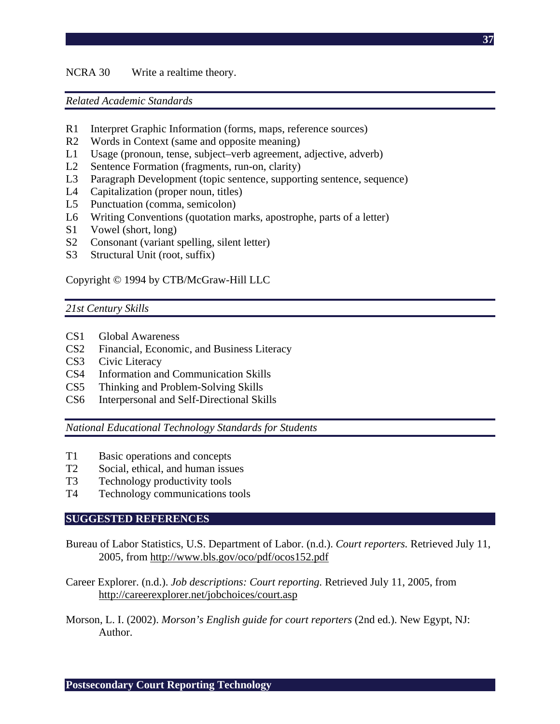#### NCRA 30 Write a realtime theory.

#### *Related Academic Standards*

- R1 Interpret Graphic Information (forms, maps, reference sources)
- R2 Words in Context (same and opposite meaning)
- L1 Usage (pronoun, tense, subject–verb agreement, adjective, adverb)
- L2 Sentence Formation (fragments, run-on, clarity)
- L3 Paragraph Development (topic sentence, supporting sentence, sequence)
- L4 Capitalization (proper noun, titles)
- L5 Punctuation (comma, semicolon)
- L6 Writing Conventions (quotation marks, apostrophe, parts of a letter)
- S1 Vowel (short, long)
- S2 Consonant (variant spelling, silent letter)
- S3 Structural Unit (root, suffix)

#### Copyright © 1994 by CTB/McGraw-Hill LLC

### *21st Century Skills*

- CS1 Global Awareness
- CS2 Financial, Economic, and Business Literacy
- CS3 Civic Literacy
- CS4 Information and Communication Skills
- CS5 Thinking and Problem-Solving Skills
- CS6 Interpersonal and Self-Directional Skills

*National Educational Technology Standards for Students* 

- T1 Basic operations and concepts
- T2 Social, ethical, and human issues
- T3 Technology productivity tools
- T4 Technology communications tools

#### **SUGGESTED REFERENCES**

- Bureau of Labor Statistics, U.S. Department of Labor. (n.d.). *Court reporters.* Retrieved July 11, 2005, from http://www.bls.gov/oco/pdf/ocos152.pdf
- Career Explorer. (n.d.). *Job descriptions: Court reporting.* Retrieved July 11, 2005, from http://careerexplorer.net/jobchoices/court.asp
- Morson, L. I. (2002). *Morson's English guide for court reporters* (2nd ed.). New Egypt, NJ: Author.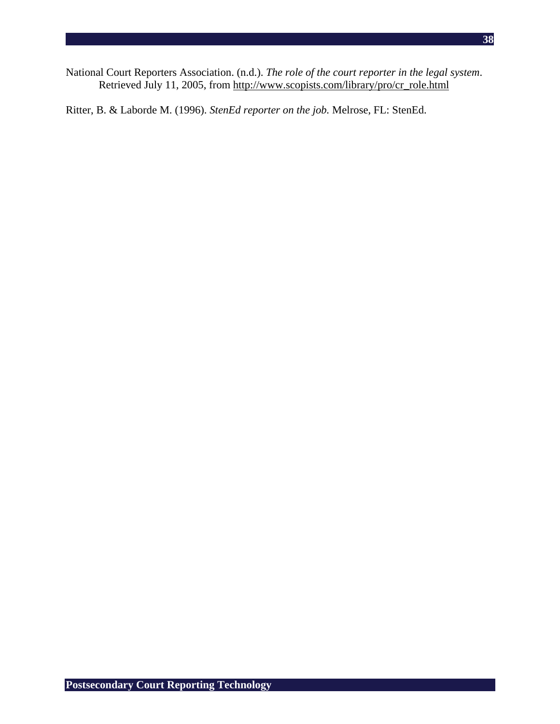National Court Reporters Association. (n.d.). *The role of the court reporter in the legal system*. Retrieved July 11, 2005, from http://www.scopists.com/library/pro/cr\_role.html

Ritter, B. & Laborde M. (1996). *StenEd reporter on the job.* Melrose, FL: StenEd.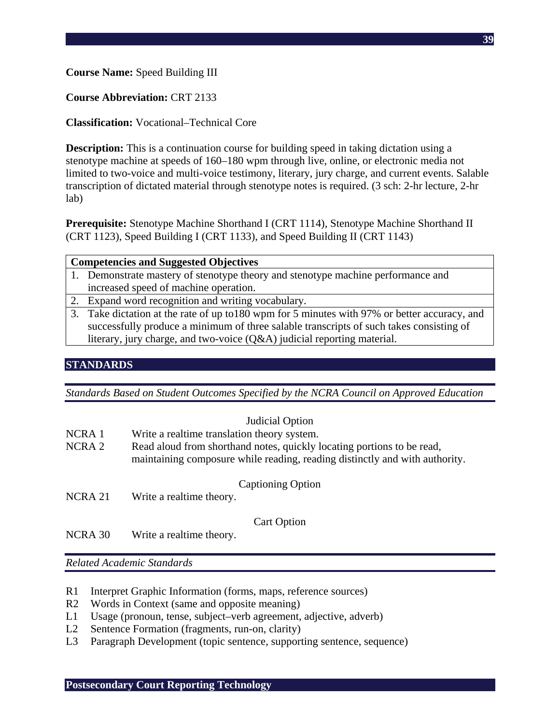## **Course Name:** Speed Building III

## **Course Abbreviation:** CRT 2133

# **Classification:** Vocational–Technical Core

**Description:** This is a continuation course for building speed in taking dictation using a stenotype machine at speeds of 160–180 wpm through live, online, or electronic media not limited to two-voice and multi-voice testimony, literary, jury charge, and current events. Salable transcription of dictated material through stenotype notes is required. (3 sch: 2-hr lecture, 2-hr lab)

**Prerequisite:** Stenotype Machine Shorthand I (CRT 1114), Stenotype Machine Shorthand II (CRT 1123), Speed Building I (CRT 1133), and Speed Building II (CRT 1143)

| <b>Competencies and Suggested Objectives</b> |                                                                                                                     |
|----------------------------------------------|---------------------------------------------------------------------------------------------------------------------|
|                                              | 1. Demonstrate mastery of stenotype theory and stenotype machine performance and                                    |
|                                              | increased speed of machine operation.                                                                               |
|                                              | 2. Expand word recognition and writing vocabulary.                                                                  |
|                                              | 3. Take dictation at the rate of up to 180 wpm for 5 minutes with 97% or better accuracy, and                       |
|                                              | $\mathcal{L}$ . The contribution of the contribution of the contribution of the contribution of the contribution of |

successfully produce a minimum of three salable transcripts of such takes consisting of literary, jury charge, and two-voice (Q&A) judicial reporting material.

## **STANDARDS**

*Standards Based on Student Outcomes Specified by the NCRA Council on Approved Education* 

|                            | Judicial Option                                                                                                                                       |
|----------------------------|-------------------------------------------------------------------------------------------------------------------------------------------------------|
| NCRA <sub>1</sub>          | Write a realtime translation theory system.                                                                                                           |
| NCRA <sub>2</sub>          | Read aloud from shorthand notes, quickly locating portions to be read,<br>maintaining composure while reading, reading distinctly and with authority. |
| NCRA 21                    | <b>Captioning Option</b><br>Write a realtime theory.                                                                                                  |
| $\lambda$ ICD $\lambda$ 00 | <b>Cart Option</b><br>$\mathbf{W}$                                                                                                                    |

NCRA 30 Write a realtime theory.

- R1 Interpret Graphic Information (forms, maps, reference sources)
- R2 Words in Context (same and opposite meaning)
- L1 Usage (pronoun, tense, subject–verb agreement, adjective, adverb)
- L2 Sentence Formation (fragments, run-on, clarity)
- L3 Paragraph Development (topic sentence, supporting sentence, sequence)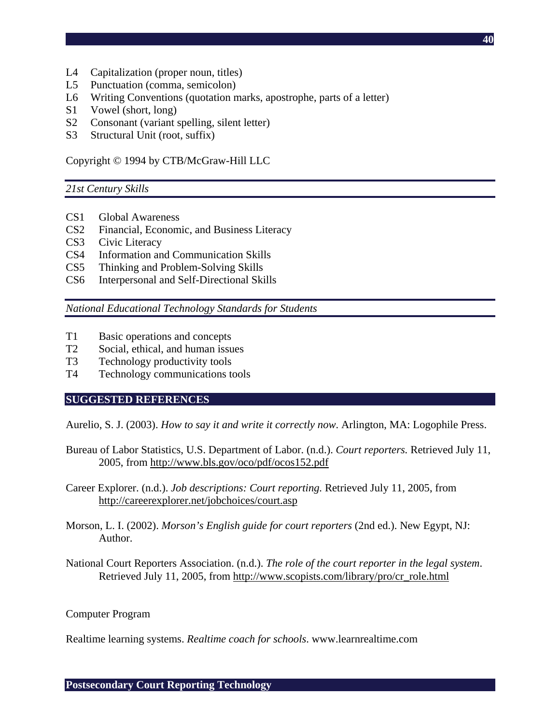**40**

- L4 Capitalization (proper noun, titles)
- L5 Punctuation (comma, semicolon)
- L6 Writing Conventions (quotation marks, apostrophe, parts of a letter)
- S1 Vowel (short, long)
- S2 Consonant (variant spelling, silent letter)
- S3 Structural Unit (root, suffix)

Copyright © 1994 by CTB/McGraw-Hill LLC

#### *21st Century Skills*

- CS1 Global Awareness
- CS2 Financial, Economic, and Business Literacy
- CS3 Civic Literacy
- CS4 Information and Communication Skills
- CS5 Thinking and Problem-Solving Skills
- CS6 Interpersonal and Self-Directional Skills

*National Educational Technology Standards for Students* 

- T1 Basic operations and concepts
- T2 Social, ethical, and human issues
- T3 Technology productivity tools
- T4 Technology communications tools

#### **SUGGESTED REFERENCES**

Aurelio, S. J. (2003). *How to say it and write it correctly now*. Arlington, MA: Logophile Press.

- Bureau of Labor Statistics, U.S. Department of Labor. (n.d.). *Court reporters.* Retrieved July 11, 2005, from http://www.bls.gov/oco/pdf/ocos152.pdf
- Career Explorer. (n.d.). *Job descriptions: Court reporting.* Retrieved July 11, 2005, from http://careerexplorer.net/jobchoices/court.asp
- Morson, L. I. (2002). *Morson's English guide for court reporters* (2nd ed.). New Egypt, NJ: Author.
- National Court Reporters Association. (n.d.). *The role of the court reporter in the legal system*. Retrieved July 11, 2005, from http://www.scopists.com/library/pro/cr\_role.html

#### Computer Program

Realtime learning systems. *Realtime coach for schools*. www.learnrealtime.com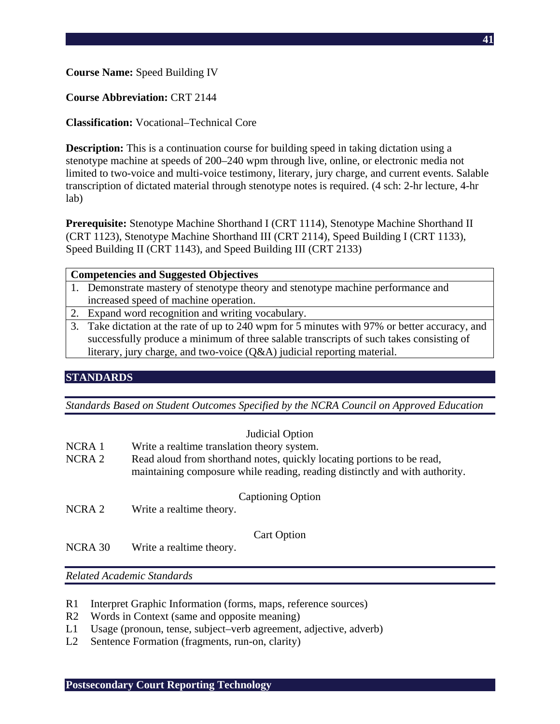### **Course Name:** Speed Building IV

### **Course Abbreviation:** CRT 2144

## **Classification:** Vocational–Technical Core

**Description:** This is a continuation course for building speed in taking dictation using a stenotype machine at speeds of 200–240 wpm through live, online, or electronic media not limited to two-voice and multi-voice testimony, literary, jury charge, and current events. Salable transcription of dictated material through stenotype notes is required. (4 sch: 2-hr lecture, 4-hr lab)

**Prerequisite:** Stenotype Machine Shorthand I (CRT 1114), Stenotype Machine Shorthand II (CRT 1123), Stenotype Machine Shorthand III (CRT 2114), Speed Building I (CRT 1133), Speed Building II (CRT 1143), and Speed Building III (CRT 2133)

| <b>Competencies and Suggested Objectives</b> |                                                                                               |
|----------------------------------------------|-----------------------------------------------------------------------------------------------|
|                                              | 1. Demonstrate mastery of stenotype theory and stenotype machine performance and              |
|                                              | increased speed of machine operation.                                                         |
|                                              | 2. Expand word recognition and writing vocabulary.                                            |
|                                              | 3. Take dictation at the rate of up to 240 wpm for 5 minutes with 97% or better accuracy, and |
|                                              | successfully produce a minimum of three salable transcripts of such takes consisting of       |
|                                              | literary, jury charge, and two-voice $(Q&A)$ judicial reporting material.                     |
|                                              |                                                                                               |

# **STANDARDS**

*Standards Based on Student Outcomes Specified by the NCRA Council on Approved Education* 

|                   | Judicial Option                                                                                                                                       |
|-------------------|-------------------------------------------------------------------------------------------------------------------------------------------------------|
| NCRA 1            | Write a realtime translation theory system.                                                                                                           |
| NCRA <sub>2</sub> | Read aloud from shorthand notes, quickly locating portions to be read,<br>maintaining composure while reading, reading distinctly and with authority. |
| NCRA <sub>2</sub> | <b>Captioning Option</b><br>Write a realtime theory.                                                                                                  |
|                   | <b>Cart Option</b>                                                                                                                                    |
| NCRA 30           | Write a realtime theory.                                                                                                                              |

- R1 Interpret Graphic Information (forms, maps, reference sources)
- R2 Words in Context (same and opposite meaning)
- L1 Usage (pronoun, tense, subject–verb agreement, adjective, adverb)
- L2 Sentence Formation (fragments, run-on, clarity)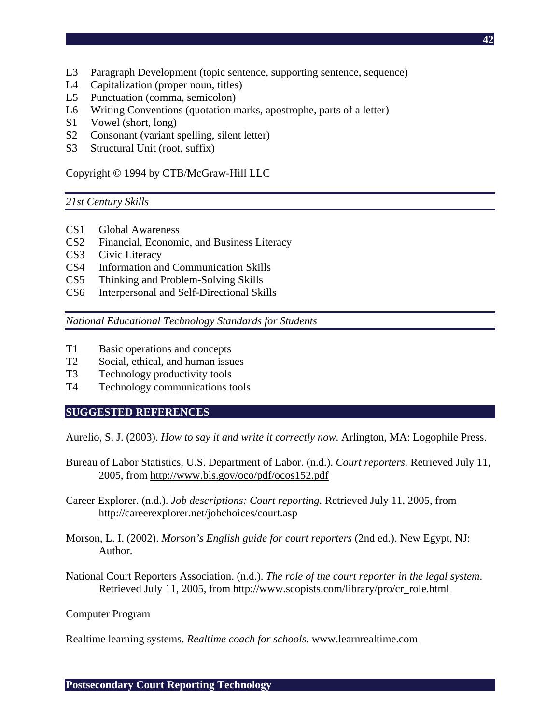- L3 Paragraph Development (topic sentence, supporting sentence, sequence)
- L4 Capitalization (proper noun, titles)
- L5 Punctuation (comma, semicolon)
- L6 Writing Conventions (quotation marks, apostrophe, parts of a letter)
- S1 Vowel (short, long)
- S2 Consonant (variant spelling, silent letter)
- S3 Structural Unit (root, suffix)

Copyright © 1994 by CTB/McGraw-Hill LLC

#### *21st Century Skills*

- CS1 Global Awareness
- CS2 Financial, Economic, and Business Literacy
- CS3 Civic Literacy
- CS4 Information and Communication Skills
- CS5 Thinking and Problem-Solving Skills
- CS6 Interpersonal and Self-Directional Skills

*National Educational Technology Standards for Students* 

- T1 Basic operations and concepts
- T2 Social, ethical, and human issues
- T3 Technology productivity tools
- T4 Technology communications tools

#### **SUGGESTED REFERENCES**

Aurelio, S. J. (2003). *How to say it and write it correctly now*. Arlington, MA: Logophile Press.

- Bureau of Labor Statistics, U.S. Department of Labor. (n.d.). *Court reporters.* Retrieved July 11, 2005, from http://www.bls.gov/oco/pdf/ocos152.pdf
- Career Explorer. (n.d.). *Job descriptions: Court reporting.* Retrieved July 11, 2005, from http://careerexplorer.net/jobchoices/court.asp
- Morson, L. I. (2002). *Morson's English guide for court reporters* (2nd ed.). New Egypt, NJ: Author.
- National Court Reporters Association. (n.d.). *The role of the court reporter in the legal system*. Retrieved July 11, 2005, from http://www.scopists.com/library/pro/cr\_role.html

Computer Program

Realtime learning systems. *Realtime coach for schools*. www.learnrealtime.com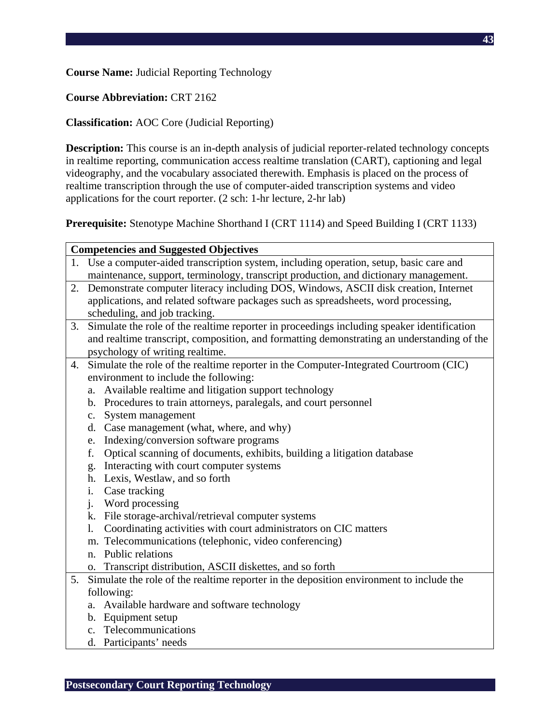## **Course Name:** Judicial Reporting Technology

## **Course Abbreviation:** CRT 2162

## **Classification:** AOC Core (Judicial Reporting)

**Description:** This course is an in-depth analysis of judicial reporter-related technology concepts in realtime reporting, communication access realtime translation (CART), captioning and legal videography, and the vocabulary associated therewith. Emphasis is placed on the process of realtime transcription through the use of computer-aided transcription systems and video applications for the court reporter. (2 sch: 1-hr lecture, 2-hr lab)

**Prerequisite:** Stenotype Machine Shorthand I (CRT 1114) and Speed Building I (CRT 1133)

|    | <b>Competencies and Suggested Objectives</b>                                               |
|----|--------------------------------------------------------------------------------------------|
|    | 1. Use a computer-aided transcription system, including operation, setup, basic care and   |
|    | maintenance, support, terminology, transcript production, and dictionary management.       |
| 2. | Demonstrate computer literacy including DOS, Windows, ASCII disk creation, Internet        |
|    | applications, and related software packages such as spreadsheets, word processing,         |
|    | scheduling, and job tracking.                                                              |
| 3. | Simulate the role of the realtime reporter in proceedings including speaker identification |
|    | and realtime transcript, composition, and formatting demonstrating an understanding of the |
|    | psychology of writing realtime.                                                            |
| 4. | Simulate the role of the realtime reporter in the Computer-Integrated Courtroom (CIC)      |
|    | environment to include the following:                                                      |
|    | Available realtime and litigation support technology<br>a.                                 |
|    | b. Procedures to train attorneys, paralegals, and court personnel                          |
|    | System management<br>$c_{\cdot}$                                                           |
|    | d. Case management (what, where, and why)                                                  |
|    | e. Indexing/conversion software programs                                                   |
|    | Optical scanning of documents, exhibits, building a litigation database<br>f.              |
|    | g. Interacting with court computer systems                                                 |
|    | h. Lexis, Westlaw, and so forth                                                            |
|    | Case tracking<br>i.                                                                        |
|    | j. Word processing                                                                         |
|    | k. File storage-archival/retrieval computer systems                                        |
|    | Coordinating activities with court administrators on CIC matters<br>$\mathbf{l}$ .         |
|    | m. Telecommunications (telephonic, video conferencing)                                     |
|    | n. Public relations                                                                        |
|    | o. Transcript distribution, ASCII diskettes, and so forth                                  |
| 5. | Simulate the role of the realtime reporter in the deposition environment to include the    |
|    | following:                                                                                 |
|    | a. Available hardware and software technology                                              |
|    | b. Equipment setup                                                                         |
|    | c. Telecommunications                                                                      |

d. Participants' needs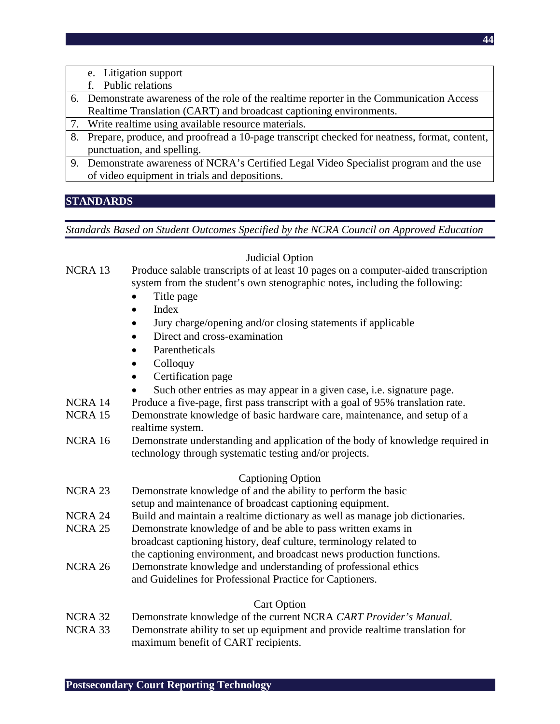- e. Litigation support
- f. Public relations
- 6. Demonstrate awareness of the role of the realtime reporter in the Communication Access Realtime Translation (CART) and broadcast captioning environments.
- 7. Write realtime using available resource materials.
- 8. Prepare, produce, and proofread a 10-page transcript checked for neatness, format, content, punctuation, and spelling.
- 9. Demonstrate awareness of NCRA's Certified Legal Video Specialist program and the use of video equipment in trials and depositions.

# **STANDARDS**

*Standards Based on Student Outcomes Specified by the NCRA Council on Approved Education* 

# Judicial Option

### NCRA 13 Produce salable transcripts of at least 10 pages on a computer-aided transcription system from the student's own stenographic notes, including the following:

- Title page
- Index
- Jury charge/opening and/or closing statements if applicable
- Direct and cross-examination
- **Parentheticals**
- Colloquy
- Certification page
	- Such other entries as may appear in a given case, i.e. signature page.
- NCRA 14 Produce a five-page, first pass transcript with a goal of 95% translation rate.
- NCRA 15 Demonstrate knowledge of basic hardware care, maintenance, and setup of a realtime system.
- NCRA 16 Demonstrate understanding and application of the body of knowledge required in technology through systematic testing and/or projects.

# Captioning Option

- NCRA 23 Demonstrate knowledge of and the ability to perform the basic
- setup and maintenance of broadcast captioning equipment.
- NCRA 24 Build and maintain a realtime dictionary as well as manage job dictionaries.
- NCRA 25 Demonstrate knowledge of and be able to pass written exams in
- broadcast captioning history, deaf culture, terminology related to
	- the captioning environment, and broadcast news production functions.
- NCRA 26 Demonstrate knowledge and understanding of professional ethics and Guidelines for Professional Practice for Captioners.

# Cart Option

- NCRA 32 Demonstrate knowledge of the current NCRA *CART Provider's Manual.*
- NCRA 33 Demonstrate ability to set up equipment and provide realtime translation for maximum benefit of CART recipients.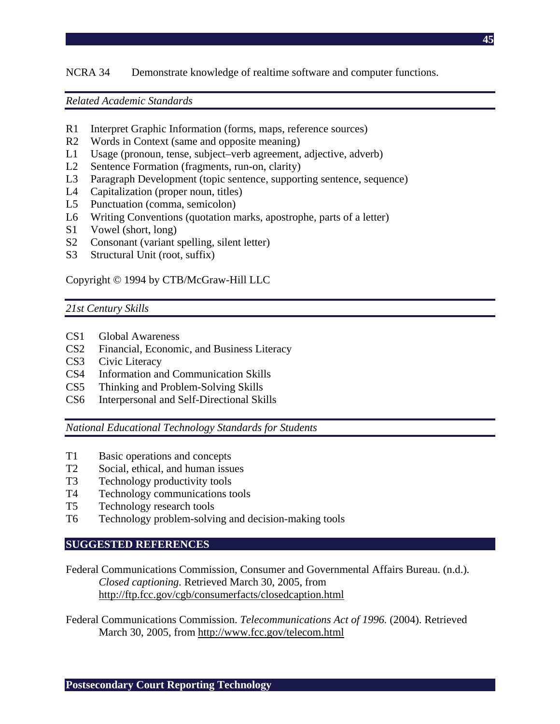## NCRA 34 Demonstrate knowledge of realtime software and computer functions.

#### *Related Academic Standards*

- R1 Interpret Graphic Information (forms, maps, reference sources)
- R2 Words in Context (same and opposite meaning)
- L1 Usage (pronoun, tense, subject–verb agreement, adjective, adverb)
- L2 Sentence Formation (fragments, run-on, clarity)
- L3 Paragraph Development (topic sentence, supporting sentence, sequence)
- L4 Capitalization (proper noun, titles)
- L5 Punctuation (comma, semicolon)
- L6 Writing Conventions (quotation marks, apostrophe, parts of a letter)
- S1 Vowel (short, long)
- S2 Consonant (variant spelling, silent letter)
- S3 Structural Unit (root, suffix)

#### Copyright © 1994 by CTB/McGraw-Hill LLC

### *21st Century Skills*

- CS1 Global Awareness
- CS2 Financial, Economic, and Business Literacy
- CS3 Civic Literacy
- CS4 Information and Communication Skills
- CS5 Thinking and Problem-Solving Skills
- CS6 Interpersonal and Self-Directional Skills

*National Educational Technology Standards for Students* 

- T1 Basic operations and concepts
- T2 Social, ethical, and human issues
- T3 Technology productivity tools
- T4 Technology communications tools
- T5 Technology research tools
- T6 Technology problem-solving and decision-making tools

#### **SUGGESTED REFERENCES**

Federal Communications Commission, Consumer and Governmental Affairs Bureau. (n.d.)*. Closed captioning.* Retrieved March 30, 2005, from http://ftp.fcc.gov/cgb/consumerfacts/closedcaption.html

Federal Communications Commission. *Telecommunications Act of 1996.* (2004). Retrieved March 30, 2005, from http://www.fcc.gov/telecom.html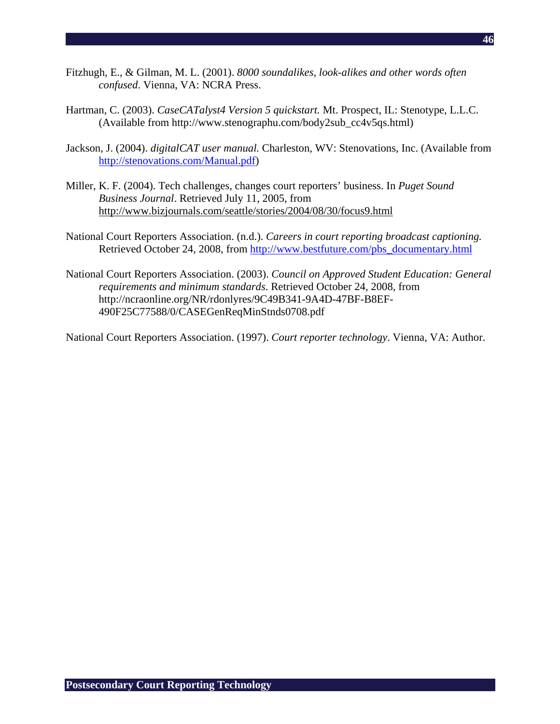- Fitzhugh, E., & Gilman, M. L. (2001). *8000 soundalikes, look-alikes and other words often confused*. Vienna, VA: NCRA Press.
- Hartman, C. (2003). *CaseCATalyst4 Version 5 quickstart.* Mt. Prospect, IL: Stenotype, L.L.C. (Available from http://www.stenographu.com/body2sub\_cc4v5qs.html)
- Jackson, J. (2004). *digitalCAT user manual.* Charleston, WV: Stenovations, Inc. (Available from http://stenovations.com/Manual.pdf)
- Miller, K. F. (2004). Tech challenges, changes court reporters' business. In *Puget Sound Business Journal*. Retrieved July 11, 2005, from http://www.bizjournals.com/seattle/stories/2004/08/30/focus9.html
- National Court Reporters Association. (n.d.). *Careers in court reporting broadcast captioning.* Retrieved October 24, 2008, from http://www.bestfuture.com/pbs\_documentary.html
- National Court Reporters Association. (2003). *Council on Approved Student Education: General requirements and minimum standards*. Retrieved October 24, 2008, from http://ncraonline.org/NR/rdonlyres/9C49B341-9A4D-47BF-B8EF-490F25C77588/0/CASEGenReqMinStnds0708.pdf

National Court Reporters Association. (1997). *Court reporter technology*. Vienna, VA: Author.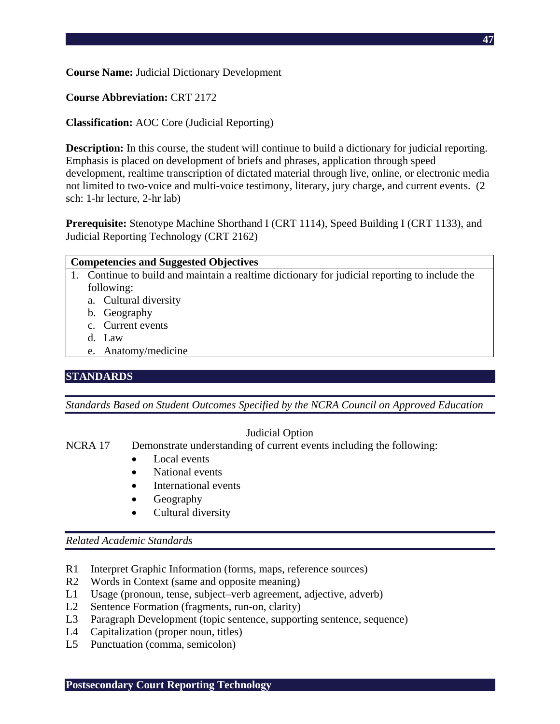**Course Name:** Judicial Dictionary Development

## **Course Abbreviation:** CRT 2172

## **Classification:** AOC Core (Judicial Reporting)

**Description:** In this course, the student will continue to build a dictionary for judicial reporting. Emphasis is placed on development of briefs and phrases, application through speed development, realtime transcription of dictated material through live, online, or electronic media not limited to two-voice and multi-voice testimony, literary, jury charge, and current events. (2 sch: 1-hr lecture, 2-hr lab)

**Prerequisite:** Stenotype Machine Shorthand I (CRT 1114), Speed Building I (CRT 1133), and Judicial Reporting Technology (CRT 2162)

| <b>Competencies and Suggested Objectives</b> |                                                                                               |
|----------------------------------------------|-----------------------------------------------------------------------------------------------|
|                                              | 1. Continue to build and maintain a realtime dictionary for judicial reporting to include the |
|                                              | following:                                                                                    |
|                                              | a. Cultural diversity                                                                         |
|                                              | b. Geography                                                                                  |
|                                              | c. Current events                                                                             |

- d. Law
- e. Anatomy/medicine

# **STANDARDS**

*Standards Based on Student Outcomes Specified by the NCRA Council on Approved Education* 

### Judicial Option

NCRA 17 Demonstrate understanding of current events including the following:

- Local events
- National events
- International events
- Geography
- Cultural diversity

- R1 Interpret Graphic Information (forms, maps, reference sources)
- R2 Words in Context (same and opposite meaning)
- L1 Usage (pronoun, tense, subject–verb agreement, adjective, adverb)
- L2 Sentence Formation (fragments, run-on, clarity)
- L3 Paragraph Development (topic sentence, supporting sentence, sequence)
- L4 Capitalization (proper noun, titles)
- L5 Punctuation (comma, semicolon)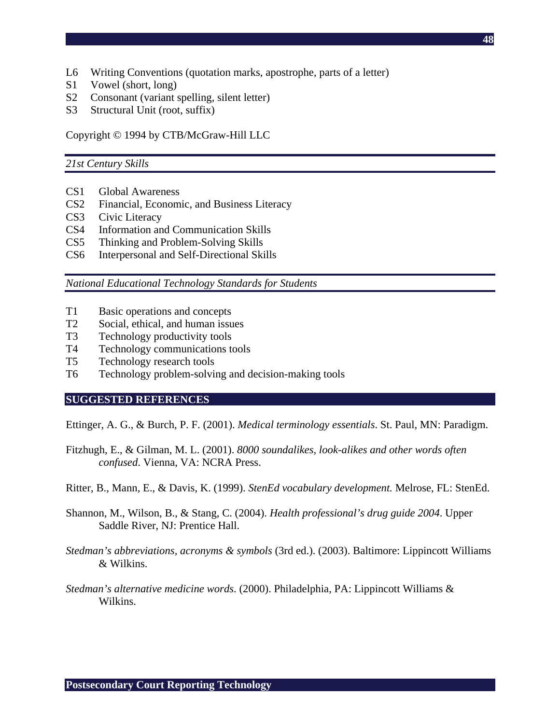- L6 Writing Conventions (quotation marks, apostrophe, parts of a letter)
- S1 Vowel (short, long)
- S2 Consonant (variant spelling, silent letter)
- S3 Structural Unit (root, suffix)

Copyright © 1994 by CTB/McGraw-Hill LLC

#### *21st Century Skills*

- CS1 Global Awareness
- CS2 Financial, Economic, and Business Literacy
- CS3 Civic Literacy
- CS4 Information and Communication Skills
- CS5 Thinking and Problem-Solving Skills
- CS6 Interpersonal and Self-Directional Skills

*National Educational Technology Standards for Students* 

- T1 Basic operations and concepts
- T2 Social, ethical, and human issues
- T3 Technology productivity tools
- T4 Technology communications tools
- T5 Technology research tools
- T6 Technology problem-solving and decision-making tools

#### **SUGGESTED REFERENCES**

Ettinger, A. G., & Burch, P. F. (2001). *Medical terminology essentials*. St. Paul, MN: Paradigm.

- Fitzhugh, E., & Gilman, M. L. (2001). *8000 soundalikes, look-alikes and other words often confused*. Vienna, VA: NCRA Press.
- Ritter, B., Mann, E., & Davis, K. (1999). *StenEd vocabulary development.* Melrose, FL: StenEd.
- Shannon, M., Wilson, B., & Stang, C. (2004). *Health professional's drug guide 2004*. Upper Saddle River, NJ: Prentice Hall.
- *Stedman's abbreviations, acronyms & symbols* (3rd ed.). (2003). Baltimore: Lippincott Williams & Wilkins.
- *Stedman's alternative medicine words*. (2000). Philadelphia, PA: Lippincott Williams & Wilkins.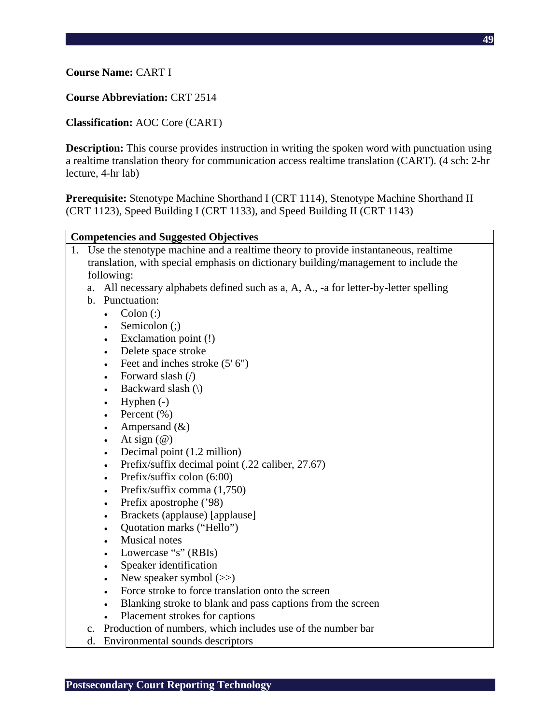### **Course Name:** CART I

#### **Course Abbreviation:** CRT 2514

#### **Classification:** AOC Core (CART)

**Description:** This course provides instruction in writing the spoken word with punctuation using a realtime translation theory for communication access realtime translation (CART). (4 sch: 2-hr lecture, 4-hr lab)

**Prerequisite:** Stenotype Machine Shorthand I (CRT 1114), Stenotype Machine Shorthand II (CRT 1123), Speed Building I (CRT 1133), and Speed Building II (CRT 1143)

#### **Competencies and Suggested Objectives**

- 1. Use the stenotype machine and a realtime theory to provide instantaneous, realtime translation, with special emphasis on dictionary building/management to include the following:
	- a. All necessary alphabets defined such as a, A, A., -a for letter-by-letter spelling
	- b. Punctuation:
		- Colon  $\left( \cdot \right)$ 
			- Semicolon (;)
			- Exclamation point (!)
			- Delete space stroke
			- Feet and inches stroke  $(5' 6'')$
			- Forward slash (/)
			- Backward slash  $(\)$
			- Hyphen  $(-)$
			- Percent  $(\% )$
			- Ampersand  $(\&)$
			- At sign  $(\omega)$
			- Decimal point (1.2 million)
			- Prefix/suffix decimal point (.22 caliber, 27.67)
			- Prefix/suffix colon (6:00)
			- Prefix/suffix comma (1,750)
			- Prefix apostrophe ('98)
			- Brackets (applause) [applause]
			- Quotation marks ("Hello")
			- Musical notes
			- Lowercase "s" (RBIs)
			- Speaker identification
			- New speaker symbol  $(\gg)$
			- Force stroke to force translation onto the screen
			- Blanking stroke to blank and pass captions from the screen
			- Placement strokes for captions
	- c. Production of numbers, which includes use of the number bar
	- d. Environmental sounds descriptors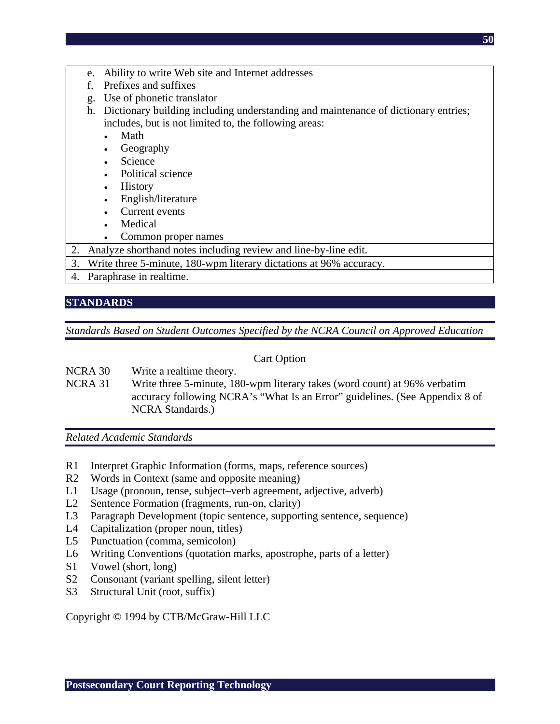- e. Ability to write Web site and Internet addresses
- f. Prefixes and suffixes
- g. Use of phonetic translator
- h. Dictionary building including understanding and maintenance of dictionary entries; includes, but is not limited to, the following areas:
	- Math
	- Geography
	- **Science**
	- Political science
	- **History**
	- English/literature
	- Current events
	- **Medical**
	- Common proper names
- 2. Analyze shorthand notes including review and line-by-line edit.
- 3. Write three 5-minute, 180-wpm literary dictations at 96% accuracy.
- 4. Paraphrase in realtime.

## **STANDARDS**

*Standards Based on Student Outcomes Specified by the NCRA Council on Approved Education* 

### Cart Option

- NCRA 30 Write a realtime theory.
- NCRA 31 Write three 5-minute, 180-wpm literary takes (word count) at 96% verbatim accuracy following NCRA's "What Is an Error" guidelines. (See Appendix 8 of NCRA Standards.)

*Related Academic Standards* 

- R1 Interpret Graphic Information (forms, maps, reference sources)
- R2 Words in Context (same and opposite meaning)
- L1 Usage (pronoun, tense, subject–verb agreement, adjective, adverb)
- L2 Sentence Formation (fragments, run-on, clarity)
- L3 Paragraph Development (topic sentence, supporting sentence, sequence)
- L4 Capitalization (proper noun, titles)
- L5 Punctuation (comma, semicolon)
- L6 Writing Conventions (quotation marks, apostrophe, parts of a letter)
- S1 Vowel (short, long)
- S2 Consonant (variant spelling, silent letter)
- S3 Structural Unit (root, suffix)

Copyright © 1994 by CTB/McGraw-Hill LLC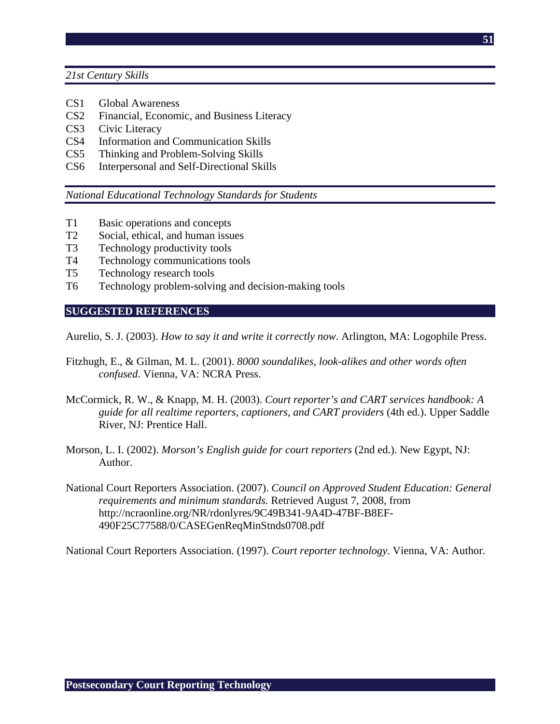- CS1 Global Awareness
- CS2 Financial, Economic, and Business Literacy
- CS3 Civic Literacy
- CS4 Information and Communication Skills
- CS5 Thinking and Problem-Solving Skills
- CS6 Interpersonal and Self-Directional Skills

*National Educational Technology Standards for Students* 

- T1 Basic operations and concepts
- T2 Social, ethical, and human issues
- T3 Technology productivity tools
- T4 Technology communications tools
- T5 Technology research tools
- T6 Technology problem-solving and decision-making tools

### **SUGGESTED REFERENCES**

Aurelio, S. J. (2003). *How to say it and write it correctly now*. Arlington, MA: Logophile Press.

- Fitzhugh, E., & Gilman, M. L. (2001). *8000 soundalikes, look-alikes and other words often confused*. Vienna, VA: NCRA Press.
- McCormick, R. W., & Knapp, M. H. (2003). *Court reporter's and CART services handbook: A guide for all realtime reporters, captioners, and CART providers* (4th ed.). Upper Saddle River, NJ: Prentice Hall.
- Morson, L. I. (2002). *Morson's English guide for court reporters* (2nd ed.). New Egypt, NJ: Author.
- National Court Reporters Association. (2007). *Council on Approved Student Education: General requirements and minimum standards.* Retrieved August 7, 2008, from http://ncraonline.org/NR/rdonlyres/9C49B341-9A4D-47BF-B8EF-490F25C77588/0/CASEGenReqMinStnds0708.pdf

National Court Reporters Association. (1997). *Court reporter technology*. Vienna, VA: Author.

**51**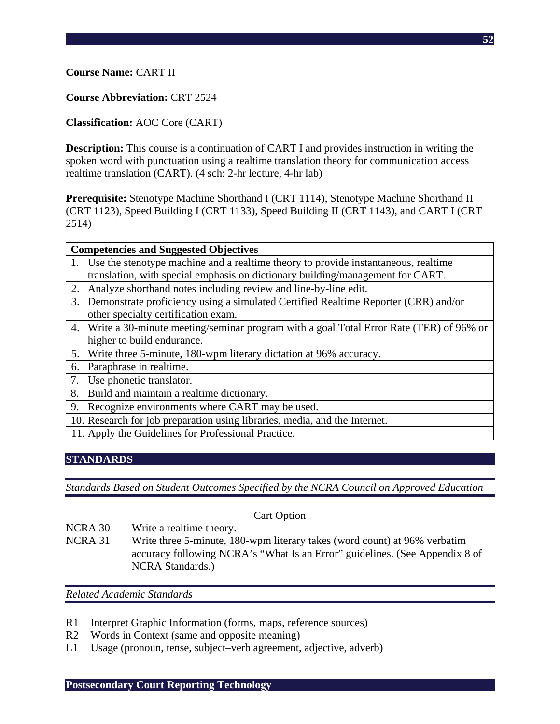## **Course Name:** CART II

### **Course Abbreviation:** CRT 2524

## **Classification:** AOC Core (CART)

**Description:** This course is a continuation of CART I and provides instruction in writing the spoken word with punctuation using a realtime translation theory for communication access realtime translation (CART). (4 sch: 2-hr lecture, 4-hr lab)

**Prerequisite:** Stenotype Machine Shorthand I (CRT 1114), Stenotype Machine Shorthand II (CRT 1123), Speed Building I (CRT 1133), Speed Building II (CRT 1143), and CART I (CRT 2514)

- 1. Use the stenotype machine and a realtime theory to provide instantaneous, realtime translation, with special emphasis on dictionary building/management for CART.
- 2. Analyze shorthand notes including review and line-by-line edit.
- 3. Demonstrate proficiency using a simulated Certified Realtime Reporter (CRR) and/or other specialty certification exam.
- 4. Write a 30-minute meeting/seminar program with a goal Total Error Rate (TER) of 96% or higher to build endurance.
- 5. Write three 5-minute, 180-wpm literary dictation at 96% accuracy.
- 6. Paraphrase in realtime.
- 7. Use phonetic translator.
- 8. Build and maintain a realtime dictionary.
- 9. Recognize environments where CART may be used.
- 10. Research for job preparation using libraries, media, and the Internet.
- 11. Apply the Guidelines for Professional Practice.

# **STANDARDS**

*Standards Based on Student Outcomes Specified by the NCRA Council on Approved Education* 

### Cart Option

- NCRA 30 Write a realtime theory.
- NCRA 31 Write three 5-minute, 180-wpm literary takes (word count) at 96% verbatim accuracy following NCRA's "What Is an Error" guidelines. (See Appendix 8 of NCRA Standards.)

- R1 Interpret Graphic Information (forms, maps, reference sources)
- R2 Words in Context (same and opposite meaning)
- L1 Usage (pronoun, tense, subject–verb agreement, adjective, adverb)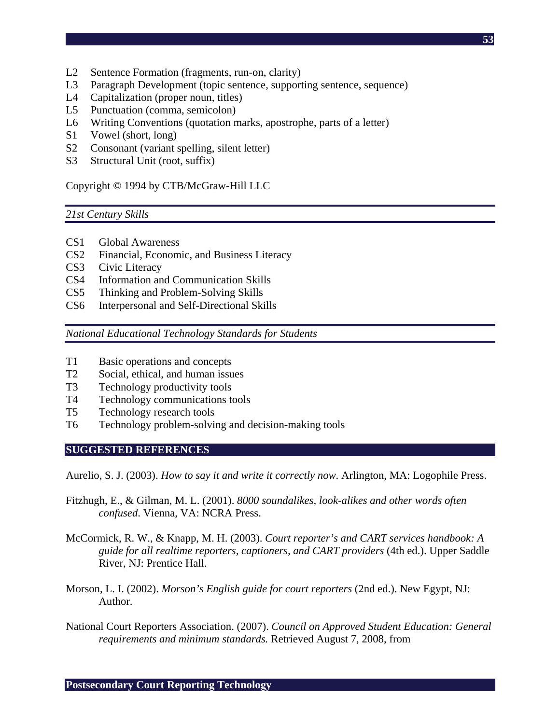- L2 Sentence Formation (fragments, run-on, clarity)
- L3 Paragraph Development (topic sentence, supporting sentence, sequence)
- L4 Capitalization (proper noun, titles)
- L5 Punctuation (comma, semicolon)
- L6 Writing Conventions (quotation marks, apostrophe, parts of a letter)
- S1 Vowel (short, long)
- S2 Consonant (variant spelling, silent letter)
- S3 Structural Unit (root, suffix)

Copyright © 1994 by CTB/McGraw-Hill LLC

# *21st Century Skills*

- CS1 Global Awareness
- CS2 Financial, Economic, and Business Literacy
- CS3 Civic Literacy
- CS4 Information and Communication Skills
- CS5 Thinking and Problem-Solving Skills
- CS6 Interpersonal and Self-Directional Skills

*National Educational Technology Standards for Students* 

- T1 Basic operations and concepts
- T2 Social, ethical, and human issues
- T3 Technology productivity tools
- T4 Technology communications tools
- T5 Technology research tools
- T6 Technology problem-solving and decision-making tools

# **SUGGESTED REFERENCES**

Aurelio, S. J. (2003). *How to say it and write it correctly now*. Arlington, MA: Logophile Press.

- Fitzhugh, E., & Gilman, M. L. (2001). *8000 soundalikes, look-alikes and other words often confused*. Vienna, VA: NCRA Press.
- McCormick, R. W., & Knapp, M. H. (2003). *Court reporter's and CART services handbook: A guide for all realtime reporters, captioners, and CART providers* (4th ed.). Upper Saddle River, NJ: Prentice Hall.
- Morson, L. I. (2002). *Morson's English guide for court reporters* (2nd ed.). New Egypt, NJ: Author.
- National Court Reporters Association. (2007). *Council on Approved Student Education: General requirements and minimum standards.* Retrieved August 7, 2008, from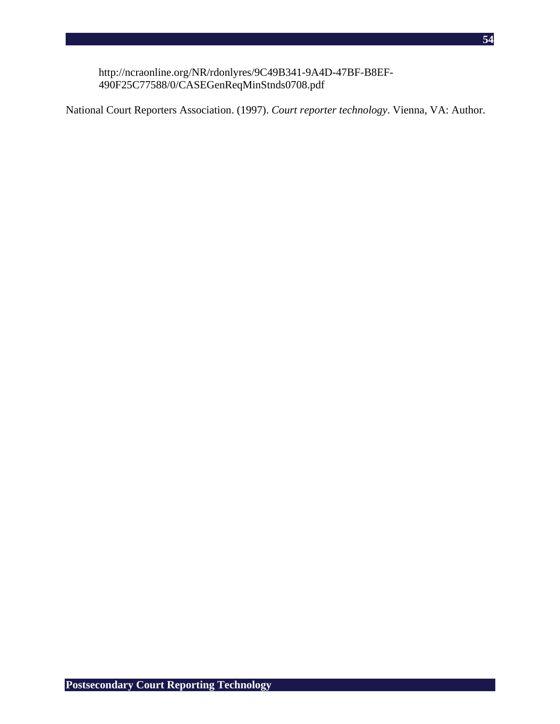http://ncraonline.org/NR/rdonlyres/9C49B341-9A4D-47BF-B8EF-490F25C77588/0/CASEGenReqMinStnds0708.pdf

National Court Reporters Association. (1997). *Court reporter technology*. Vienna, VA: Author.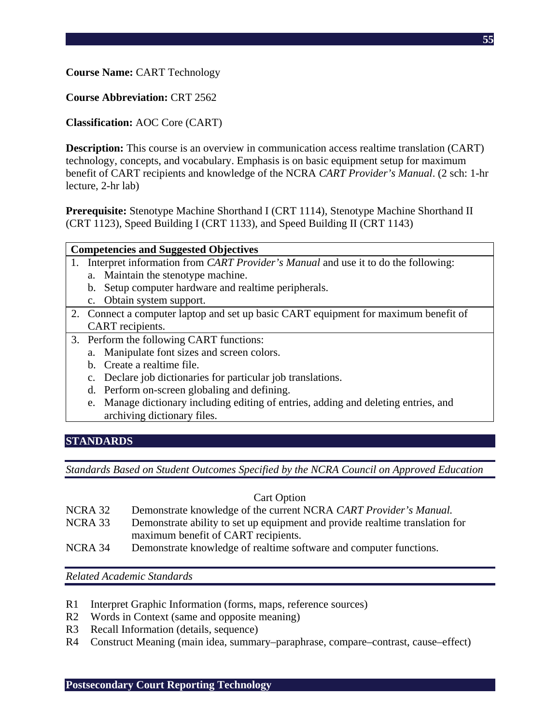**Course Name:** CART Technology

**Course Abbreviation:** CRT 2562

**Classification:** AOC Core (CART)

**Description:** This course is an overview in communication access realtime translation (CART) technology, concepts, and vocabulary. Emphasis is on basic equipment setup for maximum benefit of CART recipients and knowledge of the NCRA *CART Provider's Manual*. (2 sch: 1-hr lecture, 2-hr lab)

**Prerequisite:** Stenotype Machine Shorthand I (CRT 1114), Stenotype Machine Shorthand II (CRT 1123), Speed Building I (CRT 1133), and Speed Building II (CRT 1143)

| <b>Competencies and Suggested Objectives</b> |  |                                                                                             |
|----------------------------------------------|--|---------------------------------------------------------------------------------------------|
|                                              |  | 1. Interpret information from <i>CART Provider's Manual</i> and use it to do the following: |
|                                              |  | a. Maintain the stenotype machine.                                                          |

- b. Setup computer hardware and realtime peripherals.
- c. Obtain system support.
- 2. Connect a computer laptop and set up basic CART equipment for maximum benefit of CART recipients.
- 3. Perform the following CART functions:
	- a. Manipulate font sizes and screen colors.
	- b. Create a realtime file.
	- c. Declare job dictionaries for particular job translations.
	- d. Perform on-screen globaling and defining.
	- e. Manage dictionary including editing of entries, adding and deleting entries, and archiving dictionary files.

### **STANDARDS**

*Standards Based on Student Outcomes Specified by the NCRA Council on Approved Education* 

#### Cart Option

- NCRA 32 Demonstrate knowledge of the current NCRA *CART Provider's Manual.*
- NCRA 33 Demonstrate ability to set up equipment and provide realtime translation for maximum benefit of CART recipients.
- NCRA 34 Demonstrate knowledge of realtime software and computer functions.

- R1 Interpret Graphic Information (forms, maps, reference sources)
- R2 Words in Context (same and opposite meaning)
- R3 Recall Information (details, sequence)
- R4 Construct Meaning (main idea, summary–paraphrase, compare–contrast, cause–effect)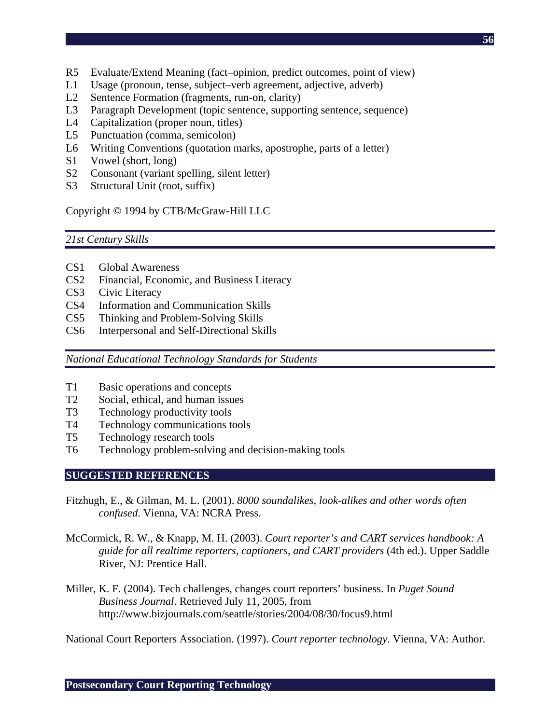- R5 Evaluate/Extend Meaning (fact–opinion, predict outcomes, point of view)
- L1 Usage (pronoun, tense, subject–verb agreement, adjective, adverb)
- L2 Sentence Formation (fragments, run-on, clarity)
- L3 Paragraph Development (topic sentence, supporting sentence, sequence)
- L4 Capitalization (proper noun, titles)
- L5 Punctuation (comma, semicolon)
- L6 Writing Conventions (quotation marks, apostrophe, parts of a letter)
- S1 Vowel (short, long)
- S2 Consonant (variant spelling, silent letter)
- S3 Structural Unit (root, suffix)

## Copyright © 1994 by CTB/McGraw-Hill LLC

### *21st Century Skills*

- CS1 Global Awareness
- CS2 Financial, Economic, and Business Literacy
- CS3 Civic Literacy
- CS4 Information and Communication Skills
- CS5 Thinking and Problem-Solving Skills
- CS6 Interpersonal and Self-Directional Skills

*National Educational Technology Standards for Students* 

- T1 Basic operations and concepts
- T2 Social, ethical, and human issues
- T3 Technology productivity tools
- T4 Technology communications tools
- T5 Technology research tools
- T6 Technology problem-solving and decision-making tools

### **SUGGESTED REFERENCES**

- Fitzhugh, E., & Gilman, M. L. (2001). *8000 soundalikes, look-alikes and other words often confused*. Vienna, VA: NCRA Press.
- McCormick, R. W., & Knapp, M. H. (2003). *Court reporter's and CART services handbook: A guide for all realtime reporters, captioners, and CART providers* (4th ed.). Upper Saddle River, NJ: Prentice Hall.
- Miller, K. F. (2004). Tech challenges, changes court reporters' business. In *Puget Sound Business Journal*. Retrieved July 11, 2005, from http://www.bizjournals.com/seattle/stories/2004/08/30/focus9.html

National Court Reporters Association. (1997). *Court reporter technology*. Vienna, VA: Author.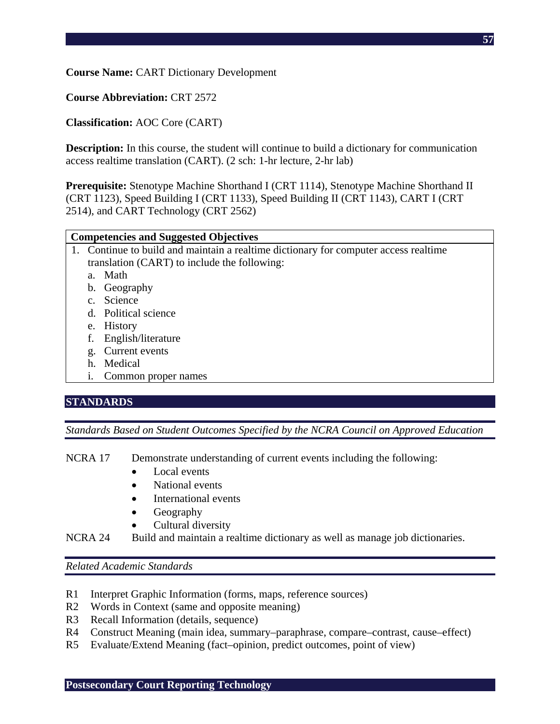**Course Name:** CART Dictionary Development

**Course Abbreviation:** CRT 2572

**Classification:** AOC Core (CART)

**Description:** In this course, the student will continue to build a dictionary for communication access realtime translation (CART). (2 sch: 1-hr lecture, 2-hr lab)

**Prerequisite:** Stenotype Machine Shorthand I (CRT 1114), Stenotype Machine Shorthand II (CRT 1123), Speed Building I (CRT 1133), Speed Building II (CRT 1143), CART I (CRT 2514), and CART Technology (CRT 2562)

#### **Competencies and Suggested Objectives**

- 1. Continue to build and maintain a realtime dictionary for computer access realtime translation (CART) to include the following:
	- a. Math
	- b. Geography
	- c. Science
	- d. Political science
	- e. History
	- f. English/literature
	- g. Current events
	- h. Medical
	- i. Common proper names

# **STANDARDS**

*Standards Based on Student Outcomes Specified by the NCRA Council on Approved Education* 

- NCRA 17 Demonstrate understanding of current events including the following:
	- Local events
	- National events
	- International events
	- Geography
	- Cultural diversity
- NCRA 24 Build and maintain a realtime dictionary as well as manage job dictionaries.

- R1 Interpret Graphic Information (forms, maps, reference sources)
- R2 Words in Context (same and opposite meaning)
- R3 Recall Information (details, sequence)
- R4 Construct Meaning (main idea, summary–paraphrase, compare–contrast, cause–effect)
- R5 Evaluate/Extend Meaning (fact–opinion, predict outcomes, point of view)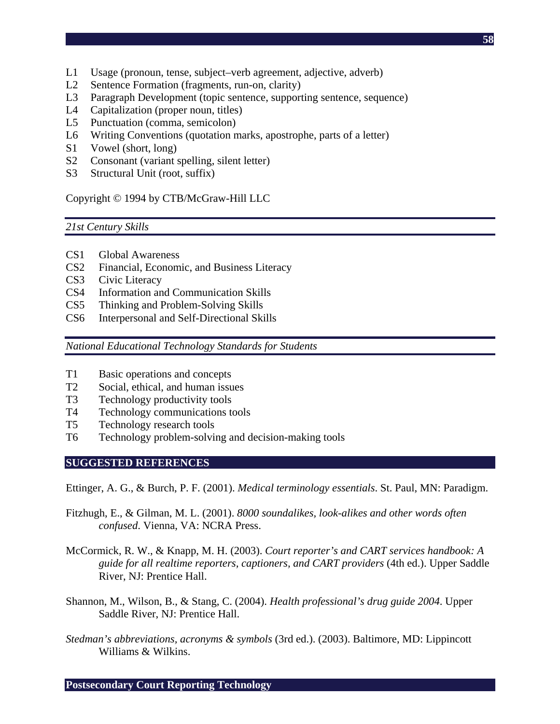- L1 Usage (pronoun, tense, subject–verb agreement, adjective, adverb)
- L2 Sentence Formation (fragments, run-on, clarity)
- L3 Paragraph Development (topic sentence, supporting sentence, sequence)
- L4 Capitalization (proper noun, titles)
- L5 Punctuation (comma, semicolon)
- L6 Writing Conventions (quotation marks, apostrophe, parts of a letter)
- S1 Vowel (short, long)
- S2 Consonant (variant spelling, silent letter)
- S3 Structural Unit (root, suffix)

Copyright © 1994 by CTB/McGraw-Hill LLC

# *21st Century Skills*

- CS1 Global Awareness
- CS2 Financial, Economic, and Business Literacy
- CS3 Civic Literacy
- CS4 Information and Communication Skills
- CS5 Thinking and Problem-Solving Skills
- CS6 Interpersonal and Self-Directional Skills

*National Educational Technology Standards for Students* 

- T1 Basic operations and concepts
- T2 Social, ethical, and human issues
- T3 Technology productivity tools
- T4 Technology communications tools
- T5 Technology research tools
- T6 Technology problem-solving and decision-making tools

# **SUGGESTED REFERENCES**

Ettinger, A. G., & Burch, P. F. (2001). *Medical terminology essentials*. St. Paul, MN: Paradigm.

- Fitzhugh, E., & Gilman, M. L. (2001). *8000 soundalikes, look-alikes and other words often confused*. Vienna, VA: NCRA Press.
- McCormick, R. W., & Knapp, M. H. (2003). *Court reporter's and CART services handbook: A guide for all realtime reporters, captioners, and CART providers* (4th ed.). Upper Saddle River, NJ: Prentice Hall.
- Shannon, M., Wilson, B., & Stang, C. (2004). *Health professional's drug guide 2004*. Upper Saddle River, NJ: Prentice Hall.
- *Stedman's abbreviations, acronyms & symbols* (3rd ed.). (2003). Baltimore, MD: Lippincott Williams & Wilkins.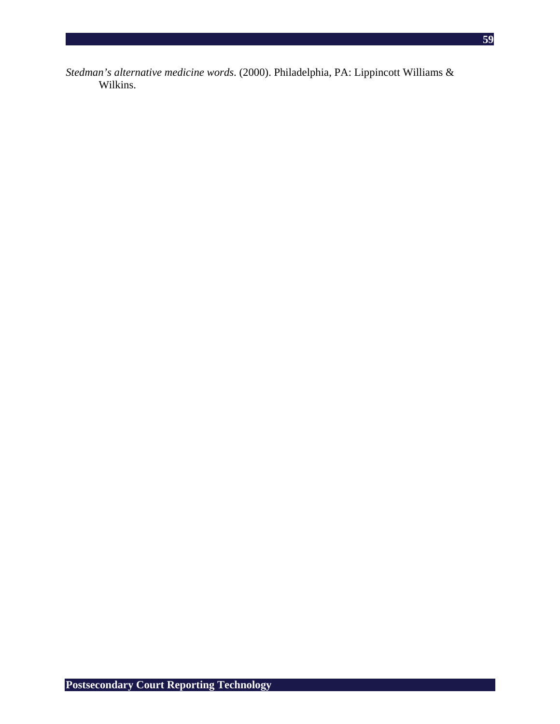*Stedman's alternative medicine words*. (2000). Philadelphia, PA: Lippincott Williams & Wilkins.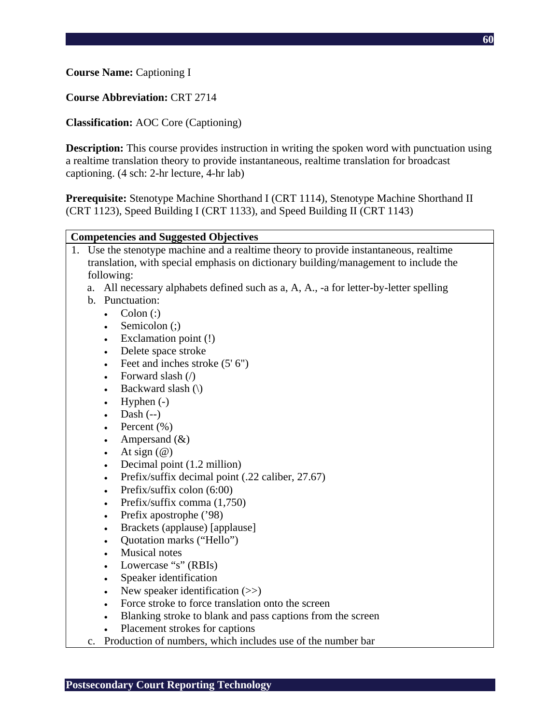## **Course Abbreviation:** CRT 2714

## **Classification:** AOC Core (Captioning)

**Description:** This course provides instruction in writing the spoken word with punctuation using a realtime translation theory to provide instantaneous, realtime translation for broadcast captioning. (4 sch: 2-hr lecture, 4-hr lab)

**Prerequisite:** Stenotype Machine Shorthand I (CRT 1114), Stenotype Machine Shorthand II (CRT 1123), Speed Building I (CRT 1133), and Speed Building II (CRT 1143)

#### **Competencies and Suggested Objectives**

- 1. Use the stenotype machine and a realtime theory to provide instantaneous, realtime translation, with special emphasis on dictionary building/management to include the following:
	- a. All necessary alphabets defined such as a, A, A., -a for letter-by-letter spelling
	- b. Punctuation:
	- Colon  $\left( \cdot \right)$ 
		- Semicolon (;)
		- Exclamation point (!)
		- Delete space stroke
		- Feet and inches stroke  $(5' 6'')$
		- Forward slash  $($   $)$
		- Backward slash  $(\cdot)$
		- Hyphen  $(-)$
		- Dash  $(-)$
		- Percent  $(\% )$
		- Ampersand  $(\&)$
		- At sign  $(\omega)$
		- Decimal point (1.2 million)
		- Prefix/suffix decimal point (.22 caliber, 27.67)
		- Prefix/suffix colon  $(6:00)$
		- Prefix/suffix comma  $(1,750)$
		- Prefix apostrophe ('98)
		- Brackets (applause) [applause]
		- Quotation marks ("Hello")
		- Musical notes
		- Lowercase "s" (RBIs)
		- Speaker identification
		- New speaker identification  $(\gg)$
		- Force stroke to force translation onto the screen
		- Blanking stroke to blank and pass captions from the screen
		- Placement strokes for captions
	- c. Production of numbers, which includes use of the number bar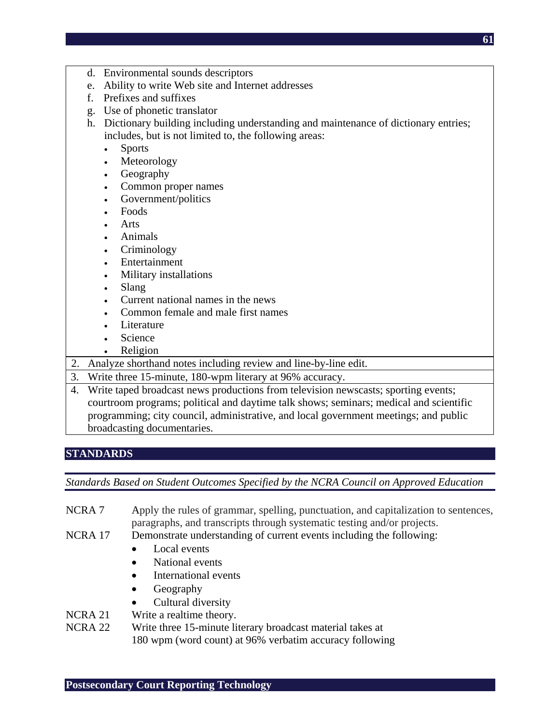- d. Environmental sounds descriptors
- e. Ability to write Web site and Internet addresses
- f. Prefixes and suffixes
- g. Use of phonetic translator
- h. Dictionary building including understanding and maintenance of dictionary entries; includes, but is not limited to, the following areas:
	- Sports
	- **Meteorology**
	- Geography
	- Common proper names
	- Government/politics
	- Foods
	- Arts
	- Animals
	- Criminology
	- **Entertainment**
	- Military installations
	- Slang
	- Current national names in the news
	- Common female and male first names
	- Literature
	- Science
	- Religion
- 2. Analyze shorthand notes including review and line-by-line edit.
- 3. Write three 15-minute, 180-wpm literary at 96% accuracy.
- 4. Write taped broadcast news productions from television newscasts; sporting events; courtroom programs; political and daytime talk shows; seminars; medical and scientific programming; city council, administrative, and local government meetings; and public broadcasting documentaries.

# **STANDARDS**

*Standards Based on Student Outcomes Specified by the NCRA Council on Approved Education* 

- NCRA 7 Apply the rules of grammar, spelling, punctuation, and capitalization to sentences, paragraphs, and transcripts through systematic testing and/or projects.
- NCRA 17 Demonstrate understanding of current events including the following:
	- Local events
	- National events
	- International events
	- Geography
	- Cultural diversity
- NCRA 21 Write a realtime theory.
- NCRA 22 Write three 15-minute literary broadcast material takes at

180 wpm (word count) at 96% verbatim accuracy following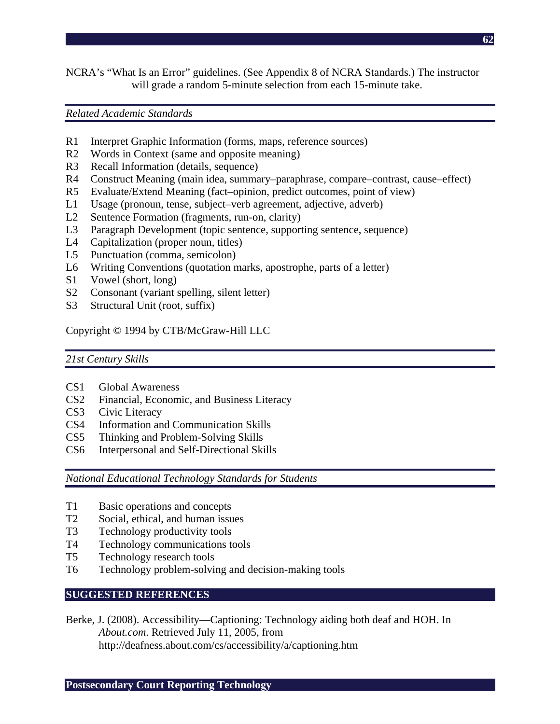NCRA's "What Is an Error" guidelines. (See Appendix 8 of NCRA Standards.) The instructor will grade a random 5-minute selection from each 15-minute take.

#### *Related Academic Standards*

- R1 Interpret Graphic Information (forms, maps, reference sources)
- R2 Words in Context (same and opposite meaning)
- R3 Recall Information (details, sequence)
- R4 Construct Meaning (main idea, summary–paraphrase, compare–contrast, cause–effect)
- R5 Evaluate/Extend Meaning (fact–opinion, predict outcomes, point of view)
- L1 Usage (pronoun, tense, subject–verb agreement, adjective, adverb)
- L2 Sentence Formation (fragments, run-on, clarity)
- L3 Paragraph Development (topic sentence, supporting sentence, sequence)
- L4 Capitalization (proper noun, titles)
- L5 Punctuation (comma, semicolon)
- L6 Writing Conventions (quotation marks, apostrophe, parts of a letter)
- S1 Vowel (short, long)
- S2 Consonant (variant spelling, silent letter)
- S3 Structural Unit (root, suffix)

Copyright © 1994 by CTB/McGraw-Hill LLC

#### *21st Century Skills*

- CS1 Global Awareness
- CS2 Financial, Economic, and Business Literacy
- CS3 Civic Literacy
- CS4 Information and Communication Skills
- CS5 Thinking and Problem-Solving Skills
- CS6 Interpersonal and Self-Directional Skills

*National Educational Technology Standards for Students* 

- T1 Basic operations and concepts
- T2 Social, ethical, and human issues
- T3 Technology productivity tools
- T4 Technology communications tools
- T5 Technology research tools
- T6 Technology problem-solving and decision-making tools

### **SUGGESTED REFERENCES**

Berke, J. (2008). Accessibility—Captioning: Technology aiding both deaf and HOH. In *About.com*. Retrieved July 11, 2005, from http://deafness.about.com/cs/accessibility/a/captioning.htm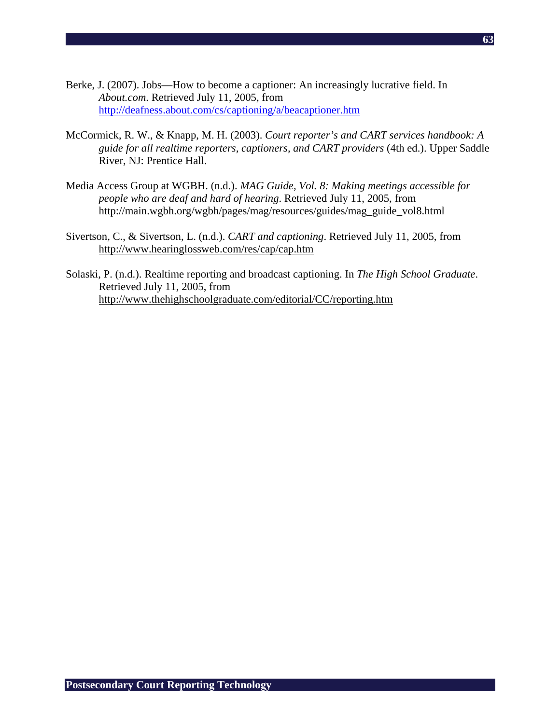- Berke, J. (2007). Jobs—How to become a captioner: An increasingly lucrative field. In *About.com*. Retrieved July 11, 2005, from http://deafness.about.com/cs/captioning/a/beacaptioner.htm
- McCormick, R. W., & Knapp, M. H. (2003). *Court reporter's and CART services handbook: A guide for all realtime reporters, captioners, and CART providers* (4th ed.). Upper Saddle River, NJ: Prentice Hall.
- Media Access Group at WGBH. (n.d.). *MAG Guide, Vol. 8: Making meetings accessible for people who are deaf and hard of hearing*. Retrieved July 11, 2005, from http://main.wgbh.org/wgbh/pages/mag/resources/guides/mag\_guide\_vol8.html
- Sivertson, C., & Sivertson, L. (n.d.). *CART and captioning*. Retrieved July 11, 2005, from http://www.hearinglossweb.com/res/cap/cap.htm
- Solaski, P. (n.d.). Realtime reporting and broadcast captioning. In *The High School Graduate*. Retrieved July 11, 2005, from http://www.thehighschoolgraduate.com/editorial/CC/reporting.htm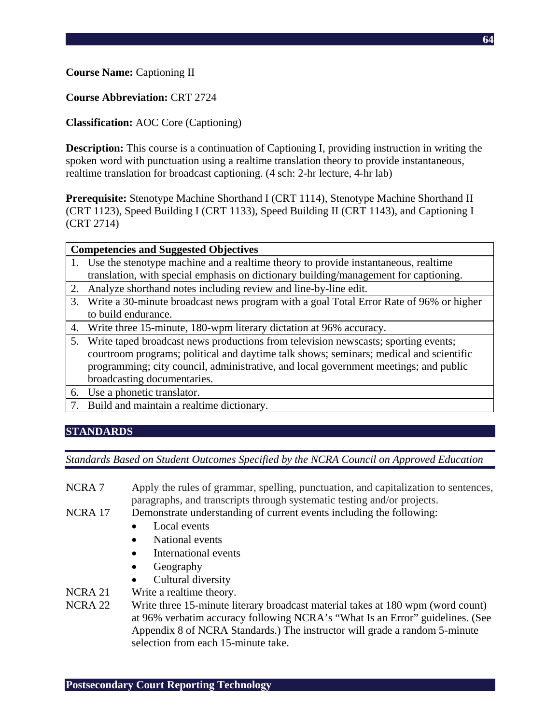### **Course Name:** Captioning II

### **Course Abbreviation:** CRT 2724

## **Classification:** AOC Core (Captioning)

**Description:** This course is a continuation of Captioning I, providing instruction in writing the spoken word with punctuation using a realtime translation theory to provide instantaneous, realtime translation for broadcast captioning. (4 sch: 2-hr lecture, 4-hr lab)

**Prerequisite:** Stenotype Machine Shorthand I (CRT 1114), Stenotype Machine Shorthand II (CRT 1123), Speed Building I (CRT 1133), Speed Building II (CRT 1143), and Captioning I (CRT 2714)

#### **Competencies and Suggested Objectives**

- 1. Use the stenotype machine and a realtime theory to provide instantaneous, realtime translation, with special emphasis on dictionary building/management for captioning.
- 2. Analyze shorthand notes including review and line-by-line edit.
- 3. Write a 30-minute broadcast news program with a goal Total Error Rate of 96% or higher to build endurance.
- 4. Write three 15-minute, 180-wpm literary dictation at 96% accuracy.
- 5. Write taped broadcast news productions from television newscasts; sporting events; courtroom programs; political and daytime talk shows; seminars; medical and scientific programming; city council, administrative, and local government meetings; and public broadcasting documentaries.
- 6. Use a phonetic translator.
- 7. Build and maintain a realtime dictionary.

### **STANDARDS**

### *Standards Based on Student Outcomes Specified by the NCRA Council on Approved Education*

- NCRA 7 Apply the rules of grammar, spelling, punctuation, and capitalization to sentences, paragraphs, and transcripts through systematic testing and/or projects.
- NCRA 17 Demonstrate understanding of current events including the following:
	- Local events
	- National events
	- International events
	- Geography
	- Cultural diversity
- NCRA 21 Write a realtime theory.
- NCRA 22 Write three 15-minute literary broadcast material takes at 180 wpm (word count) at 96% verbatim accuracy following NCRA's "What Is an Error" guidelines. (See Appendix 8 of NCRA Standards.) The instructor will grade a random 5-minute selection from each 15-minute take.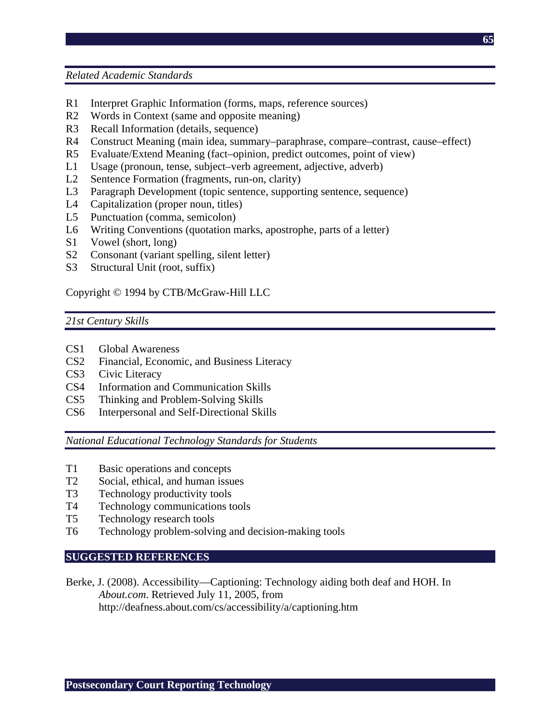*Related Academic Standards* 

- R1 Interpret Graphic Information (forms, maps, reference sources)
- R2 Words in Context (same and opposite meaning)
- R3 Recall Information (details, sequence)
- R4 Construct Meaning (main idea, summary–paraphrase, compare–contrast, cause–effect)
- R5 Evaluate/Extend Meaning (fact–opinion, predict outcomes, point of view)
- L1 Usage (pronoun, tense, subject–verb agreement, adjective, adverb)
- L2 Sentence Formation (fragments, run-on, clarity)
- L3 Paragraph Development (topic sentence, supporting sentence, sequence)
- L4 Capitalization (proper noun, titles)
- L5 Punctuation (comma, semicolon)
- L6 Writing Conventions (quotation marks, apostrophe, parts of a letter)
- S1 Vowel (short, long)
- S2 Consonant (variant spelling, silent letter)
- S3 Structural Unit (root, suffix)

Copyright © 1994 by CTB/McGraw-Hill LLC

#### *21st Century Skills*

- CS1 Global Awareness
- CS2 Financial, Economic, and Business Literacy
- CS3 Civic Literacy
- CS4 Information and Communication Skills
- CS5 Thinking and Problem-Solving Skills
- CS6 Interpersonal and Self-Directional Skills

*National Educational Technology Standards for Students* 

- T1 Basic operations and concepts
- T2 Social, ethical, and human issues<br>T3 Technology productivity tools
- Technology productivity tools
- T4 Technology communications tools
- T5 Technology research tools
- T6 Technology problem-solving and decision-making tools

### **SUGGESTED REFERENCES**

Berke, J. (2008). Accessibility—Captioning: Technology aiding both deaf and HOH. In *About.com*. Retrieved July 11, 2005, from http://deafness.about.com/cs/accessibility/a/captioning.htm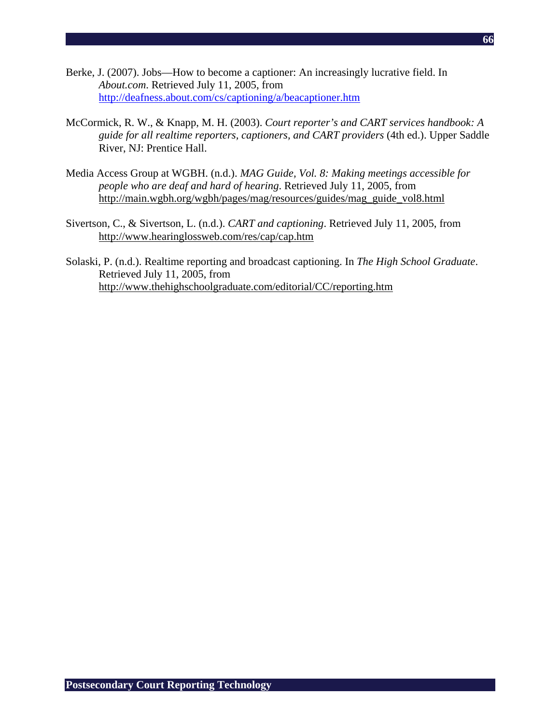- Berke, J. (2007). Jobs—How to become a captioner: An increasingly lucrative field. In *About.com*. Retrieved July 11, 2005, from http://deafness.about.com/cs/captioning/a/beacaptioner.htm
- McCormick, R. W., & Knapp, M. H. (2003). *Court reporter's and CART services handbook: A guide for all realtime reporters, captioners, and CART providers* (4th ed.). Upper Saddle River, NJ: Prentice Hall.
- Media Access Group at WGBH. (n.d.). *MAG Guide, Vol. 8: Making meetings accessible for people who are deaf and hard of hearing*. Retrieved July 11, 2005, from http://main.wgbh.org/wgbh/pages/mag/resources/guides/mag\_guide\_vol8.html
- Sivertson, C., & Sivertson, L. (n.d.). *CART and captioning*. Retrieved July 11, 2005, from http://www.hearinglossweb.com/res/cap/cap.htm
- Solaski, P. (n.d.). Realtime reporting and broadcast captioning. In *The High School Graduate*. Retrieved July 11, 2005, from http://www.thehighschoolgraduate.com/editorial/CC/reporting.htm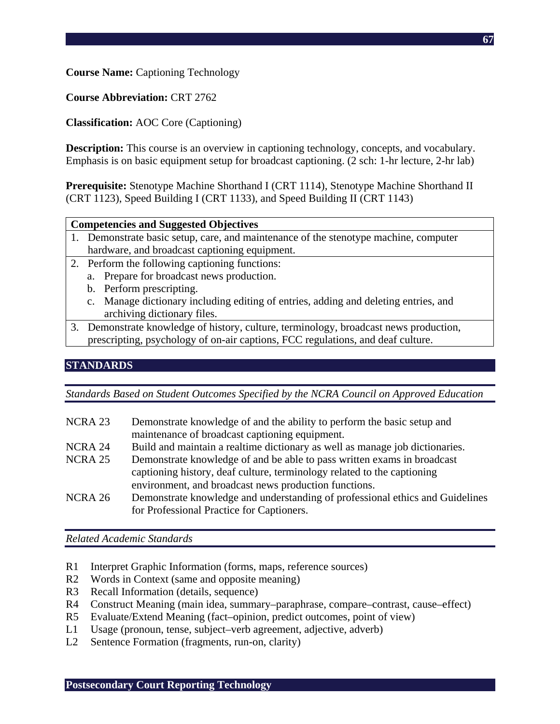**Course Name:** Captioning Technology

**Course Abbreviation:** CRT 2762

# **Classification:** AOC Core (Captioning)

**Description:** This course is an overview in captioning technology, concepts, and vocabulary. Emphasis is on basic equipment setup for broadcast captioning. (2 sch: 1-hr lecture, 2-hr lab)

**Prerequisite:** Stenotype Machine Shorthand I (CRT 1114), Stenotype Machine Shorthand II (CRT 1123), Speed Building I (CRT 1133), and Speed Building II (CRT 1143)

| 1. Demonstrate basic setup, care, and maintenance of the stenotype machine, computer |
|--------------------------------------------------------------------------------------|
| hardware, and broadcast captioning equipment.                                        |

- 2. Perform the following captioning functions:
	- a. Prepare for broadcast news production.
	- b. Perform prescripting.
	- c. Manage dictionary including editing of entries, adding and deleting entries, and archiving dictionary files.
- 3. Demonstrate knowledge of history, culture, terminology, broadcast news production, prescripting, psychology of on-air captions, FCC regulations, and deaf culture.

# **STANDARDS**

*Standards Based on Student Outcomes Specified by the NCRA Council on Approved Education* 

| NCRA 23 | Demonstrate knowledge of and the ability to perform the basic setup and       |
|---------|-------------------------------------------------------------------------------|
|         | maintenance of broadcast captioning equipment.                                |
| NCRA 24 | Build and maintain a realtime dictionary as well as manage job dictionaries.  |
| NCRA 25 | Demonstrate knowledge of and be able to pass written exams in broadcast       |
|         | captioning history, deaf culture, terminology related to the captioning       |
|         | environment, and broadcast news production functions.                         |
| NCRA 26 | Demonstrate knowledge and understanding of professional ethics and Guidelines |
|         | for Professional Practice for Captioners.                                     |

*Related Academic Standards* 

- R1 Interpret Graphic Information (forms, maps, reference sources)
- R2 Words in Context (same and opposite meaning)
- R3 Recall Information (details, sequence)
- R4 Construct Meaning (main idea, summary–paraphrase, compare–contrast, cause–effect)
- R5 Evaluate/Extend Meaning (fact–opinion, predict outcomes, point of view)
- L1 Usage (pronoun, tense, subject–verb agreement, adjective, adverb)
- L2 Sentence Formation (fragments, run-on, clarity)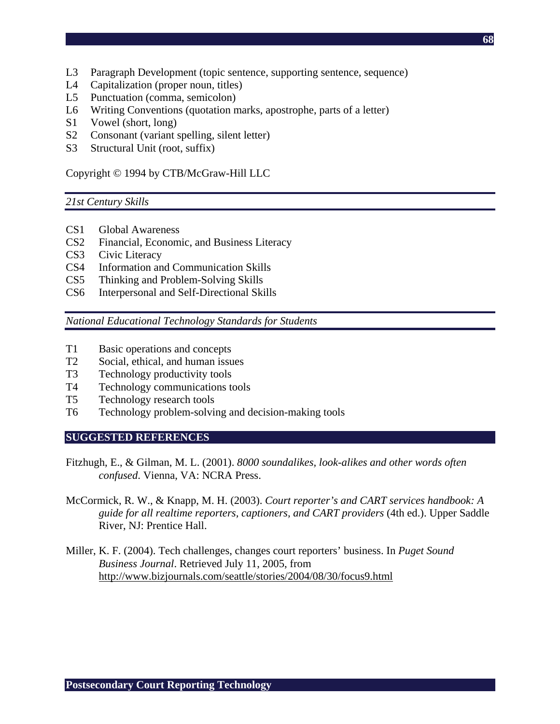- L3 Paragraph Development (topic sentence, supporting sentence, sequence)
- L4 Capitalization (proper noun, titles)
- L5 Punctuation (comma, semicolon)
- L6 Writing Conventions (quotation marks, apostrophe, parts of a letter)
- S1 Vowel (short, long)
- S2 Consonant (variant spelling, silent letter)
- S3 Structural Unit (root, suffix)

Copyright © 1994 by CTB/McGraw-Hill LLC

#### *21st Century Skills*

- CS1 Global Awareness
- CS2 Financial, Economic, and Business Literacy
- CS3 Civic Literacy
- CS4 Information and Communication Skills
- CS5 Thinking and Problem-Solving Skills
- CS6 Interpersonal and Self-Directional Skills

*National Educational Technology Standards for Students* 

- T1 Basic operations and concepts
- T2 Social, ethical, and human issues
- T3 Technology productivity tools
- T4 Technology communications tools
- T5 Technology research tools
- T6 Technology problem-solving and decision-making tools

#### **SUGGESTED REFERENCES**

- Fitzhugh, E., & Gilman, M. L. (2001). *8000 soundalikes, look-alikes and other words often confused*. Vienna, VA: NCRA Press.
- McCormick, R. W., & Knapp, M. H. (2003). *Court reporter's and CART services handbook: A guide for all realtime reporters, captioners, and CART providers* (4th ed.). Upper Saddle River, NJ: Prentice Hall.
- Miller, K. F. (2004). Tech challenges, changes court reporters' business. In *Puget Sound Business Journal*. Retrieved July 11, 2005, from http://www.bizjournals.com/seattle/stories/2004/08/30/focus9.html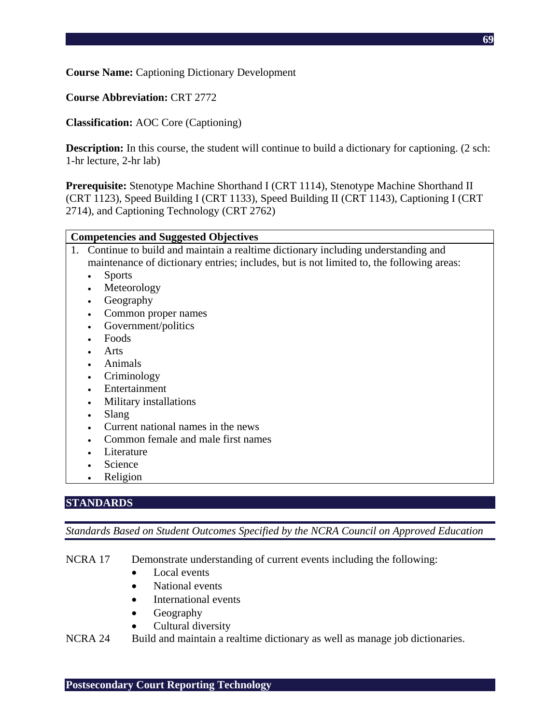**Course Name:** Captioning Dictionary Development

**Course Abbreviation:** CRT 2772

**Classification:** AOC Core (Captioning)

**Description:** In this course, the student will continue to build a dictionary for captioning. (2 sch: 1-hr lecture, 2-hr lab)

**Prerequisite:** Stenotype Machine Shorthand I (CRT 1114), Stenotype Machine Shorthand II (CRT 1123), Speed Building I (CRT 1133), Speed Building II (CRT 1143), Captioning I (CRT 2714), and Captioning Technology (CRT 2762)

#### **Competencies and Suggested Objectives**

- 1. Continue to build and maintain a realtime dictionary including understanding and maintenance of dictionary entries; includes, but is not limited to, the following areas:
	- Sports
	- Meteorology
	- Geography
	- Common proper names
	- Government/politics
	- Foods
	- Arts
	- Animals
	- **Criminology**
	- Entertainment
	- Military installations
	- Slang
	- Current national names in the news
	- Common female and male first names
	- Literature
	- **Science**
	- Religion

# **STANDARDS**

*Standards Based on Student Outcomes Specified by the NCRA Council on Approved Education* 

NCRA 17 Demonstrate understanding of current events including the following:

- Local events
- National events
- International events
- **Geography**
- Cultural diversity

NCRA 24 Build and maintain a realtime dictionary as well as manage job dictionaries.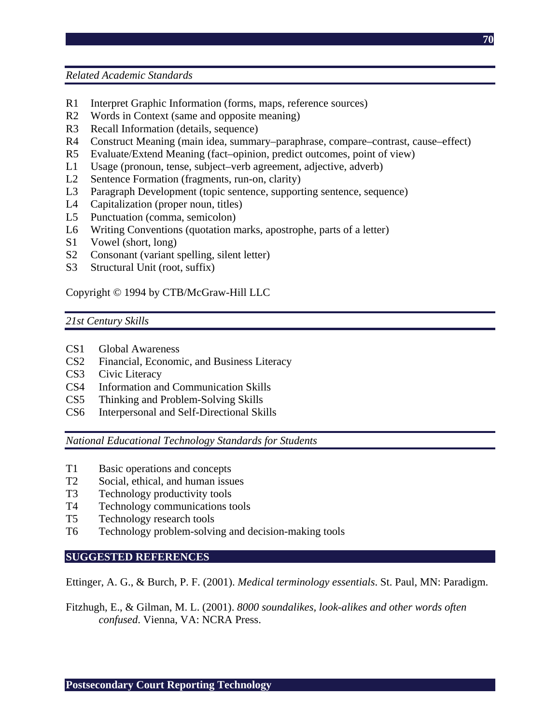*Related Academic Standards* 

- R1 Interpret Graphic Information (forms, maps, reference sources)
- R2 Words in Context (same and opposite meaning)
- R3 Recall Information (details, sequence)
- R4 Construct Meaning (main idea, summary–paraphrase, compare–contrast, cause–effect)
- R5 Evaluate/Extend Meaning (fact–opinion, predict outcomes, point of view)
- L1 Usage (pronoun, tense, subject–verb agreement, adjective, adverb)
- L2 Sentence Formation (fragments, run-on, clarity)
- L3 Paragraph Development (topic sentence, supporting sentence, sequence)
- L4 Capitalization (proper noun, titles)
- L5 Punctuation (comma, semicolon)
- L6 Writing Conventions (quotation marks, apostrophe, parts of a letter)
- S1 Vowel (short, long)
- S2 Consonant (variant spelling, silent letter)
- S3 Structural Unit (root, suffix)

Copyright © 1994 by CTB/McGraw-Hill LLC

#### *21st Century Skills*

- CS1 Global Awareness
- CS2 Financial, Economic, and Business Literacy
- CS3 Civic Literacy
- CS4 Information and Communication Skills
- CS5 Thinking and Problem-Solving Skills
- CS6 Interpersonal and Self-Directional Skills

*National Educational Technology Standards for Students* 

- T1 Basic operations and concepts
- T2 Social, ethical, and human issues
- T3 Technology productivity tools
- T4 Technology communications tools
- T5 Technology research tools
- T6 Technology problem-solving and decision-making tools

#### **SUGGESTED REFERENCES**

Ettinger, A. G., & Burch, P. F. (2001). *Medical terminology essentials*. St. Paul, MN: Paradigm.

Fitzhugh, E., & Gilman, M. L. (2001). *8000 soundalikes, look-alikes and other words often confused*. Vienna, VA: NCRA Press.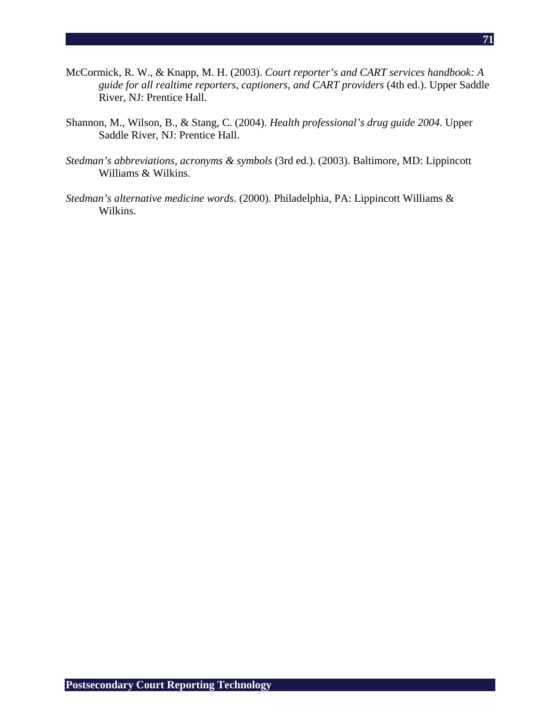- McCormick, R. W., & Knapp, M. H. (2003). *Court reporter's and CART services handbook: A guide for all realtime reporters, captioners, and CART providers* (4th ed.). Upper Saddle River, NJ: Prentice Hall.
- Shannon, M., Wilson, B., & Stang, C. (2004). *Health professional's drug guide 2004*. Upper Saddle River, NJ: Prentice Hall.
- *Stedman's abbreviations, acronyms & symbols* (3rd ed.). (2003). Baltimore, MD: Lippincott Williams & Wilkins.
- *Stedman's alternative medicine words*. (2000). Philadelphia, PA: Lippincott Williams & Wilkins.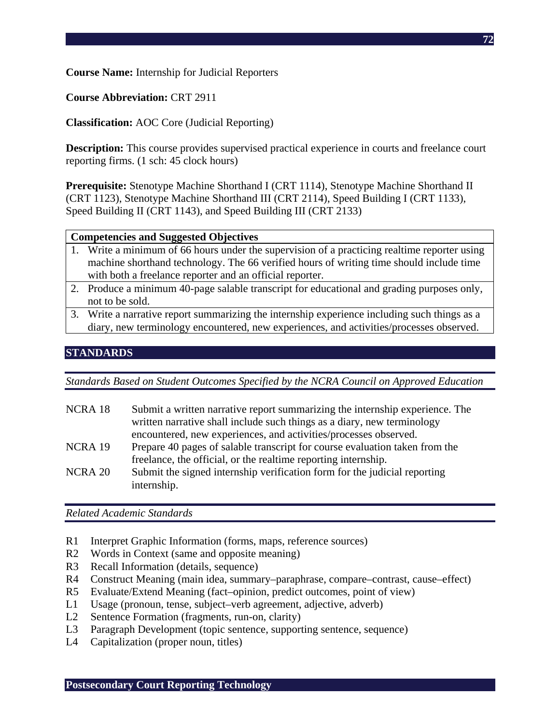**Course Name:** Internship for Judicial Reporters

**Course Abbreviation:** CRT 2911

**Classification:** AOC Core (Judicial Reporting)

**Description:** This course provides supervised practical experience in courts and freelance court reporting firms. (1 sch: 45 clock hours)

**Prerequisite:** Stenotype Machine Shorthand I (CRT 1114), Stenotype Machine Shorthand II (CRT 1123), Stenotype Machine Shorthand III (CRT 2114), Speed Building I (CRT 1133), Speed Building II (CRT 1143), and Speed Building III (CRT 2133)

### **Competencies and Suggested Objectives**

- 1. Write a minimum of 66 hours under the supervision of a practicing realtime reporter using machine shorthand technology. The 66 verified hours of writing time should include time with both a freelance reporter and an official reporter.
- 2. Produce a minimum 40-page salable transcript for educational and grading purposes only, not to be sold.
- 3. Write a narrative report summarizing the internship experience including such things as a diary, new terminology encountered, new experiences, and activities/processes observed.

# **STANDARDS**

*Standards Based on Student Outcomes Specified by the NCRA Council on Approved Education* 

NCRA 18 Submit a written narrative report summarizing the internship experience. The written narrative shall include such things as a diary, new terminology encountered, new experiences, and activities/processes observed. NCRA 19 Prepare 40 pages of salable transcript for course evaluation taken from the freelance, the official, or the realtime reporting internship. NCRA 20 Submit the signed internship verification form for the judicial reporting internship.

- R1 Interpret Graphic Information (forms, maps, reference sources)
- R2 Words in Context (same and opposite meaning)
- R3 Recall Information (details, sequence)
- R4 Construct Meaning (main idea, summary–paraphrase, compare–contrast, cause–effect)
- R5 Evaluate/Extend Meaning (fact–opinion, predict outcomes, point of view)
- L1 Usage (pronoun, tense, subject–verb agreement, adjective, adverb)
- L2 Sentence Formation (fragments, run-on, clarity)
- L3 Paragraph Development (topic sentence, supporting sentence, sequence)
- L4 Capitalization (proper noun, titles)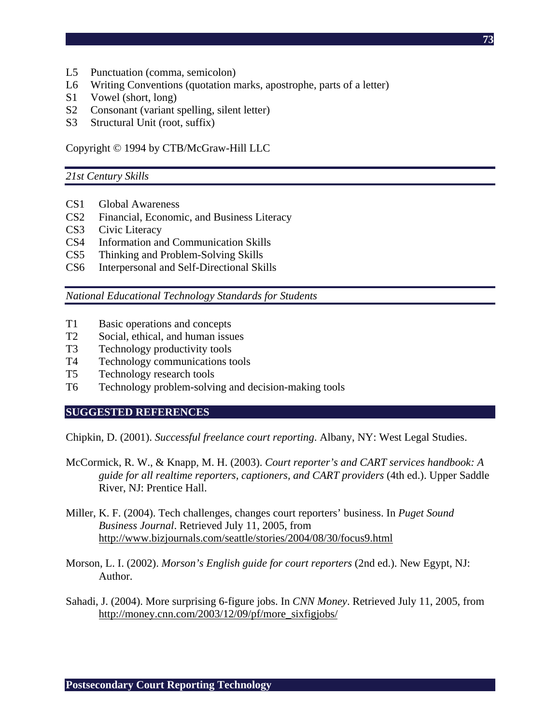- L5 Punctuation (comma, semicolon)
- L6 Writing Conventions (quotation marks, apostrophe, parts of a letter)
- S1 Vowel (short, long)
- S2 Consonant (variant spelling, silent letter)
- S3 Structural Unit (root, suffix)

Copyright © 1994 by CTB/McGraw-Hill LLC

#### *21st Century Skills*

- CS1 Global Awareness
- CS2 Financial, Economic, and Business Literacy
- CS3 Civic Literacy
- CS4 Information and Communication Skills
- CS5 Thinking and Problem-Solving Skills
- CS6 Interpersonal and Self-Directional Skills

*National Educational Technology Standards for Students* 

- T1 Basic operations and concepts
- T2 Social, ethical, and human issues
- T3 Technology productivity tools
- T4 Technology communications tools
- T5 Technology research tools
- T6 Technology problem-solving and decision-making tools

#### **SUGGESTED REFERENCES**

Chipkin, D. (2001). *Successful freelance court reporting*. Albany, NY: West Legal Studies.

- McCormick, R. W., & Knapp, M. H. (2003). *Court reporter's and CART services handbook: A guide for all realtime reporters, captioners, and CART providers* (4th ed.). Upper Saddle River, NJ: Prentice Hall.
- Miller, K. F. (2004). Tech challenges, changes court reporters' business. In *Puget Sound Business Journal*. Retrieved July 11, 2005, from http://www.bizjournals.com/seattle/stories/2004/08/30/focus9.html
- Morson, L. I. (2002). *Morson's English guide for court reporters* (2nd ed.). New Egypt, NJ: Author.
- Sahadi, J. (2004). More surprising 6-figure jobs. In *CNN Money*. Retrieved July 11, 2005, from http://money.cnn.com/2003/12/09/pf/more\_sixfigjobs/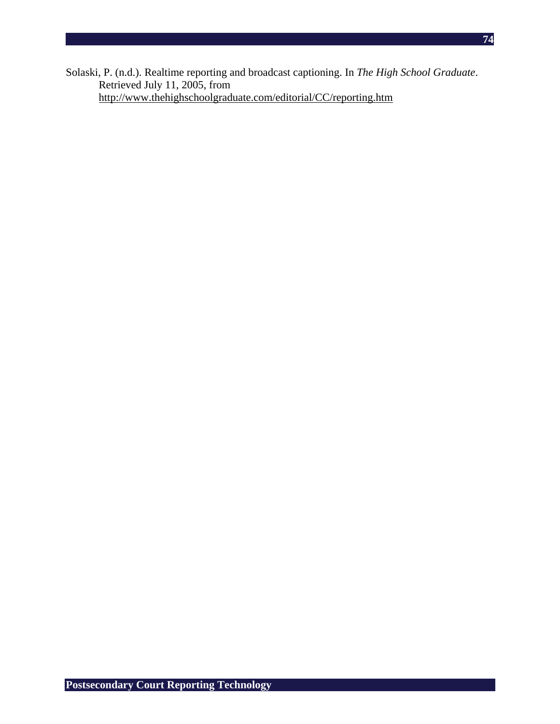Solaski, P. (n.d.). Realtime reporting and broadcast captioning. In *The High School Graduate*. Retrieved July 11, 2005, from http://www.thehighschoolgraduate.com/editorial/CC/reporting.htm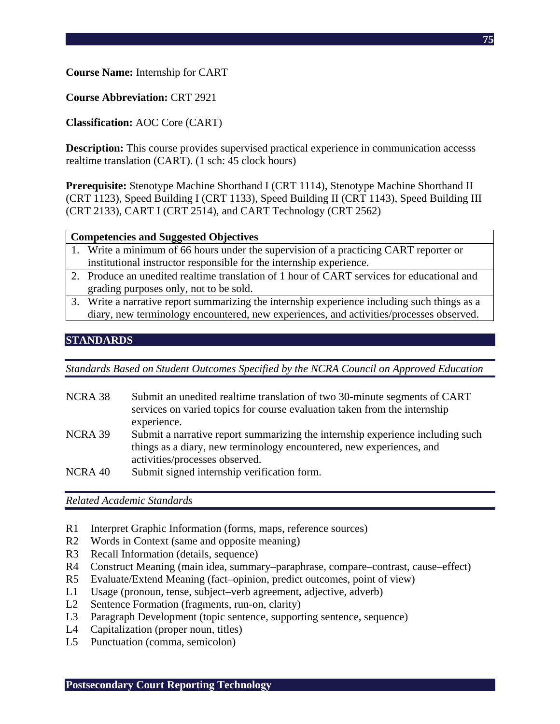**Course Name:** Internship for CART

**Course Abbreviation:** CRT 2921

**Classification:** AOC Core (CART)

**Description:** This course provides supervised practical experience in communication accesss realtime translation (CART). (1 sch: 45 clock hours)

**Prerequisite:** Stenotype Machine Shorthand I (CRT 1114), Stenotype Machine Shorthand II (CRT 1123), Speed Building I (CRT 1133), Speed Building II (CRT 1143), Speed Building III (CRT 2133), CART I (CRT 2514), and CART Technology (CRT 2562)

#### **Competencies and Suggested Objectives**

- 1. Write a minimum of 66 hours under the supervision of a practicing CART reporter or institutional instructor responsible for the internship experience.
- 2. Produce an unedited realtime translation of 1 hour of CART services for educational and grading purposes only, not to be sold.
- 3. Write a narrative report summarizing the internship experience including such things as a diary, new terminology encountered, new experiences, and activities/processes observed.

## **STANDARDS**

*Standards Based on Student Outcomes Specified by the NCRA Council on Approved Education* 

- NCRA 38 Submit an unedited realtime translation of two 30-minute segments of CART services on varied topics for course evaluation taken from the internship experience. NCRA 39 Submit a narrative report summarizing the internship experience including such things as a diary, new terminology encountered, new experiences, and activities/processes observed.
- NCRA 40 Submit signed internship verification form.

*Related Academic Standards* 

- R1 Interpret Graphic Information (forms, maps, reference sources)
- R2 Words in Context (same and opposite meaning)
- R3 Recall Information (details, sequence)
- R4 Construct Meaning (main idea, summary–paraphrase, compare–contrast, cause–effect)
- R5 Evaluate/Extend Meaning (fact–opinion, predict outcomes, point of view)
- L1 Usage (pronoun, tense, subject–verb agreement, adjective, adverb)
- L2 Sentence Formation (fragments, run-on, clarity)
- L3 Paragraph Development (topic sentence, supporting sentence, sequence)
- L4 Capitalization (proper noun, titles)
- L5 Punctuation (comma, semicolon)

**Postsecondary Court Reporting Technology**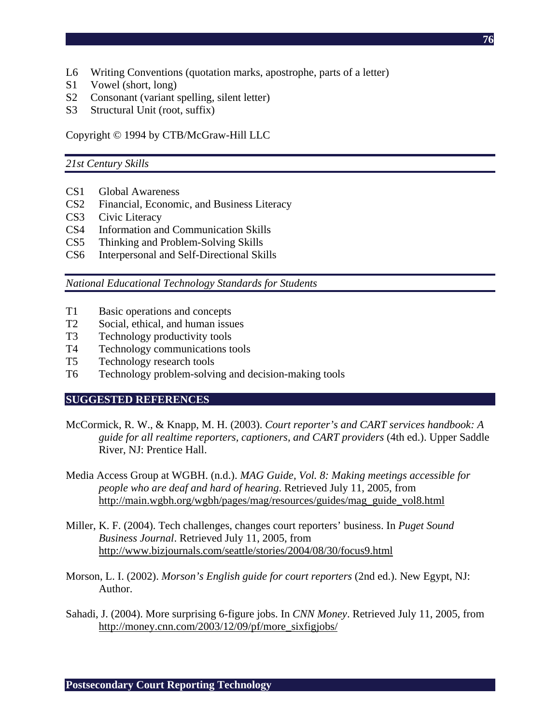- L6 Writing Conventions (quotation marks, apostrophe, parts of a letter)
- S1 Vowel (short, long)
- S2 Consonant (variant spelling, silent letter)
- S3 Structural Unit (root, suffix)

Copyright © 1994 by CTB/McGraw-Hill LLC

#### *21st Century Skills*

- CS1 Global Awareness
- CS2 Financial, Economic, and Business Literacy
- CS3 Civic Literacy
- CS4 Information and Communication Skills
- CS5 Thinking and Problem-Solving Skills
- CS6 Interpersonal and Self-Directional Skills

*National Educational Technology Standards for Students* 

- T1 Basic operations and concepts
- T2 Social, ethical, and human issues
- T3 Technology productivity tools
- T4 Technology communications tools
- T5 Technology research tools
- T6 Technology problem-solving and decision-making tools

#### **SUGGESTED REFERENCES**

- McCormick, R. W., & Knapp, M. H. (2003). *Court reporter's and CART services handbook: A guide for all realtime reporters, captioners, and CART providers* (4th ed.). Upper Saddle River, NJ: Prentice Hall.
- Media Access Group at WGBH. (n.d.). *MAG Guide, Vol. 8: Making meetings accessible for people who are deaf and hard of hearing*. Retrieved July 11, 2005, from http://main.wgbh.org/wgbh/pages/mag/resources/guides/mag\_guide\_vol8.html
- Miller, K. F. (2004). Tech challenges, changes court reporters' business. In *Puget Sound Business Journal*. Retrieved July 11, 2005, from http://www.bizjournals.com/seattle/stories/2004/08/30/focus9.html
- Morson, L. I. (2002). *Morson's English guide for court reporters* (2nd ed.). New Egypt, NJ: Author.
- Sahadi, J. (2004). More surprising 6-figure jobs. In *CNN Money*. Retrieved July 11, 2005, from http://money.cnn.com/2003/12/09/pf/more\_sixfigjobs/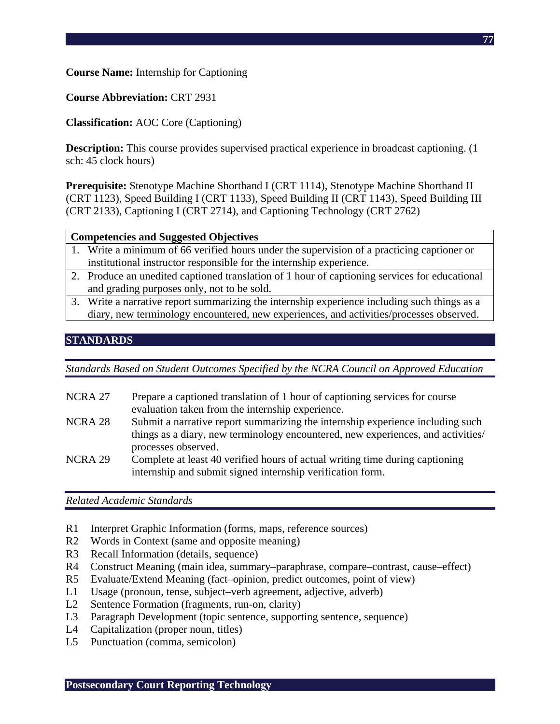**Course Name:** Internship for Captioning

**Course Abbreviation:** CRT 2931

**Classification:** AOC Core (Captioning)

**Description:** This course provides supervised practical experience in broadcast captioning. (1) sch: 45 clock hours)

**Prerequisite:** Stenotype Machine Shorthand I (CRT 1114), Stenotype Machine Shorthand II (CRT 1123), Speed Building I (CRT 1133), Speed Building II (CRT 1143), Speed Building III (CRT 2133), Captioning I (CRT 2714), and Captioning Technology (CRT 2762)

#### **Competencies and Suggested Objectives**

- 1. Write a minimum of 66 verified hours under the supervision of a practicing captioner or institutional instructor responsible for the internship experience.
- 2. Produce an unedited captioned translation of 1 hour of captioning services for educational and grading purposes only, not to be sold.
- 3. Write a narrative report summarizing the internship experience including such things as a diary, new terminology encountered, new experiences, and activities/processes observed.

## **STANDARDS**

*Standards Based on Student Outcomes Specified by the NCRA Council on Approved Education* 

- NCRA 27 Prepare a captioned translation of 1 hour of captioning services for course evaluation taken from the internship experience.
- NCRA 28 Submit a narrative report summarizing the internship experience including such things as a diary, new terminology encountered, new experiences, and activities/ processes observed.
- NCRA 29 Complete at least 40 verified hours of actual writing time during captioning internship and submit signed internship verification form.

*Related Academic Standards* 

- R1 Interpret Graphic Information (forms, maps, reference sources)
- R2 Words in Context (same and opposite meaning)
- R3 Recall Information (details, sequence)
- R4 Construct Meaning (main idea, summary–paraphrase, compare–contrast, cause–effect)
- R5 Evaluate/Extend Meaning (fact–opinion, predict outcomes, point of view)
- L1 Usage (pronoun, tense, subject–verb agreement, adjective, adverb)
- L2 Sentence Formation (fragments, run-on, clarity)
- L3 Paragraph Development (topic sentence, supporting sentence, sequence)
- L4 Capitalization (proper noun, titles)
- L5 Punctuation (comma, semicolon)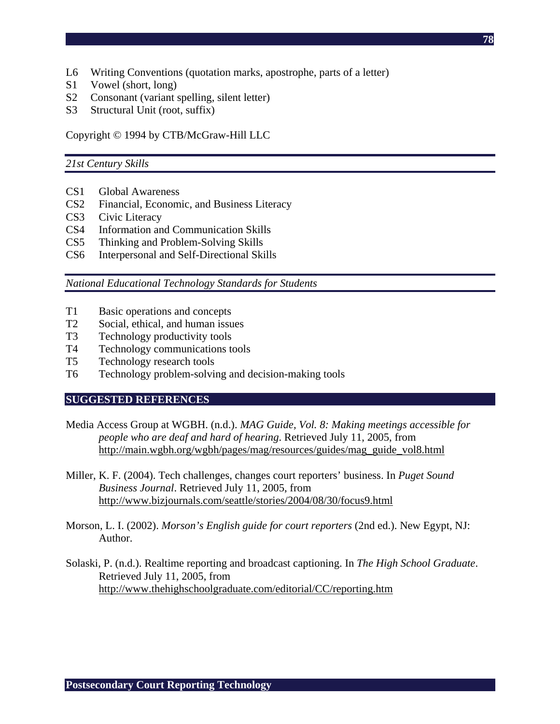- L6 Writing Conventions (quotation marks, apostrophe, parts of a letter)
- S1 Vowel (short, long)
- S2 Consonant (variant spelling, silent letter)
- S3 Structural Unit (root, suffix)

Copyright © 1994 by CTB/McGraw-Hill LLC

#### *21st Century Skills*

- CS1 Global Awareness
- CS2 Financial, Economic, and Business Literacy
- CS3 Civic Literacy
- CS4 Information and Communication Skills
- CS5 Thinking and Problem-Solving Skills
- CS6 Interpersonal and Self-Directional Skills

*National Educational Technology Standards for Students* 

- T1 Basic operations and concepts
- T2 Social, ethical, and human issues
- T3 Technology productivity tools
- T4 Technology communications tools
- T5 Technology research tools
- T6 Technology problem-solving and decision-making tools

#### **SUGGESTED REFERENCES**

- Media Access Group at WGBH. (n.d.). *MAG Guide, Vol. 8: Making meetings accessible for people who are deaf and hard of hearing*. Retrieved July 11, 2005, from http://main.wgbh.org/wgbh/pages/mag/resources/guides/mag\_guide\_vol8.html
- Miller, K. F. (2004). Tech challenges, changes court reporters' business. In *Puget Sound Business Journal*. Retrieved July 11, 2005, from http://www.bizjournals.com/seattle/stories/2004/08/30/focus9.html
- Morson, L. I. (2002). *Morson's English guide for court reporters* (2nd ed.). New Egypt, NJ: Author.
- Solaski, P. (n.d.). Realtime reporting and broadcast captioning. In *The High School Graduate*. Retrieved July 11, 2005, from http://www.thehighschoolgraduate.com/editorial/CC/reporting.htm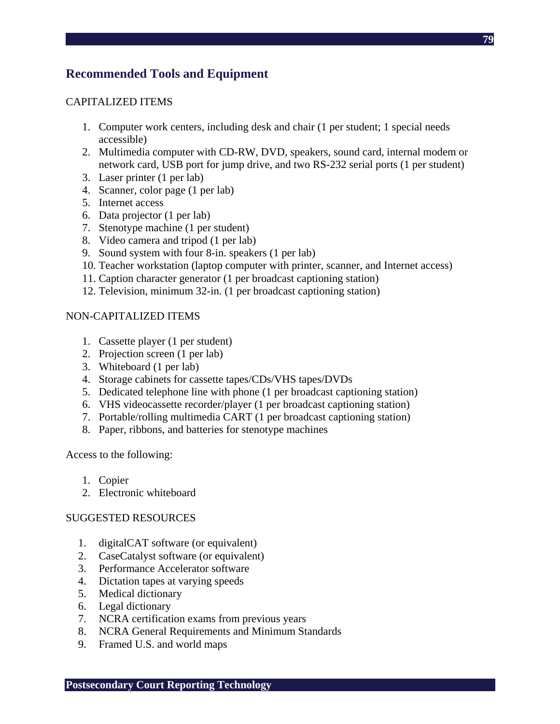#### CAPITALIZED ITEMS

- 1. Computer work centers, including desk and chair (1 per student; 1 special needs accessible)
- 2. Multimedia computer with CD-RW, DVD, speakers, sound card, internal modem or network card, USB port for jump drive, and two RS-232 serial ports (1 per student)
- 3. Laser printer (1 per lab)
- 4. Scanner, color page (1 per lab)
- 5. Internet access
- 6. Data projector (1 per lab)
- 7. Stenotype machine (1 per student)
- 8. Video camera and tripod (1 per lab)
- 9. Sound system with four 8-in. speakers (1 per lab)
- 10. Teacher workstation (laptop computer with printer, scanner, and Internet access)
- 11. Caption character generator (1 per broadcast captioning station)
- 12. Television, minimum 32-in. (1 per broadcast captioning station)

#### NON-CAPITALIZED ITEMS

- 1. Cassette player (1 per student)
- 2. Projection screen (1 per lab)
- 3. Whiteboard (1 per lab)
- 4. Storage cabinets for cassette tapes/CDs/VHS tapes/DVDs
- 5. Dedicated telephone line with phone (1 per broadcast captioning station)
- 6. VHS videocassette recorder/player (1 per broadcast captioning station)
- 7. Portable/rolling multimedia CART (1 per broadcast captioning station)
- 8. Paper, ribbons, and batteries for stenotype machines

Access to the following:

- 1. Copier
- 2. Electronic whiteboard

## SUGGESTED RESOURCES

- 1. digitalCAT software (or equivalent)
- 2. CaseCatalyst software (or equivalent)
- 3. Performance Accelerator software
- 4. Dictation tapes at varying speeds
- 5. Medical dictionary
- 6. Legal dictionary
- 7. NCRA certification exams from previous years
- 8. NCRA General Requirements and Minimum Standards
- 9. Framed U.S. and world maps

**79**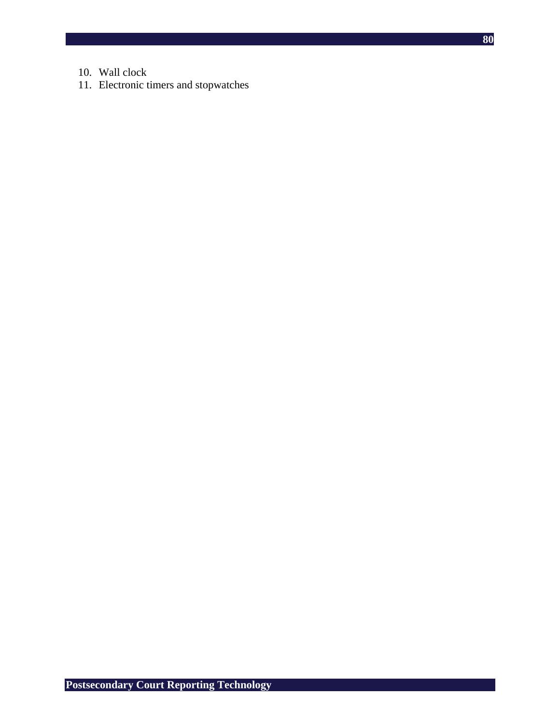- 10. Wall clock
- 11. Electronic timers and stopwatches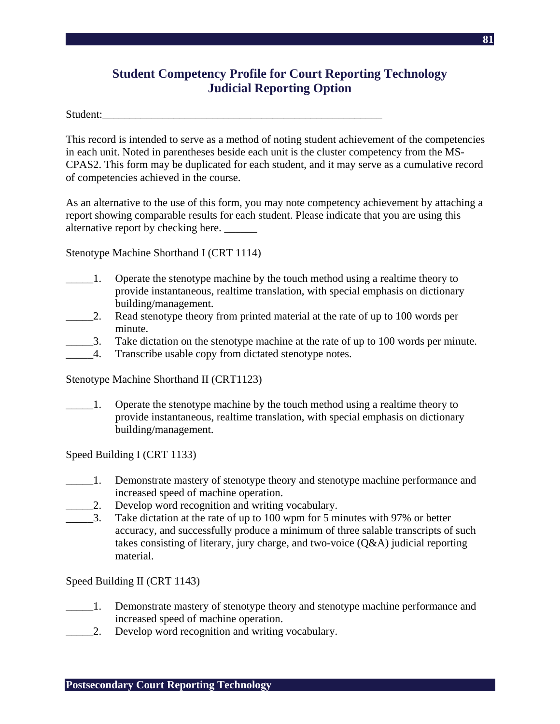# **Student Competency Profile for Court Reporting Technology Judicial Reporting Option**

Student:

This record is intended to serve as a method of noting student achievement of the competencies in each unit. Noted in parentheses beside each unit is the cluster competency from the MS-CPAS2. This form may be duplicated for each student, and it may serve as a cumulative record of competencies achieved in the course.

As an alternative to the use of this form, you may note competency achievement by attaching a report showing comparable results for each student. Please indicate that you are using this alternative report by checking here.

Stenotype Machine Shorthand I (CRT 1114)

- \_\_\_\_\_1. Operate the stenotype machine by the touch method using a realtime theory to provide instantaneous, realtime translation, with special emphasis on dictionary building/management.
- 2. Read stenotype theory from printed material at the rate of up to 100 words per minute.
- \_\_\_\_\_3. Take dictation on the stenotype machine at the rate of up to 100 words per minute.
- \_\_\_\_\_4. Transcribe usable copy from dictated stenotype notes.

Stenotype Machine Shorthand II (CRT1123)

\_\_\_\_\_1. Operate the stenotype machine by the touch method using a realtime theory to provide instantaneous, realtime translation, with special emphasis on dictionary building/management.

Speed Building I (CRT 1133)

- 1. Demonstrate mastery of stenotype theory and stenotype machine performance and increased speed of machine operation.
- \_\_\_\_\_2. Develop word recognition and writing vocabulary.
- 3. Take dictation at the rate of up to 100 wpm for 5 minutes with 97% or better accuracy, and successfully produce a minimum of three salable transcripts of such takes consisting of literary, jury charge, and two-voice (Q&A) judicial reporting material.

#### Speed Building II (CRT 1143)

- 1. Demonstrate mastery of stenotype theory and stenotype machine performance and increased speed of machine operation.
- 2. Develop word recognition and writing vocabulary.

**81**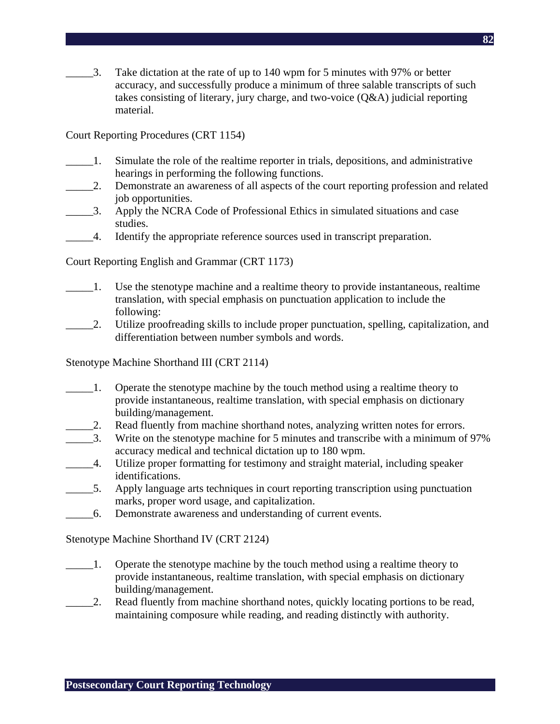$\Box$ 3. Take dictation at the rate of up to 140 wpm for 5 minutes with 97% or better accuracy, and successfully produce a minimum of three salable transcripts of such takes consisting of literary, jury charge, and two-voice (Q&A) judicial reporting material.

Court Reporting Procedures (CRT 1154)

- \_\_\_\_\_1. Simulate the role of the realtime reporter in trials, depositions, and administrative hearings in performing the following functions.
- \_\_\_\_\_2. Demonstrate an awareness of all aspects of the court reporting profession and related job opportunities.
- \_\_\_\_\_3. Apply the NCRA Code of Professional Ethics in simulated situations and case studies.
- \_\_\_\_\_4. Identify the appropriate reference sources used in transcript preparation.

Court Reporting English and Grammar (CRT 1173)

- \_\_\_\_\_1. Use the stenotype machine and a realtime theory to provide instantaneous, realtime translation, with special emphasis on punctuation application to include the following:
- \_\_\_\_\_2. Utilize proofreading skills to include proper punctuation, spelling, capitalization, and differentiation between number symbols and words.

Stenotype Machine Shorthand III (CRT 2114)

- \_\_\_\_\_1. Operate the stenotype machine by the touch method using a realtime theory to provide instantaneous, realtime translation, with special emphasis on dictionary building/management.
- 2. Read fluently from machine shorthand notes, analyzing written notes for errors.
- \_\_\_\_\_3. Write on the stenotype machine for 5 minutes and transcribe with a minimum of 97% accuracy medical and technical dictation up to 180 wpm.
- \_\_\_\_\_4. Utilize proper formatting for testimony and straight material, including speaker identifications.
- \_\_\_\_\_5. Apply language arts techniques in court reporting transcription using punctuation marks, proper word usage, and capitalization.
- \_\_\_\_\_6. Demonstrate awareness and understanding of current events.

Stenotype Machine Shorthand IV (CRT 2124)

- \_\_\_\_\_1. Operate the stenotype machine by the touch method using a realtime theory to provide instantaneous, realtime translation, with special emphasis on dictionary building/management.
- 2. Read fluently from machine shorthand notes, quickly locating portions to be read, maintaining composure while reading, and reading distinctly with authority.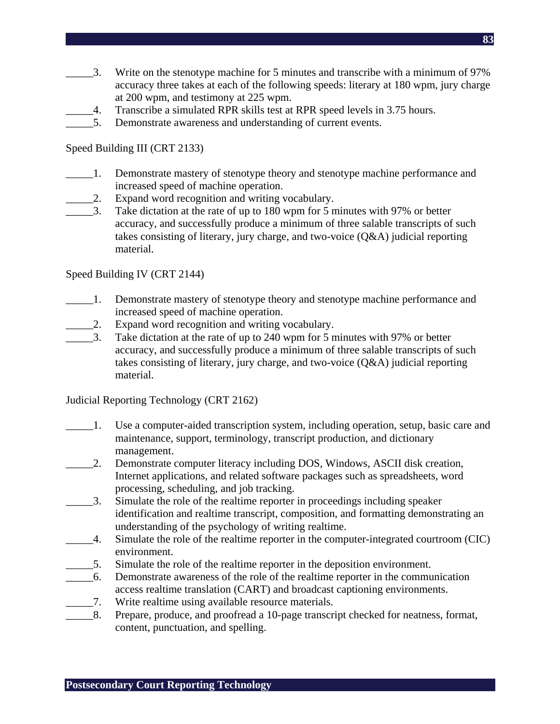- $\frac{1}{2}$ . Write on the stenotype machine for 5 minutes and transcribe with a minimum of 97% accuracy three takes at each of the following speeds: literary at 180 wpm, jury charge at 200 wpm, and testimony at 225 wpm.
- \_\_\_\_\_4. Transcribe a simulated RPR skills test at RPR speed levels in 3.75 hours.
- 5. Demonstrate awareness and understanding of current events.

### Speed Building III (CRT 2133)

- \_\_\_\_\_1. Demonstrate mastery of stenotype theory and stenotype machine performance and increased speed of machine operation.
- 2. Expand word recognition and writing vocabulary.
- \_\_\_\_\_3. Take dictation at the rate of up to 180 wpm for 5 minutes with 97% or better accuracy, and successfully produce a minimum of three salable transcripts of such takes consisting of literary, jury charge, and two-voice (Q&A) judicial reporting material.

#### Speed Building IV (CRT 2144)

- \_\_\_\_\_1. Demonstrate mastery of stenotype theory and stenotype machine performance and increased speed of machine operation.
	- 2. Expand word recognition and writing vocabulary.
- \_\_\_\_\_3. Take dictation at the rate of up to 240 wpm for 5 minutes with 97% or better accuracy, and successfully produce a minimum of three salable transcripts of such takes consisting of literary, jury charge, and two-voice (Q&A) judicial reporting material.

## Judicial Reporting Technology (CRT 2162)

- \_\_\_\_\_1. Use a computer-aided transcription system, including operation, setup, basic care and maintenance, support, terminology, transcript production, and dictionary management.
- \_\_\_\_\_2. Demonstrate computer literacy including DOS, Windows, ASCII disk creation, Internet applications, and related software packages such as spreadsheets, word processing, scheduling, and job tracking.
- \_\_\_\_\_3. Simulate the role of the realtime reporter in proceedings including speaker identification and realtime transcript, composition, and formatting demonstrating an understanding of the psychology of writing realtime.
- \_\_\_\_\_4. Simulate the role of the realtime reporter in the computer-integrated courtroom (CIC) environment.
- \_\_\_\_\_5. Simulate the role of the realtime reporter in the deposition environment.
- \_\_\_\_\_6. Demonstrate awareness of the role of the realtime reporter in the communication access realtime translation (CART) and broadcast captioning environments.
- \_\_\_\_\_7. Write realtime using available resource materials.
- \_\_\_\_\_8. Prepare, produce, and proofread a 10-page transcript checked for neatness, format, content, punctuation, and spelling.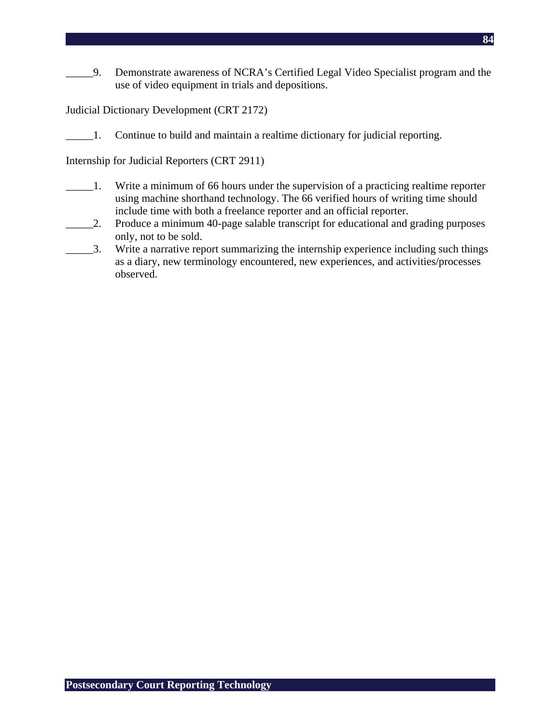\_\_\_\_\_9. Demonstrate awareness of NCRA's Certified Legal Video Specialist program and the use of video equipment in trials and depositions.

Judicial Dictionary Development (CRT 2172)

\_\_\_\_\_1. Continue to build and maintain a realtime dictionary for judicial reporting.

Internship for Judicial Reporters (CRT 2911)

- \_\_\_\_\_1. Write a minimum of 66 hours under the supervision of a practicing realtime reporter using machine shorthand technology. The 66 verified hours of writing time should include time with both a freelance reporter and an official reporter.
- \_\_\_\_\_2. Produce a minimum 40-page salable transcript for educational and grading purposes only, not to be sold.
- \_\_\_\_\_3. Write a narrative report summarizing the internship experience including such things as a diary, new terminology encountered, new experiences, and activities/processes observed.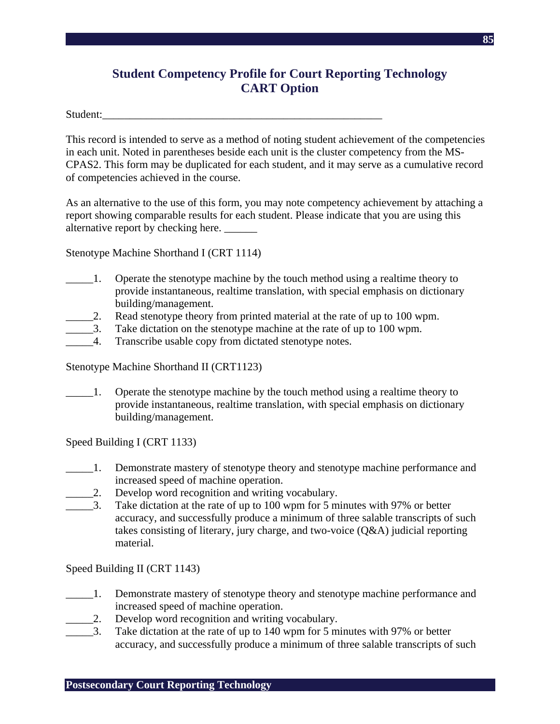# **Student Competency Profile for Court Reporting Technology CART Option**

Student:

This record is intended to serve as a method of noting student achievement of the competencies in each unit. Noted in parentheses beside each unit is the cluster competency from the MS-CPAS2. This form may be duplicated for each student, and it may serve as a cumulative record of competencies achieved in the course.

As an alternative to the use of this form, you may note competency achievement by attaching a report showing comparable results for each student. Please indicate that you are using this alternative report by checking here.

Stenotype Machine Shorthand I (CRT 1114)

- \_\_\_\_\_1. Operate the stenotype machine by the touch method using a realtime theory to provide instantaneous, realtime translation, with special emphasis on dictionary building/management.
- 2. Read stenotype theory from printed material at the rate of up to 100 wpm.
	- \_\_\_\_\_3. Take dictation on the stenotype machine at the rate of up to 100 wpm.
- \_\_\_\_\_4. Transcribe usable copy from dictated stenotype notes.

Stenotype Machine Shorthand II (CRT1123)

\_\_\_\_\_1. Operate the stenotype machine by the touch method using a realtime theory to provide instantaneous, realtime translation, with special emphasis on dictionary building/management.

Speed Building I (CRT 1133)

- 1. Demonstrate mastery of stenotype theory and stenotype machine performance and increased speed of machine operation.
- \_\_\_\_\_2. Develop word recognition and writing vocabulary.
- \_\_\_\_\_3. Take dictation at the rate of up to 100 wpm for 5 minutes with 97% or better accuracy, and successfully produce a minimum of three salable transcripts of such takes consisting of literary, jury charge, and two-voice (Q&A) judicial reporting material.

Speed Building II (CRT 1143)

- \_\_\_\_\_1. Demonstrate mastery of stenotype theory and stenotype machine performance and increased speed of machine operation.
- 2. Develop word recognition and writing vocabulary.
- 3. Take dictation at the rate of up to 140 wpm for 5 minutes with 97% or better accuracy, and successfully produce a minimum of three salable transcripts of such

**Postsecondary Court Reporting Technology**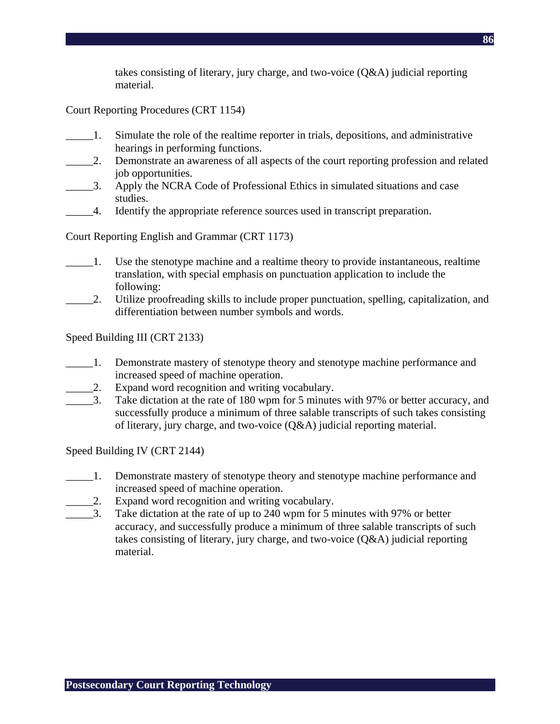takes consisting of literary, jury charge, and two-voice (Q&A) judicial reporting material.

Court Reporting Procedures (CRT 1154)

- \_\_\_\_\_1. Simulate the role of the realtime reporter in trials, depositions, and administrative hearings in performing functions.
- \_\_\_\_\_2. Demonstrate an awareness of all aspects of the court reporting profession and related job opportunities.
- \_\_\_\_\_3. Apply the NCRA Code of Professional Ethics in simulated situations and case studies.
- \_\_\_\_\_4. Identify the appropriate reference sources used in transcript preparation.

Court Reporting English and Grammar (CRT 1173)

- \_\_\_\_\_1. Use the stenotype machine and a realtime theory to provide instantaneous, realtime translation, with special emphasis on punctuation application to include the following:
- \_\_\_\_\_2. Utilize proofreading skills to include proper punctuation, spelling, capitalization, and differentiation between number symbols and words.

Speed Building III (CRT 2133)

- \_\_\_\_\_1. Demonstrate mastery of stenotype theory and stenotype machine performance and increased speed of machine operation.
- \_\_\_\_\_2. Expand word recognition and writing vocabulary.
- \_\_\_\_\_3. Take dictation at the rate of 180 wpm for 5 minutes with 97% or better accuracy, and successfully produce a minimum of three salable transcripts of such takes consisting of literary, jury charge, and two-voice (Q&A) judicial reporting material.

Speed Building IV (CRT 2144)

- \_\_\_\_\_1. Demonstrate mastery of stenotype theory and stenotype machine performance and increased speed of machine operation.
- 2. Expand word recognition and writing vocabulary.
- 3. Take dictation at the rate of up to 240 wpm for 5 minutes with 97% or better accuracy, and successfully produce a minimum of three salable transcripts of such takes consisting of literary, jury charge, and two-voice (Q&A) judicial reporting material.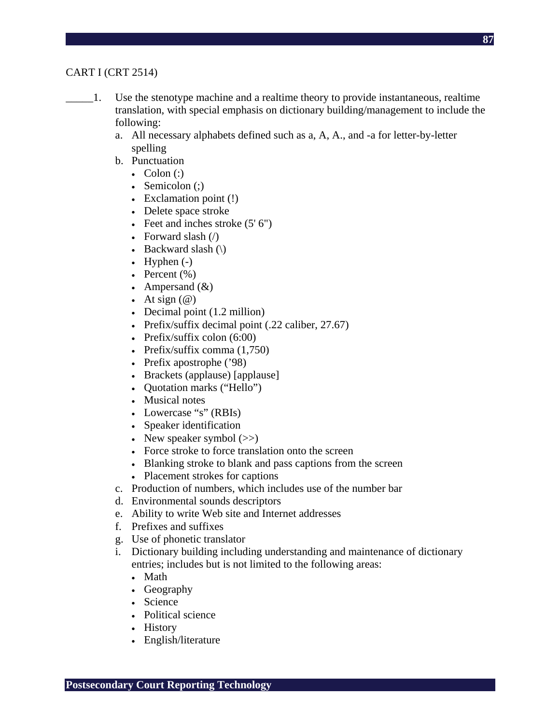## CART I (CRT 2514)

- \_\_\_\_\_1. Use the stenotype machine and a realtime theory to provide instantaneous, realtime translation, with special emphasis on dictionary building/management to include the following:
	- a. All necessary alphabets defined such as a, A, A., and -a for letter-by-letter spelling
	- b. Punctuation
		- Colon  $\left( \cdot \right)$
		- Semicolon $\left( \cdot \right)$
		- Exclamation point (!)
		- Delete space stroke
		- Feet and inches stroke  $(5' 6'')$
		- Forward slash  $\left(\frac{\ }{\ }$
		- Backward slash  $(\cdot)$
		- Hyphen  $(-)$
		- Percent  $(\% )$
		- Ampersand  $(\&)$
		- At sign  $(\mathcal{Q})$
		- Decimal point (1.2 million)
		- Prefix/suffix decimal point (.22 caliber, 27.67)
		- Prefix/suffix colon  $(6:00)$
		- Prefix/suffix comma (1,750)
		- Prefix apostrophe ('98)
		- Brackets (applause) [applause]
		- Quotation marks ("Hello")
		- Musical notes
		- Lowercase "s" (RBIs)
		- Speaker identification
		- New speaker symbol  $(\gg)$
		- Force stroke to force translation onto the screen
		- Blanking stroke to blank and pass captions from the screen
		- Placement strokes for captions
	- c. Production of numbers, which includes use of the number bar
	- d. Environmental sounds descriptors
	- e. Ability to write Web site and Internet addresses
	- f. Prefixes and suffixes
	- g. Use of phonetic translator
	- i. Dictionary building including understanding and maintenance of dictionary entries; includes but is not limited to the following areas:
		- Math
		- Geography
		- Science
		- Political science
		- History
		- English/literature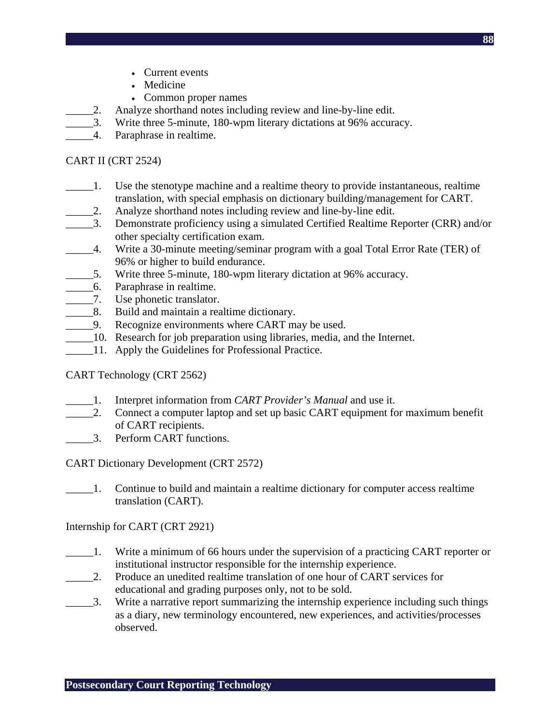- Current events
- Medicine
- Common proper names
- 2. Analyze shorthand notes including review and line-by-line edit.
- \_\_\_\_\_3. Write three 5-minute, 180-wpm literary dictations at 96% accuracy.
- \_\_\_\_\_4. Paraphrase in realtime.

#### CART II (CRT 2524)

- \_\_\_\_\_1. Use the stenotype machine and a realtime theory to provide instantaneous, realtime translation, with special emphasis on dictionary building/management for CART.
- \_\_\_\_\_2. Analyze shorthand notes including review and line-by-line edit.
- \_\_\_\_\_3. Demonstrate proficiency using a simulated Certified Realtime Reporter (CRR) and/or other specialty certification exam.
- \_\_\_\_\_4. Write a 30-minute meeting/seminar program with a goal Total Error Rate (TER) of 96% or higher to build endurance.
- 5. Write three 5-minute, 180-wpm literary dictation at 96% accuracy.
- \_\_\_\_\_6. Paraphrase in realtime.
- \_\_\_\_\_7. Use phonetic translator.
- 8. Build and maintain a realtime dictionary.
- \_\_\_\_\_9. Recognize environments where CART may be used.
- \_\_\_\_\_10. Research for job preparation using libraries, media, and the Internet.
- 11. Apply the Guidelines for Professional Practice.

CART Technology (CRT 2562)

- \_\_\_\_\_1. Interpret information from *CART Provider's Manual* and use it.
- 2. Connect a computer laptop and set up basic CART equipment for maximum benefit of CART recipients.
- \_\_\_\_\_3. Perform CART functions.

CART Dictionary Development (CRT 2572)

\_\_\_\_\_1. Continue to build and maintain a realtime dictionary for computer access realtime translation (CART).

Internship for CART (CRT 2921)

- \_\_\_\_\_1. Write a minimum of 66 hours under the supervision of a practicing CART reporter or institutional instructor responsible for the internship experience.
- \_\_\_\_\_2. Produce an unedited realtime translation of one hour of CART services for educational and grading purposes only, not to be sold.
- \_\_\_\_\_3. Write a narrative report summarizing the internship experience including such things as a diary, new terminology encountered, new experiences, and activities/processes observed.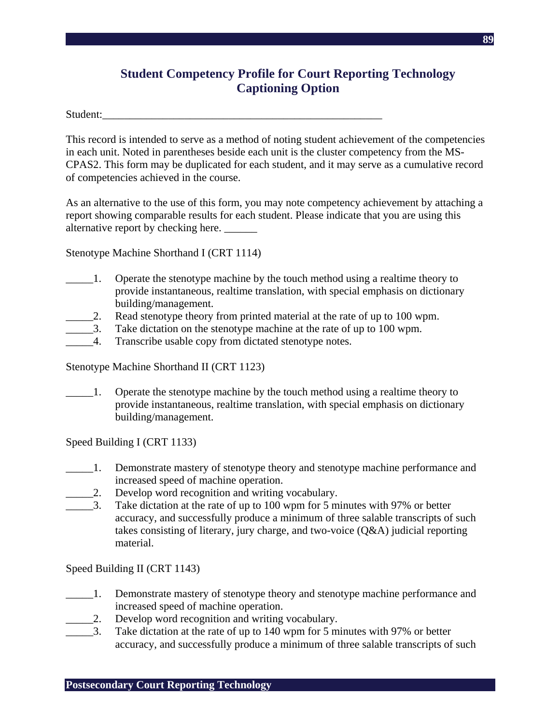# **Student Competency Profile for Court Reporting Technology Captioning Option**

Student:

This record is intended to serve as a method of noting student achievement of the competencies in each unit. Noted in parentheses beside each unit is the cluster competency from the MS-CPAS2. This form may be duplicated for each student, and it may serve as a cumulative record of competencies achieved in the course.

As an alternative to the use of this form, you may note competency achievement by attaching a report showing comparable results for each student. Please indicate that you are using this alternative report by checking here.

Stenotype Machine Shorthand I (CRT 1114)

- \_\_\_\_\_1. Operate the stenotype machine by the touch method using a realtime theory to provide instantaneous, realtime translation, with special emphasis on dictionary building/management.
- 2. Read stenotype theory from printed material at the rate of up to 100 wpm.
	- \_\_\_\_\_3. Take dictation on the stenotype machine at the rate of up to 100 wpm.
- \_\_\_\_\_4. Transcribe usable copy from dictated stenotype notes.

Stenotype Machine Shorthand II (CRT 1123)

\_\_\_\_\_1. Operate the stenotype machine by the touch method using a realtime theory to provide instantaneous, realtime translation, with special emphasis on dictionary building/management.

Speed Building I (CRT 1133)

- 1. Demonstrate mastery of stenotype theory and stenotype machine performance and increased speed of machine operation.
- \_\_\_\_\_2. Develop word recognition and writing vocabulary.
- \_\_\_\_\_3. Take dictation at the rate of up to 100 wpm for 5 minutes with 97% or better accuracy, and successfully produce a minimum of three salable transcripts of such takes consisting of literary, jury charge, and two-voice (Q&A) judicial reporting material.

Speed Building II (CRT 1143)

- \_\_\_\_\_1. Demonstrate mastery of stenotype theory and stenotype machine performance and increased speed of machine operation.
- 2. Develop word recognition and writing vocabulary.
- \_\_\_\_\_3. Take dictation at the rate of up to 140 wpm for 5 minutes with 97% or better accuracy, and successfully produce a minimum of three salable transcripts of such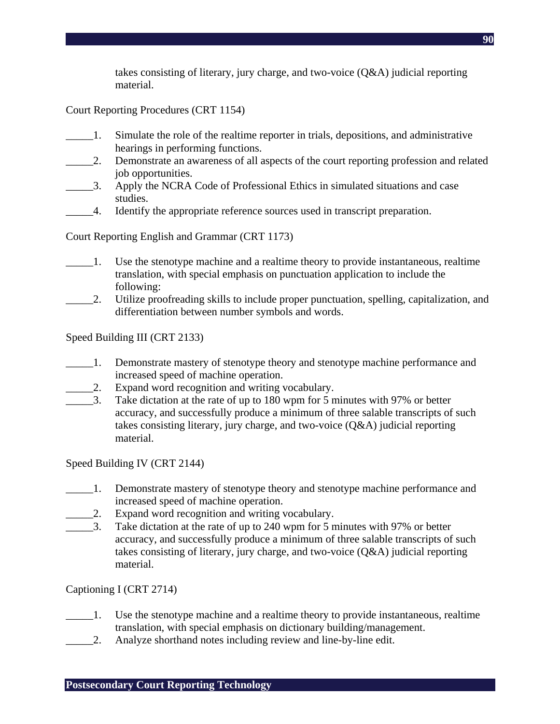takes consisting of literary, jury charge, and two-voice (Q&A) judicial reporting material.

Court Reporting Procedures (CRT 1154)

- \_\_\_\_\_1. Simulate the role of the realtime reporter in trials, depositions, and administrative hearings in performing functions.
- \_\_\_\_\_2. Demonstrate an awareness of all aspects of the court reporting profession and related job opportunities.
- \_\_\_\_\_3. Apply the NCRA Code of Professional Ethics in simulated situations and case studies.
- \_\_\_\_\_4. Identify the appropriate reference sources used in transcript preparation.

Court Reporting English and Grammar (CRT 1173)

- \_\_\_\_\_1. Use the stenotype machine and a realtime theory to provide instantaneous, realtime translation, with special emphasis on punctuation application to include the following:
- \_\_\_\_\_2. Utilize proofreading skills to include proper punctuation, spelling, capitalization, and differentiation between number symbols and words.

Speed Building III (CRT 2133)

- \_\_\_\_\_1. Demonstrate mastery of stenotype theory and stenotype machine performance and increased speed of machine operation.
- \_\_\_\_\_2. Expand word recognition and writing vocabulary.
- \_\_\_\_\_3. Take dictation at the rate of up to 180 wpm for 5 minutes with 97% or better accuracy, and successfully produce a minimum of three salable transcripts of such takes consisting literary, jury charge, and two-voice (Q&A) judicial reporting material.

Speed Building IV (CRT 2144)

- \_\_\_\_\_1. Demonstrate mastery of stenotype theory and stenotype machine performance and increased speed of machine operation.
- 2. Expand word recognition and writing vocabulary.
- \_\_\_\_\_3. Take dictation at the rate of up to 240 wpm for 5 minutes with 97% or better accuracy, and successfully produce a minimum of three salable transcripts of such takes consisting of literary, jury charge, and two-voice (Q&A) judicial reporting material.

Captioning I (CRT 2714)

- \_\_\_\_\_1. Use the stenotype machine and a realtime theory to provide instantaneous, realtime translation, with special emphasis on dictionary building/management.
- \_\_\_\_\_2. Analyze shorthand notes including review and line-by-line edit.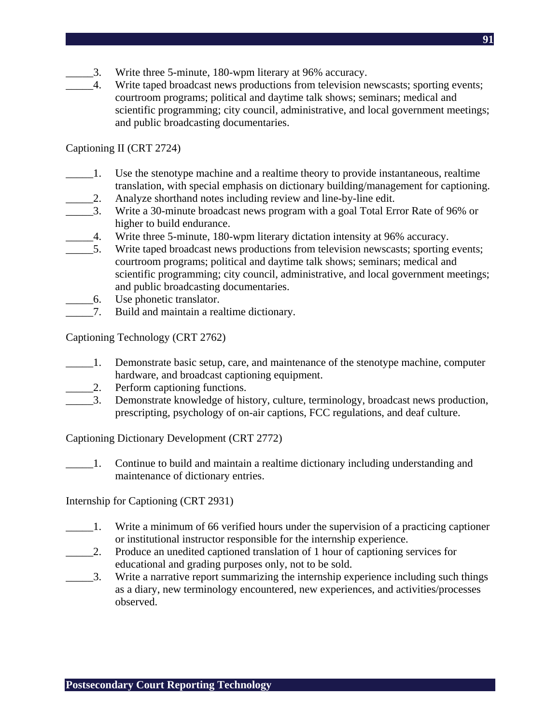- \_\_\_\_\_3. Write three 5-minute, 180-wpm literary at 96% accuracy.
- \_\_\_\_\_4. Write taped broadcast news productions from television newscasts; sporting events; courtroom programs; political and daytime talk shows; seminars; medical and scientific programming; city council, administrative, and local government meetings; and public broadcasting documentaries.

#### Captioning II (CRT 2724)

- \_\_\_\_\_1. Use the stenotype machine and a realtime theory to provide instantaneous, realtime translation, with special emphasis on dictionary building/management for captioning.
- \_\_\_\_\_2. Analyze shorthand notes including review and line-by-line edit.
- \_\_\_\_\_3. Write a 30-minute broadcast news program with a goal Total Error Rate of 96% or higher to build endurance.
- \_\_\_\_\_4. Write three 5-minute, 180-wpm literary dictation intensity at 96% accuracy.
- \_\_\_\_\_5. Write taped broadcast news productions from television newscasts; sporting events; courtroom programs; political and daytime talk shows; seminars; medical and scientific programming; city council, administrative, and local government meetings; and public broadcasting documentaries.
- \_\_\_\_\_6. Use phonetic translator.
- 7. Build and maintain a realtime dictionary.

Captioning Technology (CRT 2762)

- \_\_\_\_\_1. Demonstrate basic setup, care, and maintenance of the stenotype machine, computer hardware, and broadcast captioning equipment.
- 2. Perform captioning functions.
- \_\_\_\_\_3. Demonstrate knowledge of history, culture, terminology, broadcast news production, prescripting, psychology of on-air captions, FCC regulations, and deaf culture.

Captioning Dictionary Development (CRT 2772)

\_\_\_\_\_1. Continue to build and maintain a realtime dictionary including understanding and maintenance of dictionary entries.

Internship for Captioning (CRT 2931)

- \_\_\_\_\_1. Write a minimum of 66 verified hours under the supervision of a practicing captioner or institutional instructor responsible for the internship experience.
- \_\_\_\_\_2. Produce an unedited captioned translation of 1 hour of captioning services for educational and grading purposes only, not to be sold.
- \_\_\_\_\_3. Write a narrative report summarizing the internship experience including such things as a diary, new terminology encountered, new experiences, and activities/processes observed.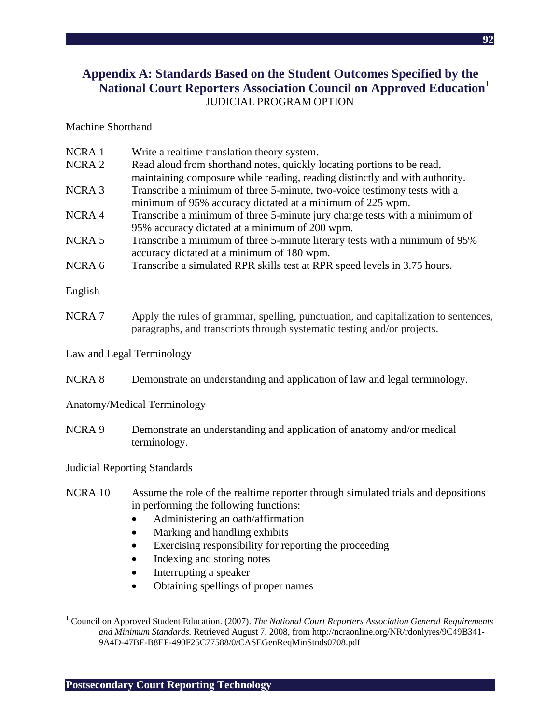## **Appendix A: Standards Based on the Student Outcomes Specified by the National Court Reporters Association Council on Approved Education<sup>1</sup>**  JUDICIAL PROGRAM OPTION

#### Machine Shorthand

| NCRA <sub>1</sub> | Write a realtime translation theory system.                                         |
|-------------------|-------------------------------------------------------------------------------------|
| NCRA <sub>2</sub> | Read aloud from shorthand notes, quickly locating portions to be read,              |
|                   | maintaining composure while reading, reading distinctly and with authority.         |
| <b>NCRA3</b>      | Transcribe a minimum of three 5-minute, two-voice testimony tests with a            |
|                   | minimum of 95% accuracy dictated at a minimum of 225 wpm.                           |
| NCRA4             | Transcribe a minimum of three 5-minute jury charge tests with a minimum of          |
|                   | 95% accuracy dictated at a minimum of 200 wpm.                                      |
| NCRA <sub>5</sub> | Transcribe a minimum of three 5-minute literary tests with a minimum of 95%         |
|                   | accuracy dictated at a minimum of 180 wpm.                                          |
| NCRA <sub>6</sub> | Transcribe a simulated RPR skills test at RPR speed levels in 3.75 hours.           |
| English           |                                                                                     |
| NCRA <sub>7</sub> | Apply the rules of grammar, spelling, punctuation, and capitalization to sentences, |
|                   | paragraphs, and transcripts through systematic testing and/or projects.             |
|                   | Law and Legal Terminology                                                           |
|                   |                                                                                     |
| <b>NCRA 8</b>     | Demonstrate an understanding and application of law and legal terminology.          |
|                   | Anatomy/Medical Terminology                                                         |
| NCRA <sub>9</sub> | Demonstrate an understanding and application of anatomy and/or medical              |
|                   | terminology.                                                                        |
|                   | <b>Judicial Reporting Standards</b>                                                 |
|                   |                                                                                     |
| NCRA 10           | Assume the role of the realtime reporter through simulated trials and depositions   |
|                   | in performing the following functions:                                              |
|                   | Administering an oath/affirmation                                                   |
|                   | Marking and handling exhibits<br>$\bullet$                                          |
|                   | Exercising responsibility for reporting the proceeding                              |
|                   | Indexing and storing notes<br>$\bullet$                                             |

- Interrupting a speaker
- Obtaining spellings of proper names

 $\overline{a}$ 

<sup>&</sup>lt;sup>1</sup> Council on Approved Student Education. (2007). *The National Court Reporters Association General Requirements and Minimum Standards.* Retrieved August 7, 2008, from http://ncraonline.org/NR/rdonlyres/9C49B341- 9A4D-47BF-B8EF-490F25C77588/0/CASEGenReqMinStnds0708.pdf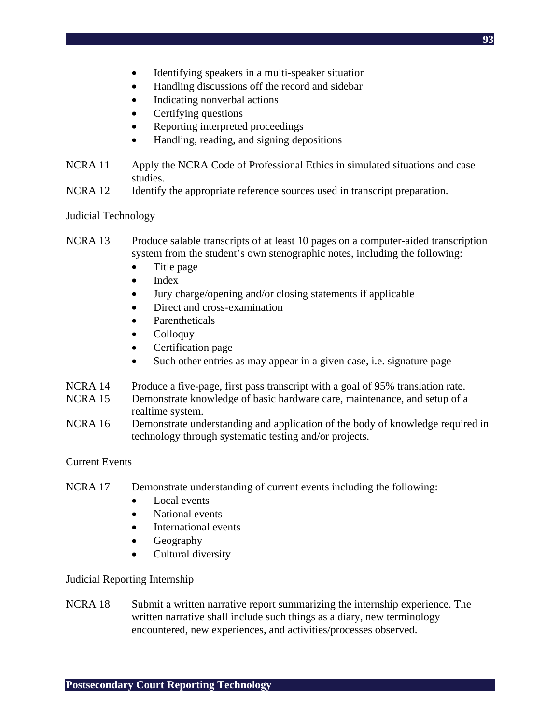- Identifying speakers in a multi-speaker situation
- Handling discussions off the record and sidebar
- Indicating nonverbal actions
- Certifying questions
- Reporting interpreted proceedings
- Handling, reading, and signing depositions

NCRA 11 Apply the NCRA Code of Professional Ethics in simulated situations and case studies.

NCRA 12 Identify the appropriate reference sources used in transcript preparation.

Judicial Technology

- NCRA 13 Produce salable transcripts of at least 10 pages on a computer-aided transcription system from the student's own stenographic notes, including the following:
	- Title page
	- Index
	- Jury charge/opening and/or closing statements if applicable
	- Direct and cross-examination
	- Parentheticals
	- Colloquy
	- Certification page
	- Such other entries as may appear in a given case, i.e. signature page
- NCRA 14 Produce a five-page, first pass transcript with a goal of 95% translation rate.
- NCRA 15 Demonstrate knowledge of basic hardware care, maintenance, and setup of a realtime system.
- NCRA 16 Demonstrate understanding and application of the body of knowledge required in technology through systematic testing and/or projects.

#### Current Events

- NCRA 17 Demonstrate understanding of current events including the following:
	- Local events
	- National events
	- International events
	- Geography
	- Cultural diversity

Judicial Reporting Internship

NCRA 18 Submit a written narrative report summarizing the internship experience. The written narrative shall include such things as a diary, new terminology encountered, new experiences, and activities/processes observed.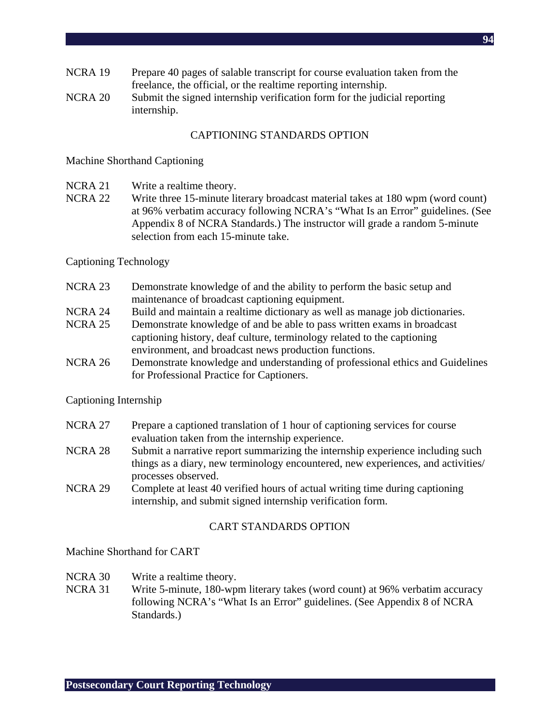- NCRA 19 Prepare 40 pages of salable transcript for course evaluation taken from the freelance, the official, or the realtime reporting internship.
- NCRA 20 Submit the signed internship verification form for the judicial reporting internship.

#### CAPTIONING STANDARDS OPTION

#### Machine Shorthand Captioning

- NCRA 21 Write a realtime theory.
- NCRA 22 Write three 15-minute literary broadcast material takes at 180 wpm (word count) at 96% verbatim accuracy following NCRA's "What Is an Error" guidelines. (See Appendix 8 of NCRA Standards.) The instructor will grade a random 5-minute selection from each 15-minute take.

#### Captioning Technology

- NCRA 23 Demonstrate knowledge of and the ability to perform the basic setup and maintenance of broadcast captioning equipment.
- NCRA 24 Build and maintain a realtime dictionary as well as manage job dictionaries.
- NCRA 25 Demonstrate knowledge of and be able to pass written exams in broadcast captioning history, deaf culture, terminology related to the captioning environment, and broadcast news production functions.
- NCRA 26 Demonstrate knowledge and understanding of professional ethics and Guidelines for Professional Practice for Captioners.

#### Captioning Internship

- NCRA 27 Prepare a captioned translation of 1 hour of captioning services for course evaluation taken from the internship experience.
- NCRA 28 Submit a narrative report summarizing the internship experience including such things as a diary, new terminology encountered, new experiences, and activities/ processes observed.
- NCRA 29 Complete at least 40 verified hours of actual writing time during captioning internship, and submit signed internship verification form.

#### CART STANDARDS OPTION

Machine Shorthand for CART

- NCRA 30 Write a realtime theory.
- NCRA 31 Write 5-minute, 180-wpm literary takes (word count) at 96% verbatim accuracy following NCRA's "What Is an Error" guidelines. (See Appendix 8 of NCRA Standards.)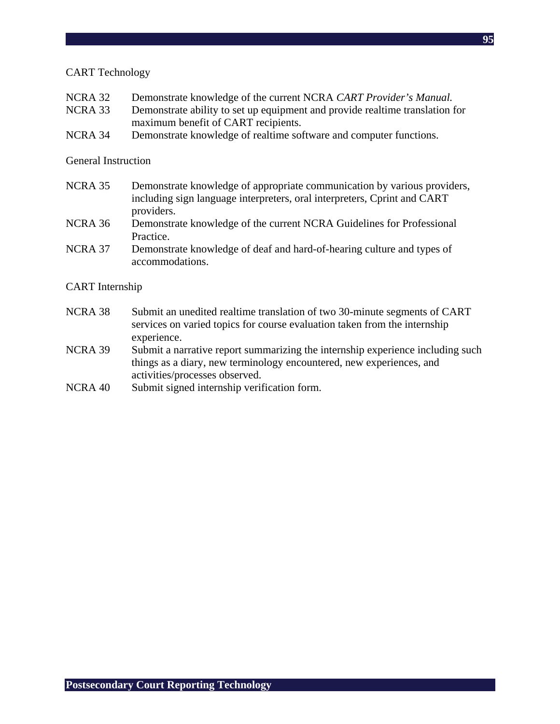#### CART Technology

- NCRA 32 Demonstrate knowledge of the current NCRA *CART Provider's Manual.*
- NCRA 33 Demonstrate ability to set up equipment and provide realtime translation for maximum benefit of CART recipients.
- NCRA 34 Demonstrate knowledge of realtime software and computer functions.

#### General Instruction

- NCRA 35 Demonstrate knowledge of appropriate communication by various providers, including sign language interpreters, oral interpreters, Cprint and CART providers.
- NCRA 36 Demonstrate knowledge of the current NCRA Guidelines for Professional Practice.
- NCRA 37 Demonstrate knowledge of deaf and hard-of-hearing culture and types of accommodations.

#### CART Internship

- NCRA 38 Submit an unedited realtime translation of two 30-minute segments of CART services on varied topics for course evaluation taken from the internship experience.
- NCRA 39 Submit a narrative report summarizing the internship experience including such things as a diary, new terminology encountered, new experiences, and activities/processes observed.
- NCRA 40 Submit signed internship verification form.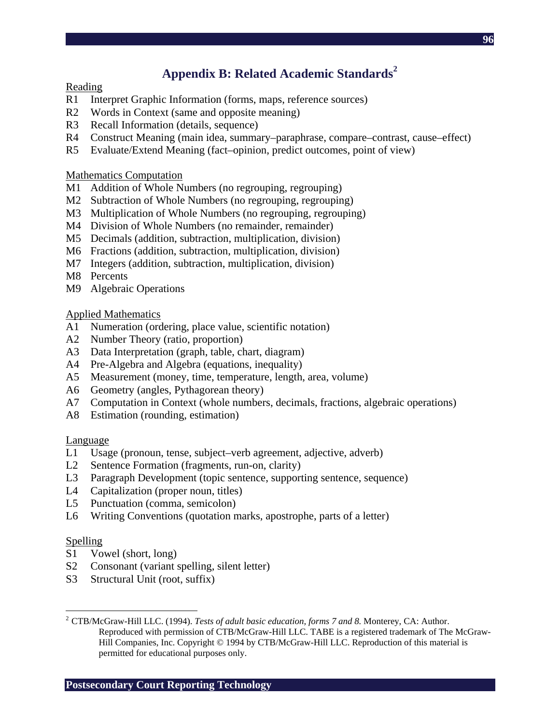# **Appendix B: Related Academic Standards<sup>2</sup>**

#### Reading

- R1 Interpret Graphic Information (forms, maps, reference sources)
- R2 Words in Context (same and opposite meaning)
- R3 Recall Information (details, sequence)
- R4 Construct Meaning (main idea, summary–paraphrase, compare–contrast, cause–effect)
- R5 Evaluate/Extend Meaning (fact–opinion, predict outcomes, point of view)

#### Mathematics Computation

- M1 Addition of Whole Numbers (no regrouping, regrouping)
- M2 Subtraction of Whole Numbers (no regrouping, regrouping)
- M3 Multiplication of Whole Numbers (no regrouping, regrouping)
- M4 Division of Whole Numbers (no remainder, remainder)
- M5 Decimals (addition, subtraction, multiplication, division)
- M6 Fractions (addition, subtraction, multiplication, division)
- M7 Integers (addition, subtraction, multiplication, division)
- M8 Percents
- M9 Algebraic Operations

#### Applied Mathematics

- A1 Numeration (ordering, place value, scientific notation)
- A2 Number Theory (ratio, proportion)
- A3 Data Interpretation (graph, table, chart, diagram)
- A4 Pre-Algebra and Algebra (equations, inequality)
- A5 Measurement (money, time, temperature, length, area, volume)
- A6 Geometry (angles, Pythagorean theory)
- A7 Computation in Context (whole numbers, decimals, fractions, algebraic operations)
- A8 Estimation (rounding, estimation)

#### Language

- L1 Usage (pronoun, tense, subject–verb agreement, adjective, adverb)
- L2 Sentence Formation (fragments, run-on, clarity)
- L3 Paragraph Development (topic sentence, supporting sentence, sequence)
- L4 Capitalization (proper noun, titles)
- L5 Punctuation (comma, semicolon)
- L6 Writing Conventions (quotation marks, apostrophe, parts of a letter)

## **Spelling**

 $\overline{a}$ 

- S1 Vowel (short, long)
- S2 Consonant (variant spelling, silent letter)
- S3 Structural Unit (root, suffix)

**Postsecondary Court Reporting Technology** 

<sup>2</sup> CTB/McGraw-Hill LLC. (1994). *Tests of adult basic education, forms 7 and 8.* Monterey, CA: Author. Reproduced with permission of CTB/McGraw-Hill LLC. TABE is a registered trademark of The McGraw-Hill Companies, Inc. Copyright © 1994 by CTB/McGraw-Hill LLC. Reproduction of this material is permitted for educational purposes only.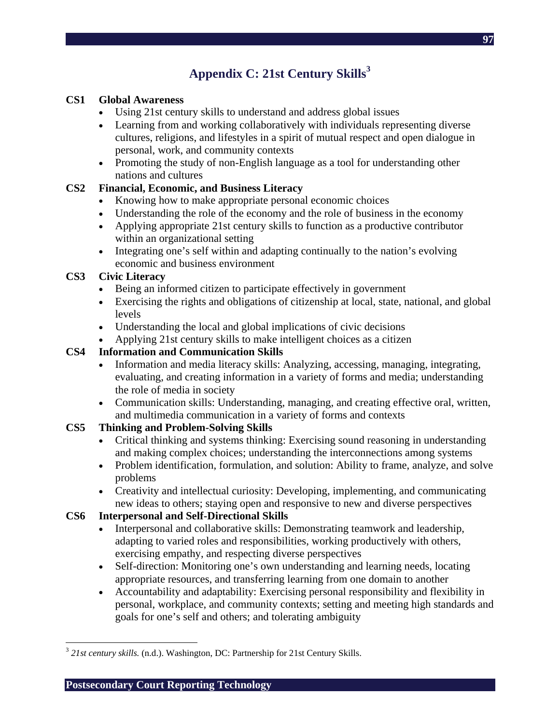# Appendix C: 21st Century Skills<sup>3</sup>

## **CS1 Global Awareness**

- Using 21st century skills to understand and address global issues
- Learning from and working collaboratively with individuals representing diverse cultures, religions, and lifestyles in a spirit of mutual respect and open dialogue in personal, work, and community contexts
- Promoting the study of non-English language as a tool for understanding other nations and cultures

## **CS2 Financial, Economic, and Business Literacy**

- Knowing how to make appropriate personal economic choices
- Understanding the role of the economy and the role of business in the economy
- Applying appropriate 21st century skills to function as a productive contributor within an organizational setting
- Integrating one's self within and adapting continually to the nation's evolving economic and business environment

## **CS3 Civic Literacy**

- Being an informed citizen to participate effectively in government
- Exercising the rights and obligations of citizenship at local, state, national, and global levels
- Understanding the local and global implications of civic decisions
- Applying 21st century skills to make intelligent choices as a citizen

## **CS4 Information and Communication Skills**

- Information and media literacy skills: Analyzing, accessing, managing, integrating, evaluating, and creating information in a variety of forms and media; understanding the role of media in society
- Communication skills: Understanding, managing, and creating effective oral, written, and multimedia communication in a variety of forms and contexts

## **CS5 Thinking and Problem-Solving Skills**

- Critical thinking and systems thinking: Exercising sound reasoning in understanding and making complex choices; understanding the interconnections among systems
- Problem identification, formulation, and solution: Ability to frame, analyze, and solve problems
- Creativity and intellectual curiosity: Developing, implementing, and communicating new ideas to others; staying open and responsive to new and diverse perspectives

## **CS6 Interpersonal and Self-Directional Skills**

- Interpersonal and collaborative skills: Demonstrating teamwork and leadership, adapting to varied roles and responsibilities, working productively with others, exercising empathy, and respecting diverse perspectives
- Self-direction: Monitoring one's own understanding and learning needs, locating appropriate resources, and transferring learning from one domain to another
- Accountability and adaptability: Exercising personal responsibility and flexibility in personal, workplace, and community contexts; setting and meeting high standards and goals for one's self and others; and tolerating ambiguity

**Postsecondary Court Reporting Technology** 

 $\overline{a}$ <sup>3</sup> 21st century skills. (n.d.). Washington, DC: Partnership for 21st Century Skills.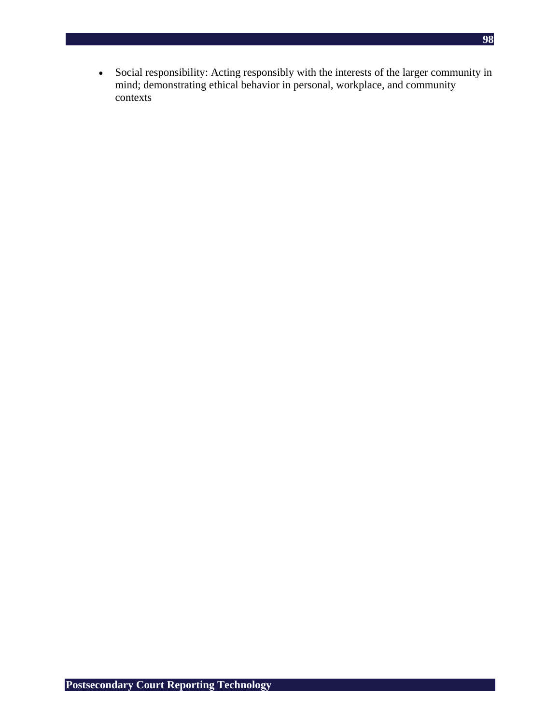• Social responsibility: Acting responsibly with the interests of the larger community in mind; demonstrating ethical behavior in personal, workplace, and community contexts